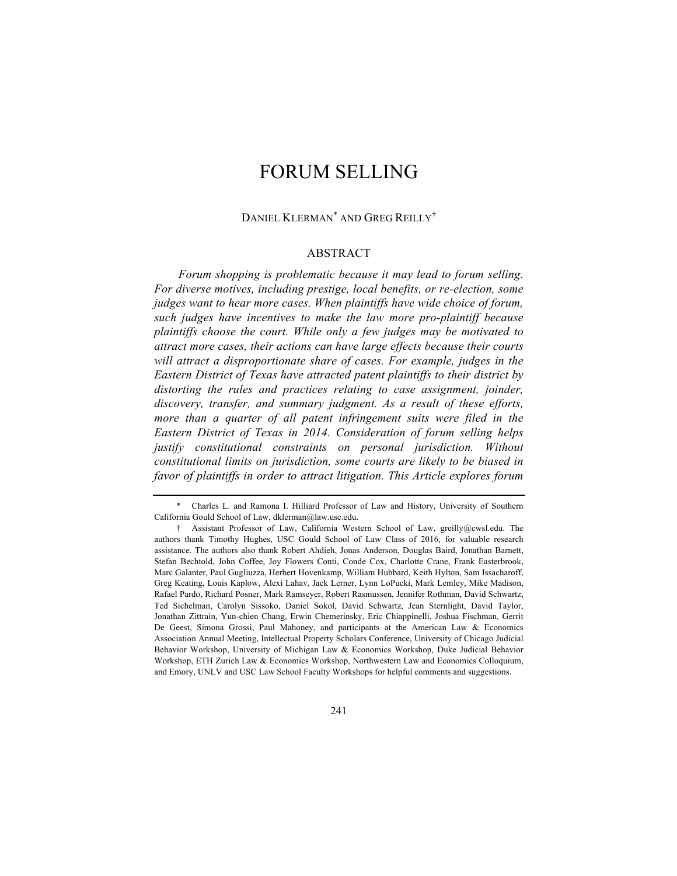# FORUM SELLING

# DANIEL KLERMAN\* AND GREG REILLY†

### ABSTRACT

*Forum shopping is problematic because it may lead to forum selling. For diverse motives, including prestige, local benefits, or re-election, some judges want to hear more cases. When plaintiffs have wide choice of forum, such judges have incentives to make the law more pro-plaintiff because plaintiffs choose the court. While only a few judges may be motivated to attract more cases, their actions can have large effects because their courts will attract a disproportionate share of cases. For example, judges in the Eastern District of Texas have attracted patent plaintiffs to their district by distorting the rules and practices relating to case assignment, joinder, discovery, transfer, and summary judgment. As a result of these efforts, more than a quarter of all patent infringement suits were filed in the Eastern District of Texas in 2014. Consideration of forum selling helps justify constitutional constraints on personal jurisdiction. Without constitutional limits on jurisdiction, some courts are likely to be biased in favor of plaintiffs in order to attract litigation. This Article explores forum* 

<sup>\*</sup> Charles L. and Ramona I. Hilliard Professor of Law and History, University of Southern California Gould School of Law, dklerman@law.usc.edu.

<sup>†</sup> Assistant Professor of Law, California Western School of Law, greilly@cwsl.edu. The authors thank Timothy Hughes, USC Gould School of Law Class of 2016, for valuable research assistance. The authors also thank Robert Ahdieh, Jonas Anderson, Douglas Baird, Jonathan Barnett, Stefan Bechtold, John Coffee, Joy Flowers Conti, Conde Cox, Charlotte Crane, Frank Easterbrook, Marc Galanter, Paul Gugliuzza, Herbert Hovenkamp, William Hubbard, Keith Hylton, Sam Issacharoff, Greg Keating, Louis Kaplow, Alexi Lahav, Jack Lerner, Lynn LoPucki, Mark Lemley, Mike Madison, Rafael Pardo, Richard Posner, Mark Ramseyer, Robert Rasmussen, Jennifer Rothman, David Schwartz, Ted Sichelman, Carolyn Sissoko, Daniel Sokol, David Schwartz, Jean Sternlight, David Taylor, Jonathan Zittrain, Yun-chien Chang, Erwin Chemerinsky, Eric Chiappinelli, Joshua Fischman, Gerrit De Geest, Simona Grossi, Paul Mahoney, and participants at the American Law & Economics Association Annual Meeting, Intellectual Property Scholars Conference, University of Chicago Judicial Behavior Workshop, University of Michigan Law & Economics Workshop, Duke Judicial Behavior Workshop, ETH Zurich Law & Economics Workshop, Northwestern Law and Economics Colloquium, and Emory, UNLV and USC Law School Faculty Workshops for helpful comments and suggestions.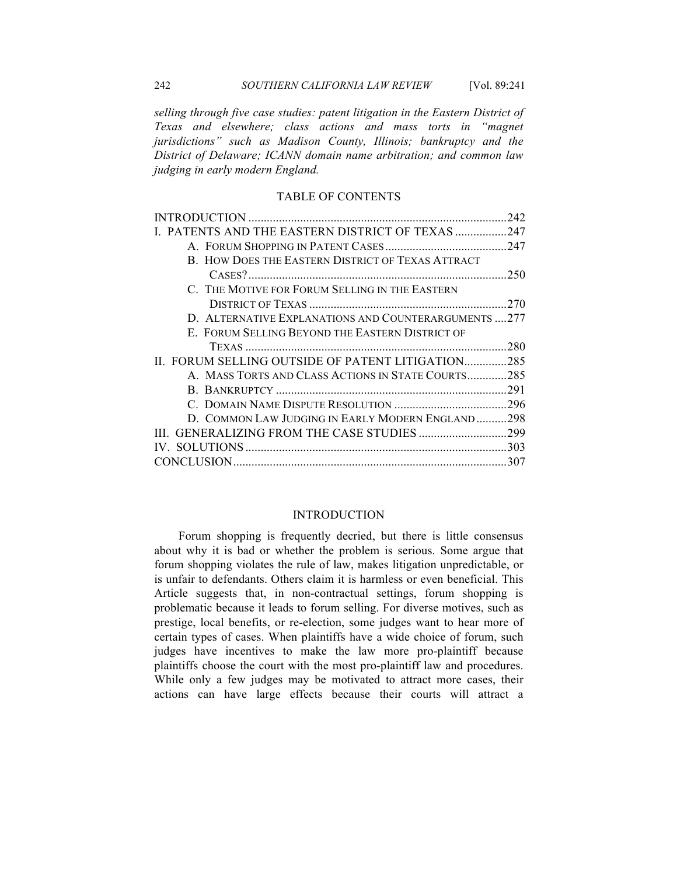*selling through five case studies: patent litigation in the Eastern District of Texas and elsewhere; class actions and mass torts in "magnet jurisdictions" such as Madison County, Illinois; bankruptcy and the District of Delaware; ICANN domain name arbitration; and common law judging in early modern England.*

# TABLE OF CONTENTS

|                                                      | 242 |
|------------------------------------------------------|-----|
| I. PATENTS AND THE EASTERN DISTRICT OF TEXAS 247     |     |
|                                                      |     |
| B. HOW DOES THE EASTERN DISTRICT OF TEXAS ATTRACT    |     |
|                                                      |     |
| C. THE MOTIVE FOR FORUM SELLING IN THE EASTERN       |     |
|                                                      |     |
| D. ALTERNATIVE EXPLANATIONS AND COUNTERARGUMENTS 277 |     |
| E. FORUM SELLING BEYOND THE EASTERN DISTRICT OF      |     |
|                                                      | 280 |
| II. FORUM SELLING OUTSIDE OF PATENT LITIGATION285    |     |
| A. MASS TORTS AND CLASS ACTIONS IN STATE COURTS285   |     |
|                                                      |     |
|                                                      |     |
| D. COMMON LAW JUDGING IN EARLY MODERN ENGLAND298     |     |
|                                                      |     |
|                                                      |     |
|                                                      |     |
|                                                      |     |

# INTRODUCTION

Forum shopping is frequently decried, but there is little consensus about why it is bad or whether the problem is serious. Some argue that forum shopping violates the rule of law, makes litigation unpredictable, or is unfair to defendants. Others claim it is harmless or even beneficial. This Article suggests that, in non-contractual settings, forum shopping is problematic because it leads to forum selling. For diverse motives, such as prestige, local benefits, or re-election, some judges want to hear more of certain types of cases. When plaintiffs have a wide choice of forum, such judges have incentives to make the law more pro-plaintiff because plaintiffs choose the court with the most pro-plaintiff law and procedures. While only a few judges may be motivated to attract more cases, their actions can have large effects because their courts will attract a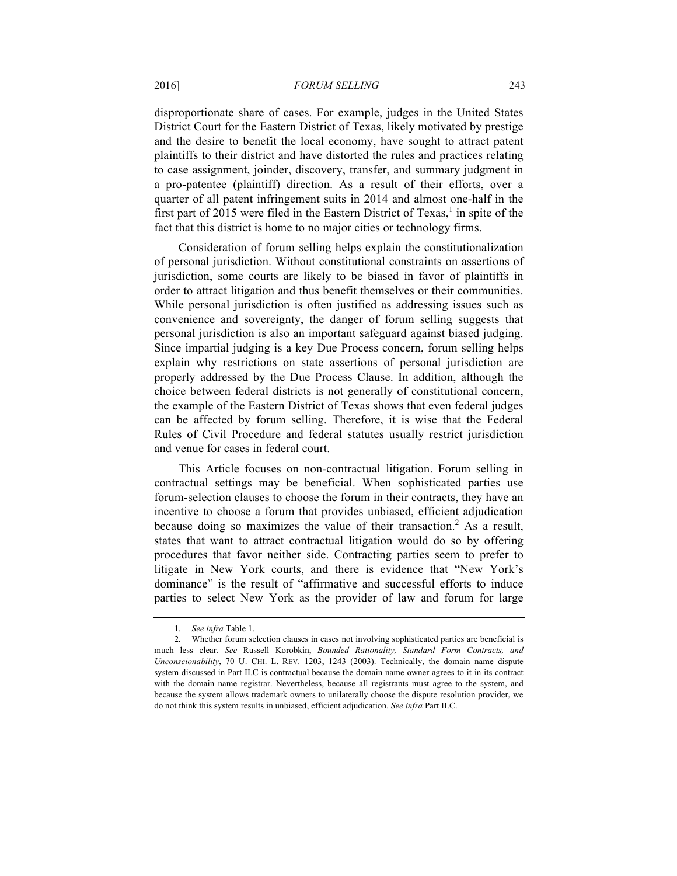disproportionate share of cases. For example, judges in the United States District Court for the Eastern District of Texas, likely motivated by prestige and the desire to benefit the local economy, have sought to attract patent plaintiffs to their district and have distorted the rules and practices relating to case assignment, joinder, discovery, transfer, and summary judgment in a pro-patentee (plaintiff) direction. As a result of their efforts, over a quarter of all patent infringement suits in 2014 and almost one-half in the first part of 2015 were filed in the Eastern District of Texas, $<sup>1</sup>$  in spite of the</sup> fact that this district is home to no major cities or technology firms.

Consideration of forum selling helps explain the constitutionalization of personal jurisdiction. Without constitutional constraints on assertions of jurisdiction, some courts are likely to be biased in favor of plaintiffs in order to attract litigation and thus benefit themselves or their communities. While personal jurisdiction is often justified as addressing issues such as convenience and sovereignty, the danger of forum selling suggests that personal jurisdiction is also an important safeguard against biased judging. Since impartial judging is a key Due Process concern, forum selling helps explain why restrictions on state assertions of personal jurisdiction are properly addressed by the Due Process Clause. In addition, although the choice between federal districts is not generally of constitutional concern, the example of the Eastern District of Texas shows that even federal judges can be affected by forum selling. Therefore, it is wise that the Federal Rules of Civil Procedure and federal statutes usually restrict jurisdiction and venue for cases in federal court.

This Article focuses on non-contractual litigation. Forum selling in contractual settings may be beneficial. When sophisticated parties use forum-selection clauses to choose the forum in their contracts, they have an incentive to choose a forum that provides unbiased, efficient adjudication because doing so maximizes the value of their transaction.<sup>2</sup> As a result, states that want to attract contractual litigation would do so by offering procedures that favor neither side. Contracting parties seem to prefer to litigate in New York courts, and there is evidence that "New York's dominance" is the result of "affirmative and successful efforts to induce parties to select New York as the provider of law and forum for large

<sup>1.</sup> *See infra* Table 1.

<sup>2.</sup> Whether forum selection clauses in cases not involving sophisticated parties are beneficial is much less clear. *See* Russell Korobkin, *Bounded Rationality, Standard Form Contracts, and Unconscionability*, 70 U. CHI. L. REV. 1203, 1243 (2003). Technically, the domain name dispute system discussed in Part II.C is contractual because the domain name owner agrees to it in its contract with the domain name registrar. Nevertheless, because all registrants must agree to the system, and because the system allows trademark owners to unilaterally choose the dispute resolution provider, we do not think this system results in unbiased, efficient adjudication. *See infra* Part II.C.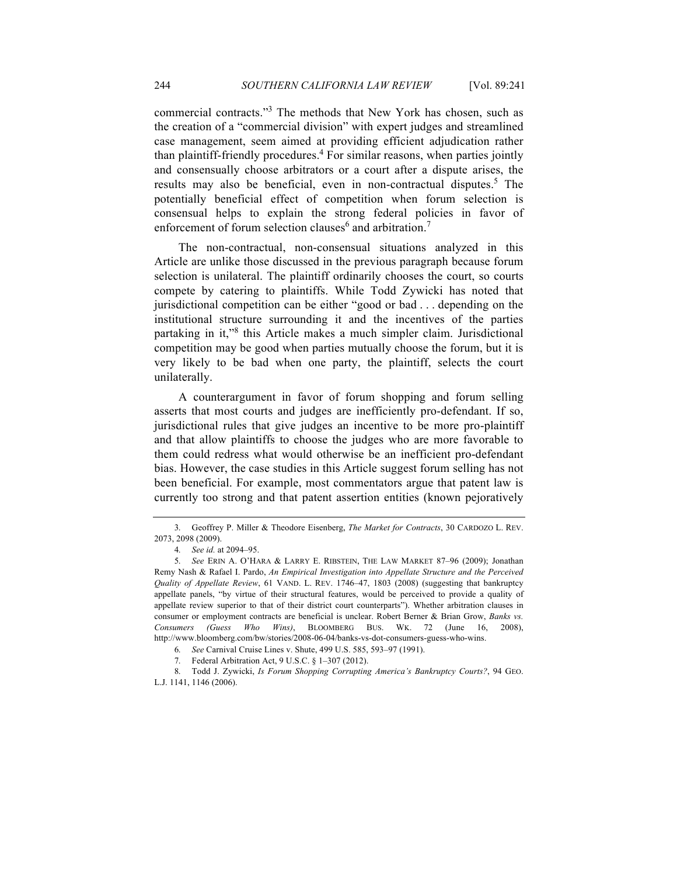commercial contracts."<sup>3</sup> The methods that New York has chosen, such as the creation of a "commercial division" with expert judges and streamlined case management, seem aimed at providing efficient adjudication rather than plaintiff-friendly procedures.4 For similar reasons, when parties jointly and consensually choose arbitrators or a court after a dispute arises, the results may also be beneficial, even in non-contractual disputes.<sup>5</sup> The potentially beneficial effect of competition when forum selection is consensual helps to explain the strong federal policies in favor of enforcement of forum selection clauses<sup>6</sup> and arbitration.<sup>7</sup>

The non-contractual, non-consensual situations analyzed in this Article are unlike those discussed in the previous paragraph because forum selection is unilateral. The plaintiff ordinarily chooses the court, so courts compete by catering to plaintiffs. While Todd Zywicki has noted that jurisdictional competition can be either "good or bad . . . depending on the institutional structure surrounding it and the incentives of the parties partaking in it,"<sup>8</sup> this Article makes a much simpler claim. Jurisdictional competition may be good when parties mutually choose the forum, but it is very likely to be bad when one party, the plaintiff, selects the court unilaterally.

A counterargument in favor of forum shopping and forum selling asserts that most courts and judges are inefficiently pro-defendant. If so, jurisdictional rules that give judges an incentive to be more pro-plaintiff and that allow plaintiffs to choose the judges who are more favorable to them could redress what would otherwise be an inefficient pro-defendant bias. However, the case studies in this Article suggest forum selling has not been beneficial. For example, most commentators argue that patent law is currently too strong and that patent assertion entities (known pejoratively

<sup>3.</sup> Geoffrey P. Miller & Theodore Eisenberg, *The Market for Contracts*, 30 CARDOZO L. REV. 2073, 2098 (2009).

<sup>4.</sup> *See id.* at 2094–95.

<sup>5.</sup> *See* ERIN A. O'HARA & LARRY E. RIBSTEIN, THE LAW MARKET 87–96 (2009); Jonathan Remy Nash & Rafael I. Pardo, *An Empirical Investigation into Appellate Structure and the Perceived Quality of Appellate Review*, 61 VAND. L. REV. 1746–47, 1803 (2008) (suggesting that bankruptcy appellate panels, "by virtue of their structural features, would be perceived to provide a quality of appellate review superior to that of their district court counterparts"). Whether arbitration clauses in consumer or employment contracts are beneficial is unclear. Robert Berner & Brian Grow, *Banks vs. Consumers (Guess Who Wins)*, BLOOMBERG BUS. WK. 72 (June 16, 2008), http://www.bloomberg.com/bw/stories/2008-06-04/banks-vs-dot-consumers-guess-who-wins.

<sup>6.</sup> *See* Carnival Cruise Lines v. Shute, 499 U.S. 585, 593–97 (1991).

<sup>7.</sup> Federal Arbitration Act, 9 U.S.C. § 1–307 (2012).

<sup>8.</sup> Todd J. Zywicki, *Is Forum Shopping Corrupting America's Bankruptcy Courts?*, 94 GEO. L.J. 1141, 1146 (2006).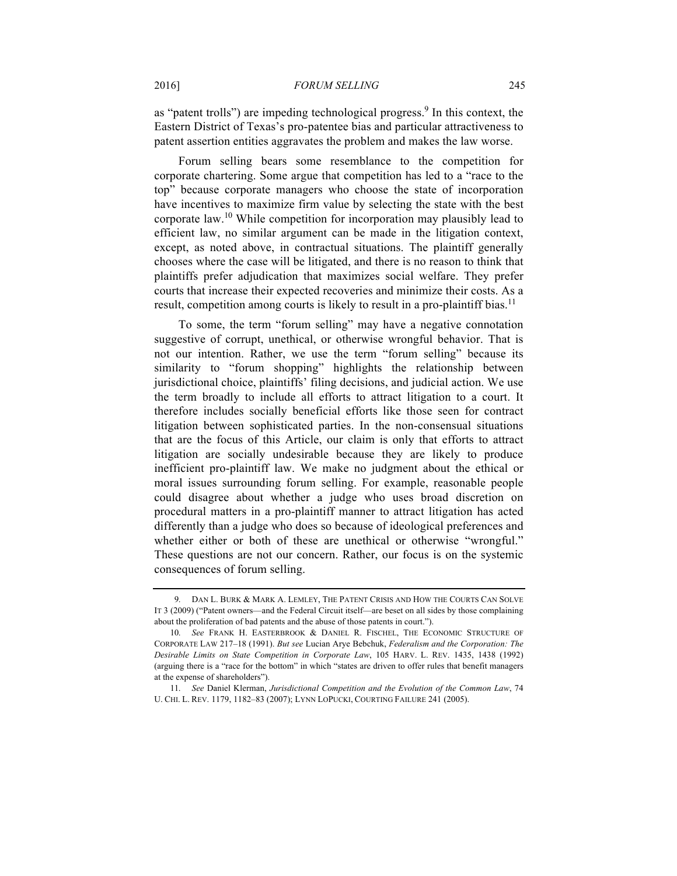as "patent trolls") are impeding technological progress.<sup>9</sup> In this context, the Eastern District of Texas's pro-patentee bias and particular attractiveness to patent assertion entities aggravates the problem and makes the law worse.

Forum selling bears some resemblance to the competition for corporate chartering. Some argue that competition has led to a "race to the top" because corporate managers who choose the state of incorporation have incentives to maximize firm value by selecting the state with the best corporate law.<sup>10</sup> While competition for incorporation may plausibly lead to efficient law, no similar argument can be made in the litigation context, except, as noted above, in contractual situations. The plaintiff generally chooses where the case will be litigated, and there is no reason to think that plaintiffs prefer adjudication that maximizes social welfare. They prefer courts that increase their expected recoveries and minimize their costs. As a result, competition among courts is likely to result in a pro-plaintiff bias.<sup>11</sup>

To some, the term "forum selling" may have a negative connotation suggestive of corrupt, unethical, or otherwise wrongful behavior. That is not our intention. Rather, we use the term "forum selling" because its similarity to "forum shopping" highlights the relationship between jurisdictional choice, plaintiffs' filing decisions, and judicial action. We use the term broadly to include all efforts to attract litigation to a court. It therefore includes socially beneficial efforts like those seen for contract litigation between sophisticated parties. In the non-consensual situations that are the focus of this Article, our claim is only that efforts to attract litigation are socially undesirable because they are likely to produce inefficient pro-plaintiff law. We make no judgment about the ethical or moral issues surrounding forum selling. For example, reasonable people could disagree about whether a judge who uses broad discretion on procedural matters in a pro-plaintiff manner to attract litigation has acted differently than a judge who does so because of ideological preferences and whether either or both of these are unethical or otherwise "wrongful." These questions are not our concern. Rather, our focus is on the systemic consequences of forum selling.

<sup>9.</sup> DAN L. BURK & MARK A. LEMLEY, THE PATENT CRISIS AND HOW THE COURTS CAN SOLVE IT 3 (2009) ("Patent owners—and the Federal Circuit itself—are beset on all sides by those complaining about the proliferation of bad patents and the abuse of those patents in court.").

<sup>10.</sup> *See* FRANK H. EASTERBROOK & DANIEL R. FISCHEL, THE ECONOMIC STRUCTURE OF CORPORATE LAW 217–18 (1991). *But see* Lucian Arye Bebchuk, *Federalism and the Corporation: The Desirable Limits on State Competition in Corporate Law*, 105 HARV. L. REV. 1435, 1438 (1992) (arguing there is a "race for the bottom" in which "states are driven to offer rules that benefit managers at the expense of shareholders").

<sup>11.</sup> *See* Daniel Klerman, *Jurisdictional Competition and the Evolution of the Common Law*, 74 U. CHI. L. REV. 1179, 1182–83 (2007); LYNN LOPUCKI, COURTING FAILURE 241 (2005).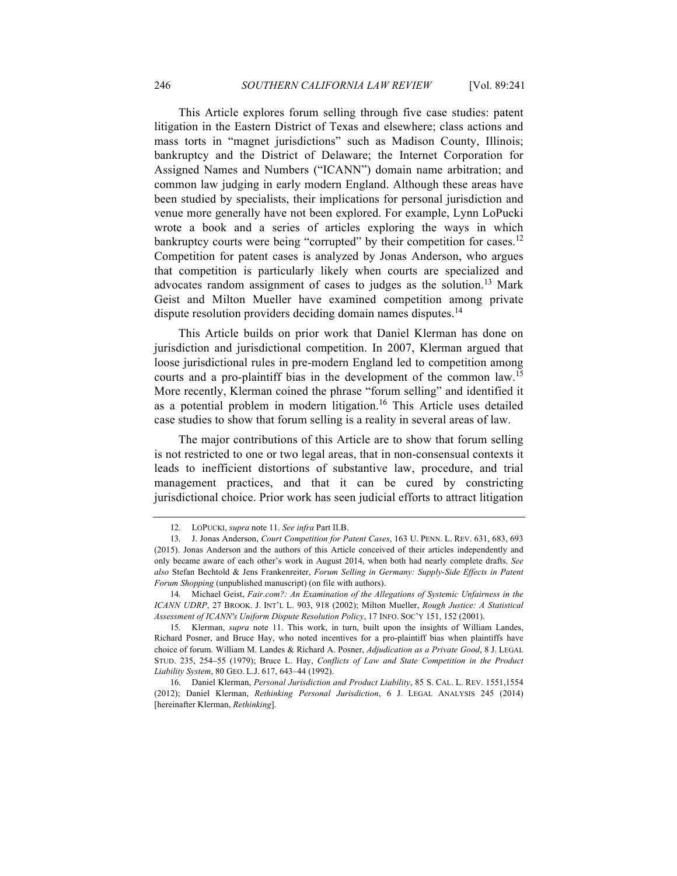This Article explores forum selling through five case studies: patent litigation in the Eastern District of Texas and elsewhere; class actions and mass torts in "magnet jurisdictions" such as Madison County, Illinois; bankruptcy and the District of Delaware; the Internet Corporation for Assigned Names and Numbers ("ICANN") domain name arbitration; and common law judging in early modern England. Although these areas have been studied by specialists, their implications for personal jurisdiction and venue more generally have not been explored. For example, Lynn LoPucki wrote a book and a series of articles exploring the ways in which bankruptcy courts were being "corrupted" by their competition for cases.<sup>12</sup> Competition for patent cases is analyzed by Jonas Anderson, who argues that competition is particularly likely when courts are specialized and advocates random assignment of cases to judges as the solution.<sup>13</sup> Mark Geist and Milton Mueller have examined competition among private dispute resolution providers deciding domain names disputes.<sup>14</sup>

This Article builds on prior work that Daniel Klerman has done on jurisdiction and jurisdictional competition. In 2007, Klerman argued that loose jurisdictional rules in pre-modern England led to competition among courts and a pro-plaintiff bias in the development of the common law.<sup>15</sup> More recently, Klerman coined the phrase "forum selling" and identified it as a potential problem in modern litigation.<sup>16</sup> This Article uses detailed case studies to show that forum selling is a reality in several areas of law.

The major contributions of this Article are to show that forum selling is not restricted to one or two legal areas, that in non-consensual contexts it leads to inefficient distortions of substantive law, procedure, and trial management practices, and that it can be cured by constricting jurisdictional choice. Prior work has seen judicial efforts to attract litigation

<sup>12.</sup> LOPUCKI, *supra* note 11. *See infra* Part II.B.

<sup>13.</sup> J. Jonas Anderson, *Court Competition for Patent Cases*, 163 U. PENN. L. REV. 631, 683, 693 (2015). Jonas Anderson and the authors of this Article conceived of their articles independently and only became aware of each other's work in August 2014, when both had nearly complete drafts. *See also* Stefan Bechtold & Jens Frankenreiter, *Forum Selling in Germany: Supply-Side Effects in Patent Forum Shopping* (unpublished manuscript) (on file with authors).

<sup>14.</sup> Michael Geist, *Fair.com?: An Examination of the Allegations of Systemic Unfairness in the ICANN UDRP*, 27 BROOK. J. INT'L L. 903, 918 (2002); Milton Mueller, *Rough Justice: A Statistical Assessment of ICANN's Uniform Dispute Resolution Policy*, 17 INFO. SOC'Y 151, 152 (2001).

<sup>15.</sup> Klerman, *supra* note 11. This work, in turn, built upon the insights of William Landes, Richard Posner, and Bruce Hay, who noted incentives for a pro-plaintiff bias when plaintiffs have choice of forum. William M. Landes & Richard A. Posner, *Adjudication as a Private Good*, 8 J. LEGAL STUD. 235, 254–55 (1979); Bruce L. Hay, *Conflicts of Law and State Competition in the Product Liability System*, 80 GEO. L.J. 617, 643–44 (1992).

<sup>16.</sup> Daniel Klerman, *Personal Jurisdiction and Product Liability*, 85 S. CAL. L. REV. 1551,1554 (2012); Daniel Klerman, *Rethinking Personal Jurisdiction*, 6 J. LEGAL ANALYSIS 245 (2014) [hereinafter Klerman, *Rethinking*].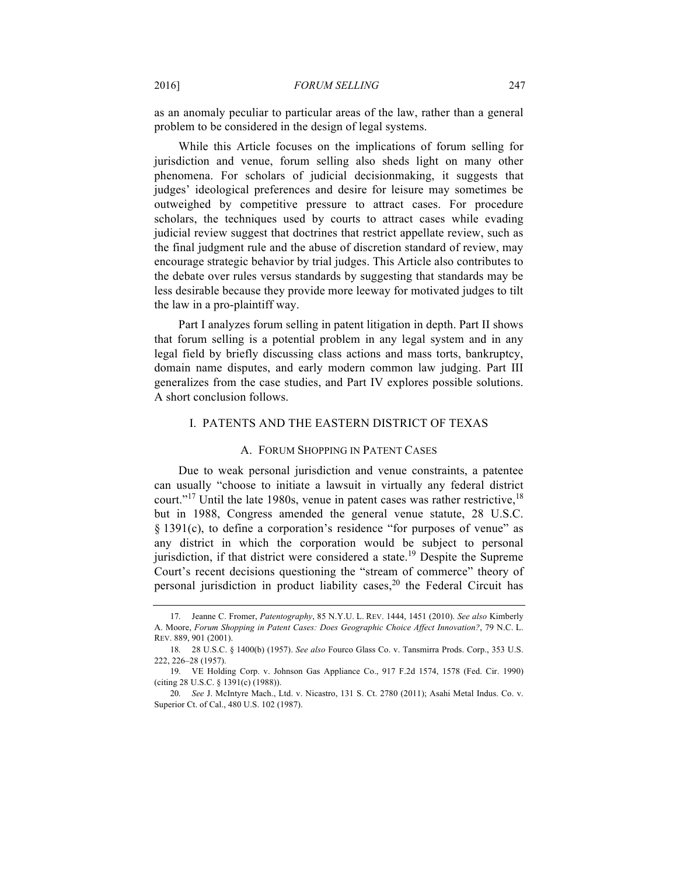as an anomaly peculiar to particular areas of the law, rather than a general problem to be considered in the design of legal systems.

While this Article focuses on the implications of forum selling for jurisdiction and venue, forum selling also sheds light on many other phenomena. For scholars of judicial decisionmaking, it suggests that judges' ideological preferences and desire for leisure may sometimes be outweighed by competitive pressure to attract cases. For procedure scholars, the techniques used by courts to attract cases while evading judicial review suggest that doctrines that restrict appellate review, such as the final judgment rule and the abuse of discretion standard of review, may encourage strategic behavior by trial judges. This Article also contributes to the debate over rules versus standards by suggesting that standards may be less desirable because they provide more leeway for motivated judges to tilt the law in a pro-plaintiff way.

Part I analyzes forum selling in patent litigation in depth. Part II shows that forum selling is a potential problem in any legal system and in any legal field by briefly discussing class actions and mass torts, bankruptcy, domain name disputes, and early modern common law judging. Part III generalizes from the case studies, and Part IV explores possible solutions. A short conclusion follows.

# I. PATENTS AND THE EASTERN DISTRICT OF TEXAS

# A. FORUM SHOPPING IN PATENT CASES

Due to weak personal jurisdiction and venue constraints, a patentee can usually "choose to initiate a lawsuit in virtually any federal district court."<sup>17</sup> Until the late 1980s, venue in patent cases was rather restrictive,  $18$ but in 1988, Congress amended the general venue statute, 28 U.S.C. § 1391(c), to define a corporation's residence "for purposes of venue" as any district in which the corporation would be subject to personal jurisdiction, if that district were considered a state.<sup>19</sup> Despite the Supreme Court's recent decisions questioning the "stream of commerce" theory of personal jurisdiction in product liability cases, $2<sup>0</sup>$  the Federal Circuit has

<sup>17.</sup> Jeanne C. Fromer, *Patentography*, 85 N.Y.U. L. REV. 1444, 1451 (2010). *See also* Kimberly A. Moore, *Forum Shopping in Patent Cases: Does Geographic Choice Affect Innovation?*, 79 N.C. L. REV. 889, 901 (2001).

<sup>18.</sup> 28 U.S.C. § 1400(b) (1957). *See also* Fourco Glass Co. v. Tansmirra Prods. Corp., 353 U.S. 222, 226–28 (1957).

<sup>19.</sup> VE Holding Corp. v. Johnson Gas Appliance Co., 917 F.2d 1574, 1578 (Fed. Cir. 1990) (citing 28 U.S.C. § 1391(c) (1988)).

<sup>20.</sup> *See* J. McIntyre Mach., Ltd. v. Nicastro, 131 S. Ct. 2780 (2011); Asahi Metal Indus. Co. v. Superior Ct. of Cal., 480 U.S. 102 (1987).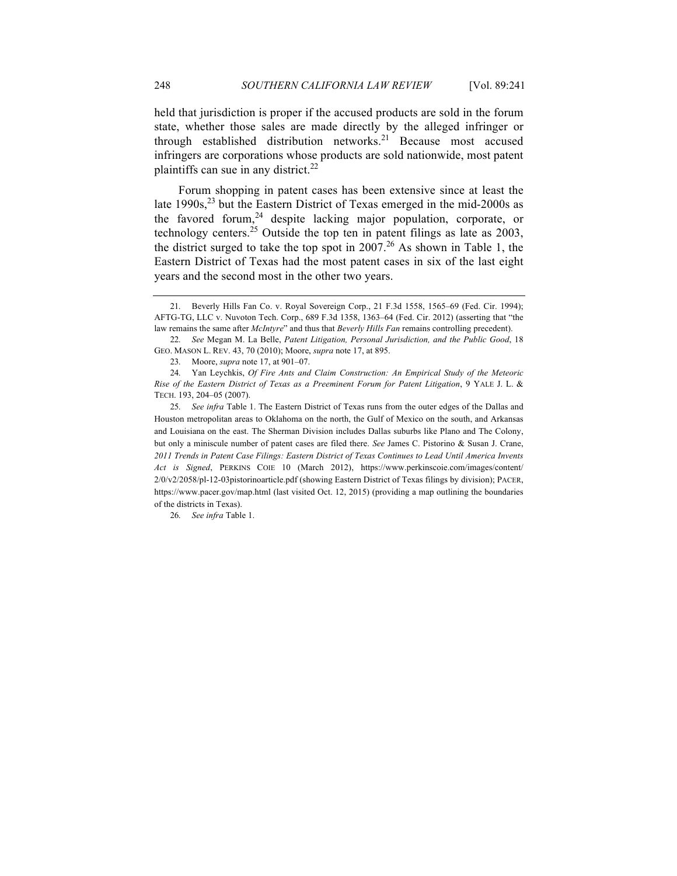held that jurisdiction is proper if the accused products are sold in the forum state, whether those sales are made directly by the alleged infringer or through established distribution networks.<sup>21</sup> Because most accused infringers are corporations whose products are sold nationwide, most patent plaintiffs can sue in any district.<sup>22</sup>

Forum shopping in patent cases has been extensive since at least the late  $1990s$ ,<sup>23</sup> but the Eastern District of Texas emerged in the mid-2000s as the favored forum,<sup>24</sup> despite lacking major population, corporate, or technology centers.<sup>25</sup> Outside the top ten in patent filings as late as  $2003$ , the district surged to take the top spot in  $2007<sup>26</sup>$  As shown in Table 1, the Eastern District of Texas had the most patent cases in six of the last eight years and the second most in the other two years.

<sup>21.</sup> Beverly Hills Fan Co. v. Royal Sovereign Corp., 21 F.3d 1558, 1565–69 (Fed. Cir. 1994); AFTG-TG, LLC v. Nuvoton Tech. Corp., 689 F.3d 1358, 1363–64 (Fed. Cir. 2012) (asserting that "the law remains the same after *McIntyre*" and thus that *Beverly Hills Fan* remains controlling precedent).

<sup>22.</sup> *See* Megan M. La Belle, *Patent Litigation, Personal Jurisdiction, and the Public Good*, 18 GEO. MASON L. REV. 43, 70 (2010); Moore, *supra* note 17, at 895.

<sup>23.</sup> Moore, *supra* note 17, at 901–07.

<sup>24.</sup> Yan Leychkis, *Of Fire Ants and Claim Construction: An Empirical Study of the Meteoric Rise of the Eastern District of Texas as a Preeminent Forum for Patent Litigation*, 9 YALE J. L. & TECH. 193, 204–05 (2007).

<sup>25.</sup> *See infra* Table 1. The Eastern District of Texas runs from the outer edges of the Dallas and Houston metropolitan areas to Oklahoma on the north, the Gulf of Mexico on the south, and Arkansas and Louisiana on the east. The Sherman Division includes Dallas suburbs like Plano and The Colony, but only a miniscule number of patent cases are filed there. *See* James C. Pistorino & Susan J. Crane, *2011 Trends in Patent Case Filings: Eastern District of Texas Continues to Lead Until America Invents Act is Signed*, PERKINS COIE 10 (March 2012), https://www.perkinscoie.com/images/content/ 2/0/v2/2058/pl-12-03pistorinoarticle.pdf (showing Eastern District of Texas filings by division); PACER, https://www.pacer.gov/map.html (last visited Oct. 12, 2015) (providing a map outlining the boundaries of the districts in Texas).

<sup>26.</sup> *See infra* Table 1.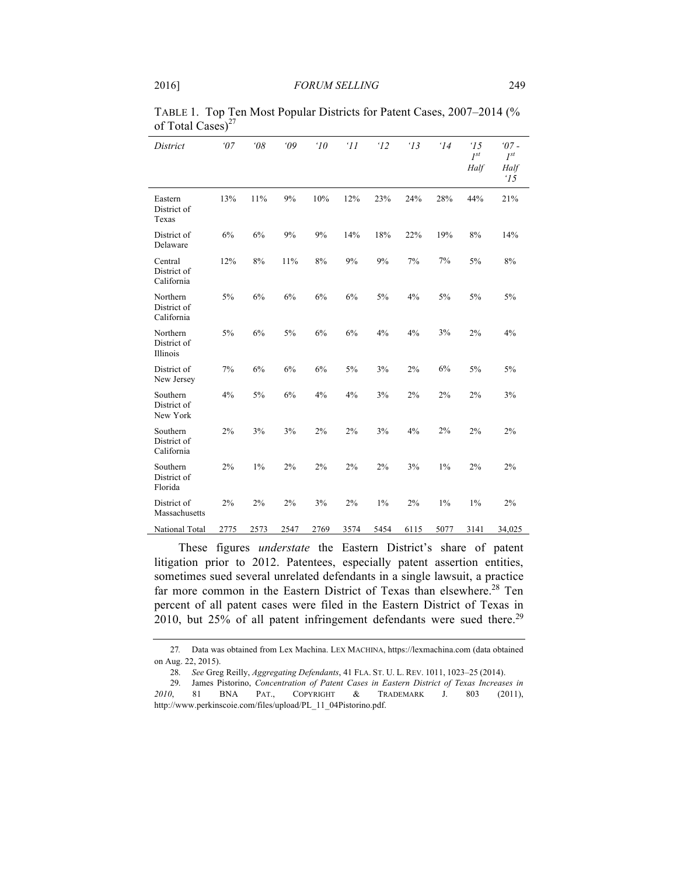2016] *FORUM SELLING* 249

| District                              | 07   | 08    | 09   | 10   | 11   | '12   | 13   | '14   | '15<br>$I^{st}$<br>Half | '07 -<br>$I^{st}$<br>Half<br>'15 |
|---------------------------------------|------|-------|------|------|------|-------|------|-------|-------------------------|----------------------------------|
| Eastern<br>District of<br>Texas       | 13%  | 11%   | 9%   | 10%  | 12%  | 23%   | 24%  | 28%   | 44%                     | 21%                              |
| District of<br>Delaware               | 6%   | 6%    | 9%   | 9%   | 14%  | 18%   | 22%  | 19%   | 8%                      | 14%                              |
| Central<br>District of<br>California  | 12%  | 8%    | 11%  | 8%   | 9%   | 9%    | 7%   | 7%    | 5%                      | 8%                               |
| Northern<br>District of<br>California | 5%   | 6%    | 6%   | 6%   | 6%   | 5%    | 4%   | 5%    | 5%                      | 5%                               |
| Northern<br>District of<br>Illinois   | 5%   | 6%    | 5%   | 6%   | 6%   | 4%    | 4%   | 3%    | 2%                      | 4%                               |
| District of<br>New Jersey             | 7%   | 6%    | 6%   | 6%   | 5%   | 3%    | 2%   | 6%    | 5%                      | 5%                               |
| Southern<br>District of<br>New York   | 4%   | 5%    | 6%   | 4%   | 4%   | 3%    | 2%   | 2%    | 2%                      | 3%                               |
| Southern<br>District of<br>California | 2%   | 3%    | 3%   | 2%   | 2%   | 3%    | 4%   | 2%    | 2%                      | 2%                               |
| Southern<br>District of<br>Florida    | 2%   | $1\%$ | 2%   | 2%   | 2%   | 2%    | 3%   | $1\%$ | 2%                      | 2%                               |
| District of<br>Massachusetts          | 2%   | 2%    | 2%   | 3%   | 2%   | $1\%$ | 2%   | $1\%$ | $1\%$                   | 2%                               |
| National Total                        | 2775 | 2573  | 2547 | 2769 | 3574 | 5454  | 6115 | 5077  | 3141                    | 34,025                           |

TABLE 1. Top Ten Most Popular Districts for Patent Cases, 2007–2014 (% of Total Cases $)^{27}$ 

These figures *understate* the Eastern District's share of patent litigation prior to 2012. Patentees, especially patent assertion entities, sometimes sued several unrelated defendants in a single lawsuit, a practice far more common in the Eastern District of Texas than elsewhere.<sup>28</sup> Ten percent of all patent cases were filed in the Eastern District of Texas in 2010, but 25% of all patent infringement defendants were sued there.<sup>29</sup>

<sup>27</sup>*.* Data was obtained from Lex Machina. LEX MACHINA, https://lexmachina.com (data obtained on Aug. 22, 2015).

<sup>28.</sup> *See* Greg Reilly, *Aggregating Defendants*, 41 FLA. ST. U. L. REV. 1011, 1023–25 (2014).

<sup>29.</sup> James Pistorino, *Concentration of Patent Cases in Eastern District of Texas Increases in 2010*, 81 BNA PAT., COPYRIGHT & TRADEMARK J. 803 (2011), http://www.perkinscoie.com/files/upload/PL\_11\_04Pistorino.pdf.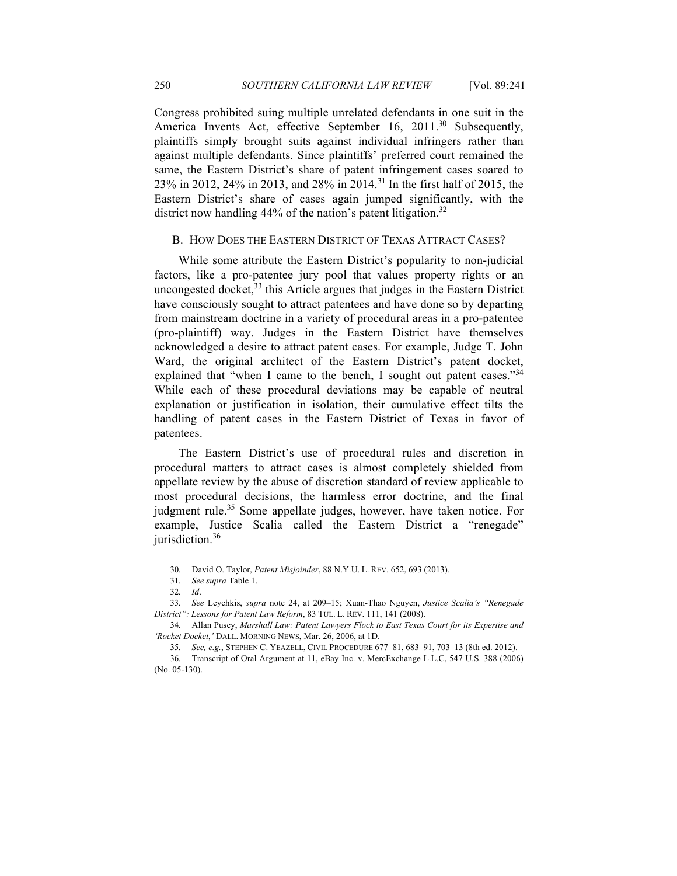Congress prohibited suing multiple unrelated defendants in one suit in the America Invents Act, effective September 16, 2011.<sup>30</sup> Subsequently, plaintiffs simply brought suits against individual infringers rather than against multiple defendants. Since plaintiffs' preferred court remained the same, the Eastern District's share of patent infringement cases soared to 23% in 2012, 24% in 2013, and 28% in 2014.<sup>31</sup> In the first half of 2015, the Eastern District's share of cases again jumped significantly, with the district now handling  $44\%$  of the nation's patent litigation.<sup>32</sup>

## B. HOW DOES THE EASTERN DISTRICT OF TEXAS ATTRACT CASES?

While some attribute the Eastern District's popularity to non-judicial factors, like a pro-patentee jury pool that values property rights or an uncongested docket. $33$  this Article argues that judges in the Eastern District have consciously sought to attract patentees and have done so by departing from mainstream doctrine in a variety of procedural areas in a pro-patentee (pro-plaintiff) way. Judges in the Eastern District have themselves acknowledged a desire to attract patent cases. For example, Judge T. John Ward, the original architect of the Eastern District's patent docket, explained that "when I came to the bench, I sought out patent cases."<sup>34</sup> While each of these procedural deviations may be capable of neutral explanation or justification in isolation, their cumulative effect tilts the handling of patent cases in the Eastern District of Texas in favor of patentees.

The Eastern District's use of procedural rules and discretion in procedural matters to attract cases is almost completely shielded from appellate review by the abuse of discretion standard of review applicable to most procedural decisions, the harmless error doctrine, and the final judgment rule.<sup>35</sup> Some appellate judges, however, have taken notice. For example, Justice Scalia called the Eastern District a "renegade" jurisdiction.<sup>36</sup>

<sup>30.</sup> David O. Taylor, *Patent Misjoinder*, 88 N.Y.U. L. REV. 652, 693 (2013).

<sup>31.</sup> *See supra* Table 1.

<sup>32.</sup> *Id*.

<sup>33.</sup> *See* Leychkis, *supra* note 24, at 209–15; Xuan-Thao Nguyen, *Justice Scalia's "Renegade District": Lessons for Patent Law Reform*, 83 TUL. L. REV. 111, 141 (2008).

<sup>34.</sup> Allan Pusey, *Marshall Law: Patent Lawyers Flock to East Texas Court for its Expertise and 'Rocket Docket*,*'* DALL. MORNING NEWS, Mar. 26, 2006, at 1D.

<sup>35.</sup> *See, e.g.*, STEPHEN C. YEAZELL, CIVIL PROCEDURE 677–81, 683–91, 703–13 (8th ed. 2012).

<sup>36.</sup> Transcript of Oral Argument at 11, eBay Inc. v. MercExchange L.L.C, 547 U.S. 388 (2006) (No. 05-130).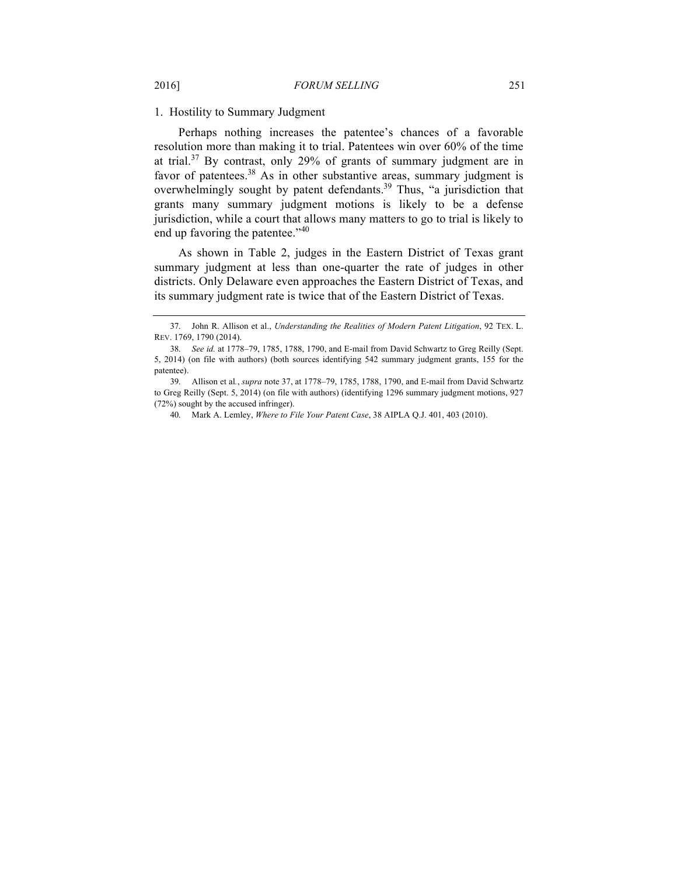1. Hostility to Summary Judgment

Perhaps nothing increases the patentee's chances of a favorable resolution more than making it to trial. Patentees win over 60% of the time at trial. $37$  By contrast, only 29% of grants of summary judgment are in favor of patentees.<sup>38</sup> As in other substantive areas, summary judgment is overwhelmingly sought by patent defendants.<sup>39</sup> Thus, "a jurisdiction that grants many summary judgment motions is likely to be a defense jurisdiction, while a court that allows many matters to go to trial is likely to end up favoring the patentee."<sup>40</sup>

As shown in Table 2, judges in the Eastern District of Texas grant summary judgment at less than one-quarter the rate of judges in other districts. Only Delaware even approaches the Eastern District of Texas, and its summary judgment rate is twice that of the Eastern District of Texas.

<sup>37.</sup> John R. Allison et al., *Understanding the Realities of Modern Patent Litigation*, 92 TEX. L. REV. 1769, 1790 (2014).

<sup>38.</sup> *See id.* at 1778–79, 1785, 1788, 1790, and E-mail from David Schwartz to Greg Reilly (Sept. 5, 2014) (on file with authors) (both sources identifying 542 summary judgment grants, 155 for the patentee).

<sup>39.</sup> Allison et al*.*, *supra* note 37, at 1778–79, 1785, 1788, 1790, and E-mail from David Schwartz to Greg Reilly (Sept. 5, 2014) (on file with authors) (identifying 1296 summary judgment motions, 927 (72%) sought by the accused infringer).

<sup>40.</sup> Mark A. Lemley, *Where to File Your Patent Case*, 38 AIPLA Q.J. 401, 403 (2010).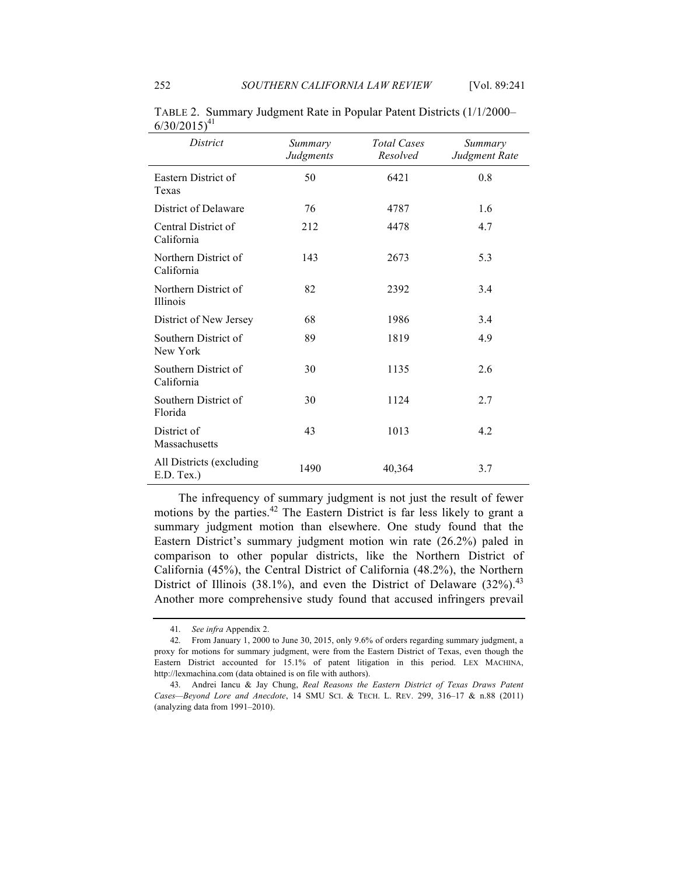| District                                | Summary<br>Judgments | <b>Total Cases</b><br>Resolved | Summary<br>Judgment Rate |
|-----------------------------------------|----------------------|--------------------------------|--------------------------|
| Eastern District of<br>Texas            | 50                   | 6421                           | 0.8                      |
| District of Delaware                    | 76                   | 4787                           | 1.6                      |
| Central District of<br>California       | 212                  | 4478                           | 4.7                      |
| Northern District of<br>California      | 143                  | 2673                           | 5.3                      |
| Northern District of<br><b>Illinois</b> | 82                   | 2392                           | 3.4                      |
| District of New Jersey                  | 68                   | 1986                           | 3.4                      |
| Southern District of<br>New York        | 89                   | 1819                           | 4.9                      |
| Southern District of<br>California      | 30                   | 1135                           | 2.6                      |
| Southern District of<br>Florida         | 30                   | 1124                           | 2.7                      |
| District of<br>Massachusetts            | 43                   | 1013                           | 4.2                      |
| All Districts (excluding<br>E.D. Tex.)  | 1490                 | 40,364                         | 3.7                      |

|                   |  |  |  | TABLE 2. Summary Judgment Rate in Popular Patent Districts (1/1/2000– |
|-------------------|--|--|--|-----------------------------------------------------------------------|
| $6/30/2015)^{41}$ |  |  |  |                                                                       |

The infrequency of summary judgment is not just the result of fewer motions by the parties.<sup>42</sup> The Eastern District is far less likely to grant a summary judgment motion than elsewhere. One study found that the Eastern District's summary judgment motion win rate (26.2%) paled in comparison to other popular districts, like the Northern District of California (45%), the Central District of California (48.2%), the Northern District of Illinois (38.1%), and even the District of Delaware (32%).<sup>43</sup> Another more comprehensive study found that accused infringers prevail

<sup>41.</sup> *See infra* Appendix 2.

<sup>42.</sup> From January 1, 2000 to June 30, 2015, only 9.6% of orders regarding summary judgment, a proxy for motions for summary judgment, were from the Eastern District of Texas, even though the Eastern District accounted for 15.1% of patent litigation in this period. LEX MACHINA, http://lexmachina.com (data obtained is on file with authors).

<sup>43.</sup> Andrei Iancu & Jay Chung, *Real Reasons the Eastern District of Texas Draws Patent Cases—Beyond Lore and Anecdote*, 14 SMU SCI. & TECH. L. REV. 299, 316–17 & n.88 (2011) (analyzing data from 1991–2010).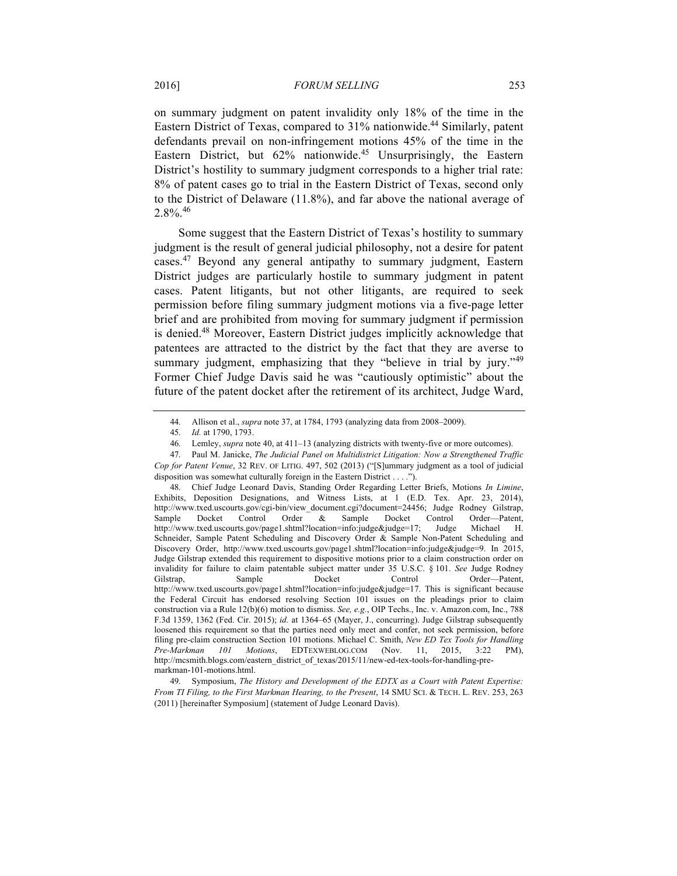on summary judgment on patent invalidity only 18% of the time in the Eastern District of Texas, compared to 31% nationwide.<sup>44</sup> Similarly, patent defendants prevail on non-infringement motions 45% of the time in the Eastern District, but 62% nationwide.<sup>45</sup> Unsurprisingly, the Eastern District's hostility to summary judgment corresponds to a higher trial rate: 8% of patent cases go to trial in the Eastern District of Texas, second only to the District of Delaware (11.8%), and far above the national average of 2.8%.<sup>46</sup>

Some suggest that the Eastern District of Texas's hostility to summary judgment is the result of general judicial philosophy, not a desire for patent cases.<sup>47</sup> Beyond any general antipathy to summary judgment, Eastern District judges are particularly hostile to summary judgment in patent cases. Patent litigants, but not other litigants, are required to seek permission before filing summary judgment motions via a five-page letter brief and are prohibited from moving for summary judgment if permission is denied.48 Moreover, Eastern District judges implicitly acknowledge that patentees are attracted to the district by the fact that they are averse to summary judgment, emphasizing that they "believe in trial by jury."<sup>49</sup> Former Chief Judge Davis said he was "cautiously optimistic" about the future of the patent docket after the retirement of its architect, Judge Ward,

<sup>44.</sup> Allison et al., *supra* note 37, at 1784, 1793 (analyzing data from 2008–2009).

<sup>45.</sup> *Id.* at 1790, 1793.

<sup>46.</sup> Lemley, *supra* note 40, at 411–13 (analyzing districts with twenty-five or more outcomes).

<sup>47.</sup> Paul M. Janicke, *The Judicial Panel on Multidistrict Litigation: Now a Strengthened Traffic Cop for Patent Venue*, 32 REV. OF LITIG. 497, 502 (2013) ("[S]ummary judgment as a tool of judicial disposition was somewhat culturally foreign in the Eastern District . . . .").

<sup>48.</sup> Chief Judge Leonard Davis, Standing Order Regarding Letter Briefs, Motions *In Limine*, Exhibits, Deposition Designations, and Witness Lists, at 1 (E.D. Tex. Apr. 23, 2014), http://www.txed.uscourts.gov/cgi-bin/view\_document.cgi?document=24456; Judge Rodney Gilstrap, Sample Docket Control Order & Sample Docket Control Order—Patent,<br>http://www.txed.uscourts.gov/page1.shtml?location=info:judge&judge=17; Judge Michael H. http://www.txed.uscourts.gov/page1.shtml?location=info:judge&judge=17; Schneider, Sample Patent Scheduling and Discovery Order & Sample Non-Patent Scheduling and Discovery Order, http://www.txed.uscourts.gov/page1.shtml?location=info:judge&judge=9. In 2015, Judge Gilstrap extended this requirement to dispositive motions prior to a claim construction order on invalidity for failure to claim patentable subject matter under 35 U.S.C. § 101. *See* Judge Rodney<br>Gilstrap, Sample Docket Control Order—Patent, Sample Docket Control Order—Patent, http://www.txed.uscourts.gov/page1.shtml?location=info:judge&judge=17. This is significant because the Federal Circuit has endorsed resolving Section 101 issues on the pleadings prior to claim construction via a Rule 12(b)(6) motion to dismiss. *See, e.g.*, OIP Techs., Inc. v. Amazon.com, Inc., 788 F.3d 1359, 1362 (Fed. Cir. 2015); *id.* at 1364–65 (Mayer, J., concurring). Judge Gilstrap subsequently loosened this requirement so that the parties need only meet and confer, not seek permission, before filing pre-claim construction Section 101 motions. Michael C. Smith, *New ED Tex Tools for Handling Pre-Markman 101 Motions*, EDTEXWEBLOG.COM (Nov. 11, 2015, 3:22 PM), http://mcsmith.blogs.com/eastern\_district\_of\_texas/2015/11/new-ed-tex-tools-for-handling-premarkman-101-motions.html.

<sup>49.</sup> Symposium, *The History and Development of the EDTX as a Court with Patent Expertise: From TI Filing, to the First Markman Hearing, to the Present*, 14 SMU SCI. & TECH. L. REV. 253, 263 (2011) [hereinafter Symposium] (statement of Judge Leonard Davis).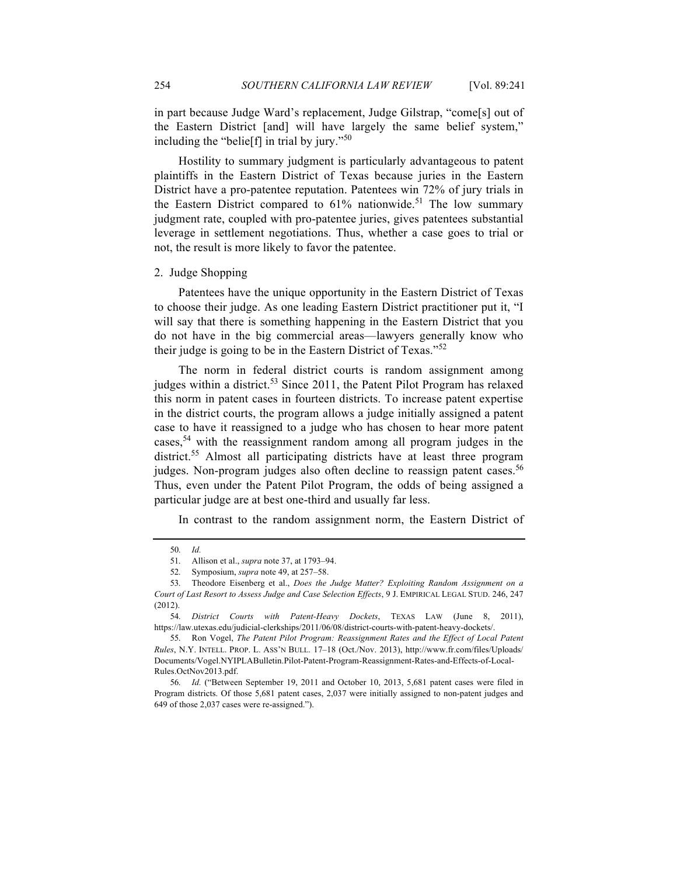in part because Judge Ward's replacement, Judge Gilstrap, "come[s] out of the Eastern District [and] will have largely the same belief system," including the "belie[f] in trial by jury."<sup>50</sup>

Hostility to summary judgment is particularly advantageous to patent plaintiffs in the Eastern District of Texas because juries in the Eastern District have a pro-patentee reputation. Patentees win 72% of jury trials in the Eastern District compared to  $61\%$  nationwide.<sup>51</sup> The low summary judgment rate, coupled with pro-patentee juries, gives patentees substantial leverage in settlement negotiations. Thus, whether a case goes to trial or not, the result is more likely to favor the patentee.

## 2. Judge Shopping

Patentees have the unique opportunity in the Eastern District of Texas to choose their judge. As one leading Eastern District practitioner put it, "I will say that there is something happening in the Eastern District that you do not have in the big commercial areas—lawyers generally know who their judge is going to be in the Eastern District of Texas."<sup>52</sup>

The norm in federal district courts is random assignment among judges within a district.<sup>53</sup> Since 2011, the Patent Pilot Program has relaxed this norm in patent cases in fourteen districts. To increase patent expertise in the district courts, the program allows a judge initially assigned a patent case to have it reassigned to a judge who has chosen to hear more patent cases,<sup>54</sup> with the reassignment random among all program judges in the district.<sup>55</sup> Almost all participating districts have at least three program judges. Non-program judges also often decline to reassign patent cases.<sup>56</sup> Thus, even under the Patent Pilot Program, the odds of being assigned a particular judge are at best one-third and usually far less.

In contrast to the random assignment norm, the Eastern District of

<sup>50.</sup> *Id.*

<sup>51.</sup> Allison et al., *supra* note 37, at 1793–94.

<sup>52.</sup> Symposium, *supra* note 49, at 257–58.

<sup>53.</sup> Theodore Eisenberg et al., *Does the Judge Matter? Exploiting Random Assignment on a Court of Last Resort to Assess Judge and Case Selection Effects*, 9 J. EMPIRICAL LEGAL STUD. 246, 247 (2012).

<sup>54.</sup> *District Courts with Patent-Heavy Dockets*, TEXAS LAW (June 8, 2011), https://law.utexas.edu/judicial-clerkships/2011/06/08/district-courts-with-patent-heavy-dockets/.

<sup>55.</sup> Ron Vogel, *The Patent Pilot Program: Reassignment Rates and the Effect of Local Patent Rules*, N.Y. INTELL. PROP. L. ASS'N BULL. 17–18 (Oct./Nov. 2013), http://www.fr.com/files/Uploads/ Documents/Vogel.NYIPLABulletin.Pilot-Patent-Program-Reassignment-Rates-and-Effects-of-Local-Rules.OctNov2013.pdf.

<sup>56.</sup> *Id.* ("Between September 19, 2011 and October 10, 2013, 5,681 patent cases were filed in Program districts. Of those 5,681 patent cases, 2,037 were initially assigned to non-patent judges and 649 of those 2,037 cases were re-assigned.").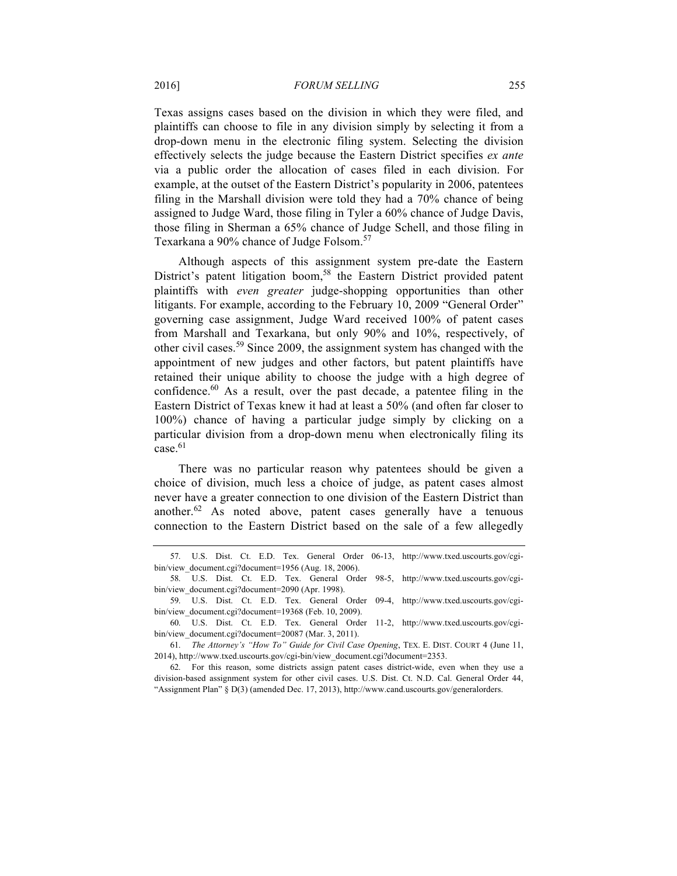Texas assigns cases based on the division in which they were filed, and plaintiffs can choose to file in any division simply by selecting it from a drop-down menu in the electronic filing system. Selecting the division effectively selects the judge because the Eastern District specifies *ex ante* via a public order the allocation of cases filed in each division. For example, at the outset of the Eastern District's popularity in 2006, patentees filing in the Marshall division were told they had a 70% chance of being assigned to Judge Ward, those filing in Tyler a 60% chance of Judge Davis, those filing in Sherman a 65% chance of Judge Schell, and those filing in Texarkana a 90% chance of Judge Folsom.<sup>57</sup>

Although aspects of this assignment system pre-date the Eastern District's patent litigation boom,<sup>58</sup> the Eastern District provided patent plaintiffs with *even greater* judge-shopping opportunities than other litigants. For example, according to the February 10, 2009 "General Order" governing case assignment, Judge Ward received 100% of patent cases from Marshall and Texarkana, but only 90% and 10%, respectively, of other civil cases.<sup>59</sup> Since 2009, the assignment system has changed with the appointment of new judges and other factors, but patent plaintiffs have retained their unique ability to choose the judge with a high degree of confidence. $60$  As a result, over the past decade, a patentee filing in the Eastern District of Texas knew it had at least a 50% (and often far closer to 100%) chance of having a particular judge simply by clicking on a particular division from a drop-down menu when electronically filing its  $case<sup>61</sup>$ 

There was no particular reason why patentees should be given a choice of division, much less a choice of judge, as patent cases almost never have a greater connection to one division of the Eastern District than another. $62$  As noted above, patent cases generally have a tenuous connection to the Eastern District based on the sale of a few allegedly

61. *The Attorney's "How To" Guide for Civil Case Opening*, TEX. E. DIST. COURT 4 (June 11, 2014), http://www.txed.uscourts.gov/cgi-bin/view\_document.cgi?document=2353.

62. For this reason, some districts assign patent cases district-wide, even when they use a division-based assignment system for other civil cases. U.S. Dist. Ct. N.D. Cal. General Order 44, "Assignment Plan" § D(3) (amended Dec. 17, 2013), http://www.cand.uscourts.gov/generalorders.

<sup>57.</sup> U.S. Dist. Ct. E.D. Tex. General Order 06-13, http://www.txed.uscourts.gov/cgibin/view\_document.cgi?document=1956 (Aug. 18, 2006).

<sup>58.</sup> U.S. Dist. Ct. E.D. Tex. General Order 98-5, http://www.txed.uscourts.gov/cgibin/view\_document.cgi?document=2090 (Apr. 1998).

<sup>59.</sup> U.S. Dist. Ct. E.D. Tex. General Order 09-4, http://www.txed.uscourts.gov/cgibin/view\_document.cgi?document=19368 (Feb. 10, 2009).

<sup>60.</sup> U.S. Dist. Ct. E.D. Tex. General Order 11-2, http://www.txed.uscourts.gov/cgibin/view\_document.cgi?document=20087 (Mar. 3, 2011).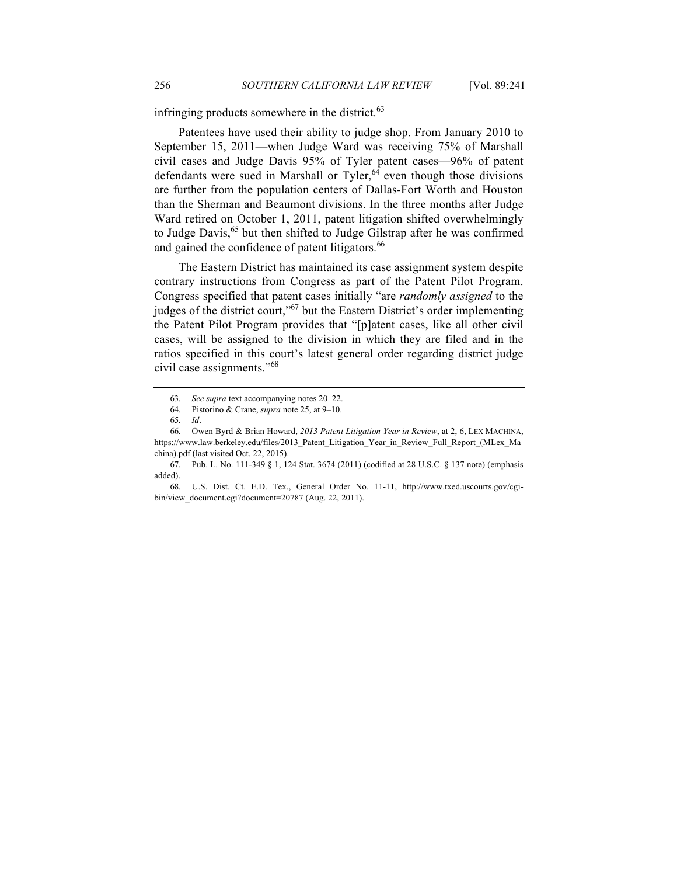infringing products somewhere in the district. $63$ 

Patentees have used their ability to judge shop. From January 2010 to September 15, 2011—when Judge Ward was receiving 75% of Marshall civil cases and Judge Davis 95% of Tyler patent cases—96% of patent defendants were sued in Marshall or Tyler, $64$  even though those divisions are further from the population centers of Dallas-Fort Worth and Houston than the Sherman and Beaumont divisions. In the three months after Judge Ward retired on October 1, 2011, patent litigation shifted overwhelmingly to Judge Davis,<sup>65</sup> but then shifted to Judge Gilstrap after he was confirmed and gained the confidence of patent litigators.<sup>66</sup>

The Eastern District has maintained its case assignment system despite contrary instructions from Congress as part of the Patent Pilot Program. Congress specified that patent cases initially "are *randomly assigned* to the judges of the district court,"<sup>67</sup> but the Eastern District's order implementing the Patent Pilot Program provides that "[p]atent cases, like all other civil cases, will be assigned to the division in which they are filed and in the ratios specified in this court's latest general order regarding district judge civil case assignments."<sup>68</sup>

<sup>63.</sup> *See supra* text accompanying notes 20–22.

<sup>64.</sup> Pistorino & Crane, *supra* note 25, at 9–10.

<sup>65.</sup> *Id*.

<sup>66.</sup> Owen Byrd & Brian Howard, *2013 Patent Litigation Year in Review*, at 2, 6, LEX MACHINA, https://www.law.berkeley.edu/files/2013\_Patent\_Litigation\_Year\_in\_Review\_Full\_Report\_(MLex\_Ma china).pdf (last visited Oct. 22, 2015).

<sup>67.</sup> Pub. L. No. 111-349 § 1, 124 Stat. 3674 (2011) (codified at 28 U.S.C. § 137 note) (emphasis added).

<sup>68.</sup> U.S. Dist. Ct. E.D. Tex., General Order No. 11-11, http://www.txed.uscourts.gov/cgibin/view\_document.cgi?document=20787 (Aug. 22, 2011).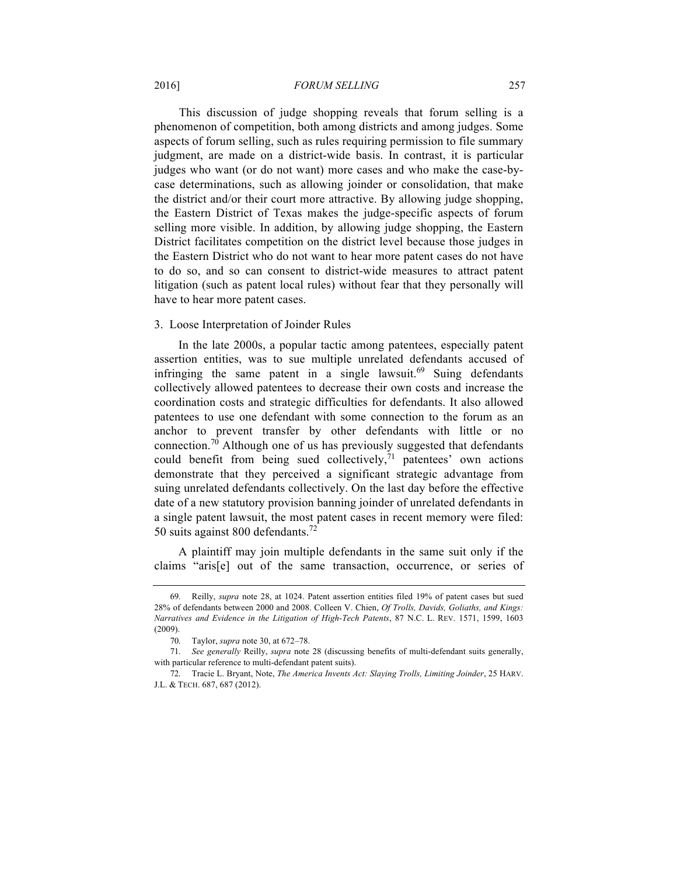## 2016] *FORUM SELLING* 257

This discussion of judge shopping reveals that forum selling is a phenomenon of competition, both among districts and among judges. Some aspects of forum selling, such as rules requiring permission to file summary judgment, are made on a district-wide basis. In contrast, it is particular judges who want (or do not want) more cases and who make the case-bycase determinations, such as allowing joinder or consolidation, that make the district and/or their court more attractive. By allowing judge shopping, the Eastern District of Texas makes the judge-specific aspects of forum selling more visible. In addition, by allowing judge shopping, the Eastern District facilitates competition on the district level because those judges in the Eastern District who do not want to hear more patent cases do not have to do so, and so can consent to district-wide measures to attract patent litigation (such as patent local rules) without fear that they personally will have to hear more patent cases.

#### 3. Loose Interpretation of Joinder Rules

In the late 2000s, a popular tactic among patentees, especially patent assertion entities, was to sue multiple unrelated defendants accused of infringing the same patent in a single lawsuit.<sup>69</sup> Suing defendants collectively allowed patentees to decrease their own costs and increase the coordination costs and strategic difficulties for defendants. It also allowed patentees to use one defendant with some connection to the forum as an anchor to prevent transfer by other defendants with little or no connection.<sup>70</sup> Although one of us has previously suggested that defendants could benefit from being sued collectively,<sup>71</sup> patentees' own actions demonstrate that they perceived a significant strategic advantage from suing unrelated defendants collectively. On the last day before the effective date of a new statutory provision banning joinder of unrelated defendants in a single patent lawsuit, the most patent cases in recent memory were filed: 50 suits against 800 defendants.72

A plaintiff may join multiple defendants in the same suit only if the claims "aris[e] out of the same transaction, occurrence, or series of

<sup>69.</sup> Reilly, *supra* note 28, at 1024. Patent assertion entities filed 19% of patent cases but sued 28% of defendants between 2000 and 2008. Colleen V. Chien, *Of Trolls, Davids, Goliaths, and Kings: Narratives and Evidence in the Litigation of High-Tech Patents*, 87 N.C. L. REV. 1571, 1599, 1603 (2009).

<sup>70.</sup> Taylor, *supra* note 30, at 672–78.

<sup>71.</sup> *See generally* Reilly, *supra* note 28 (discussing benefits of multi-defendant suits generally, with particular reference to multi-defendant patent suits).

<sup>72.</sup> Tracie L. Bryant, Note, *The America Invents Act: Slaying Trolls, Limiting Joinder*, 25 HARV. J.L. & TECH. 687, 687 (2012).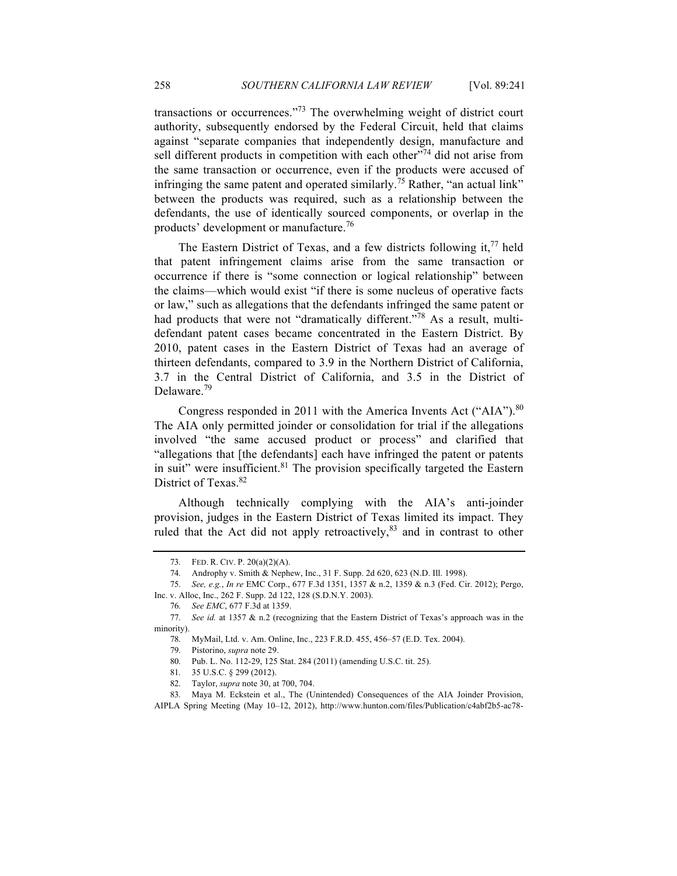transactions or occurrences."<sup>73</sup> The overwhelming weight of district court authority, subsequently endorsed by the Federal Circuit, held that claims against "separate companies that independently design, manufacture and sell different products in competition with each other<sup>"74</sup> did not arise from the same transaction or occurrence, even if the products were accused of infringing the same patent and operated similarly.<sup>75</sup> Rather, "an actual link" between the products was required, such as a relationship between the defendants, the use of identically sourced components, or overlap in the products' development or manufacture.<sup>76</sup>

The Eastern District of Texas, and a few districts following it,  $77$  held that patent infringement claims arise from the same transaction or occurrence if there is "some connection or logical relationship" between the claims—which would exist "if there is some nucleus of operative facts or law," such as allegations that the defendants infringed the same patent or had products that were not "dramatically different."<sup>78</sup> As a result, multidefendant patent cases became concentrated in the Eastern District. By 2010, patent cases in the Eastern District of Texas had an average of thirteen defendants, compared to 3.9 in the Northern District of California, 3.7 in the Central District of California, and 3.5 in the District of Delaware.<sup>79</sup>

Congress responded in 2011 with the America Invents Act ("AIA"). $80$ The AIA only permitted joinder or consolidation for trial if the allegations involved "the same accused product or process" and clarified that "allegations that [the defendants] each have infringed the patent or patents in suit" were insufficient.<sup>81</sup> The provision specifically targeted the Eastern District of Texas.<sup>82</sup>

Although technically complying with the AIA's anti-joinder provision, judges in the Eastern District of Texas limited its impact. They ruled that the Act did not apply retroactively, $83$  and in contrast to other

<sup>73.</sup> FED. R. CIV. P. 20(a)(2)(A).

<sup>74.</sup> Androphy v. Smith & Nephew, Inc., 31 F. Supp. 2d 620, 623 (N.D. Ill. 1998).

<sup>75.</sup> *See, e.g.*, *In re* EMC Corp., 677 F.3d 1351, 1357 & n.2, 1359 & n.3 (Fed. Cir. 2012); Pergo, Inc. v. Alloc, Inc., 262 F. Supp. 2d 122, 128 (S.D.N.Y. 2003).

<sup>76.</sup> *See EMC*, 677 F.3d at 1359.

<sup>77.</sup> *See id.* at 1357 & n.2 (recognizing that the Eastern District of Texas's approach was in the minority).

<sup>78.</sup> MyMail, Ltd. v. Am. Online, Inc., 223 F.R.D. 455, 456–57 (E.D. Tex. 2004).

<sup>79.</sup> Pistorino, *supra* note 29.

<sup>80.</sup> Pub. L. No. 112-29, 125 Stat. 284 (2011) (amending U.S.C. tit. 25).

<sup>81.</sup> 35 U.S.C. § 299 (2012).

<sup>82.</sup> Taylor, *supra* note 30, at 700, 704.

<sup>83.</sup> Maya M. Eckstein et al., The (Unintended) Consequences of the AIA Joinder Provision, AIPLA Spring Meeting (May 10–12, 2012), http://www.hunton.com/files/Publication/c4abf2b5-ac78-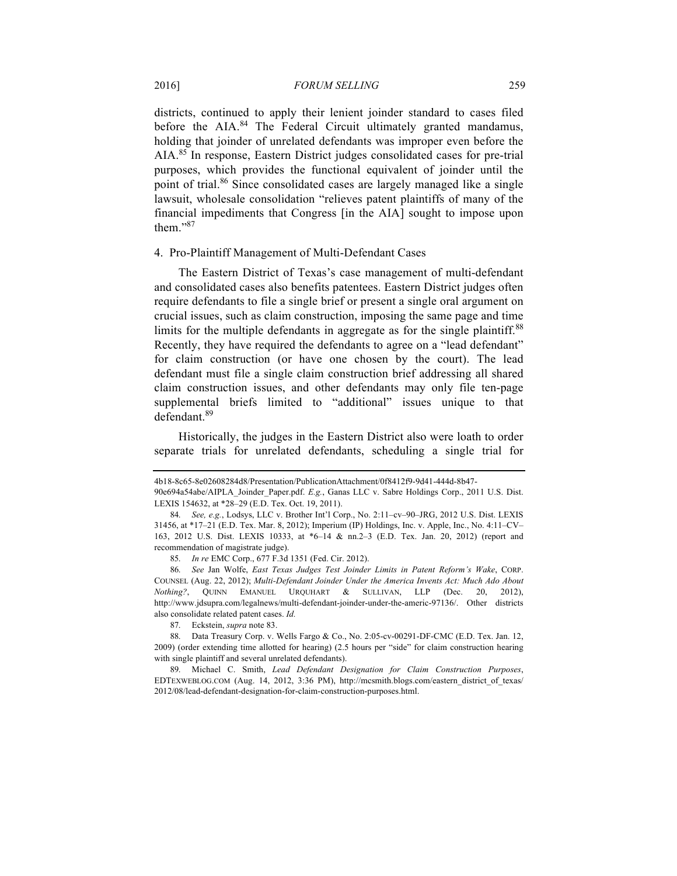districts, continued to apply their lenient joinder standard to cases filed before the AIA.<sup>84</sup> The Federal Circuit ultimately granted mandamus, holding that joinder of unrelated defendants was improper even before the AIA.<sup>85</sup> In response, Eastern District judges consolidated cases for pre-trial purposes, which provides the functional equivalent of joinder until the point of trial.<sup>86</sup> Since consolidated cases are largely managed like a single lawsuit, wholesale consolidation "relieves patent plaintiffs of many of the financial impediments that Congress [in the AIA] sought to impose upon them<sup>"87</sup>

#### 4. Pro-Plaintiff Management of Multi-Defendant Cases

The Eastern District of Texas's case management of multi-defendant and consolidated cases also benefits patentees. Eastern District judges often require defendants to file a single brief or present a single oral argument on crucial issues, such as claim construction, imposing the same page and time limits for the multiple defendants in aggregate as for the single plaintiff.<sup>88</sup> Recently, they have required the defendants to agree on a "lead defendant" for claim construction (or have one chosen by the court). The lead defendant must file a single claim construction brief addressing all shared claim construction issues, and other defendants may only file ten-page supplemental briefs limited to "additional" issues unique to that defendant.89

Historically, the judges in the Eastern District also were loath to order separate trials for unrelated defendants, scheduling a single trial for

86. *See* Jan Wolfe, *East Texas Judges Test Joinder Limits in Patent Reform's Wake*, CORP. COUNSEL (Aug. 22, 2012); *Multi-Defendant Joinder Under the America Invents Act: Much Ado About Nothing?*, QUINN EMANUEL URQUHART & SULLIVAN, LLP (Dec. 20, 2012), http://www.jdsupra.com/legalnews/multi-defendant-joinder-under-the-americ-97136/. Other districts also consolidate related patent cases. *Id.*

<sup>4</sup>b18-8c65-8e02608284d8/Presentation/PublicationAttachment/0f8412f9-9d41-444d-8b47-

<sup>90</sup>e694a54abe/AIPLA\_Joinder\_Paper.pdf. *E.g.*, Ganas LLC v. Sabre Holdings Corp., 2011 U.S. Dist. LEXIS 154632, at \*28–29 (E.D. Tex. Oct. 19, 2011).

<sup>84.</sup> *See, e.g.*, Lodsys, LLC v. Brother Int'l Corp., No. 2:11–cv–90–JRG, 2012 U.S. Dist. LEXIS 31456, at \*17–21 (E.D. Tex. Mar. 8, 2012); Imperium (IP) Holdings, Inc. v. Apple, Inc., No. 4:11–CV– 163, 2012 U.S. Dist. LEXIS 10333, at \*6–14 & nn.2–3 (E.D. Tex. Jan. 20, 2012) (report and recommendation of magistrate judge).

<sup>85.</sup> *In re* EMC Corp., 677 F.3d 1351 (Fed. Cir. 2012).

<sup>87.</sup> Eckstein, *supra* note 83.

<sup>88.</sup> Data Treasury Corp. v. Wells Fargo & Co., No. 2:05-cv-00291-DF-CMC (E.D. Tex. Jan. 12, 2009) (order extending time allotted for hearing) (2.5 hours per "side" for claim construction hearing with single plaintiff and several unrelated defendants).

<sup>89.</sup> Michael C. Smith, *Lead Defendant Designation for Claim Construction Purposes*, EDTEXWEBLOG.COM (Aug. 14, 2012, 3:36 PM), http://mcsmith.blogs.com/eastern\_district\_of\_texas/ 2012/08/lead-defendant-designation-for-claim-construction-purposes.html.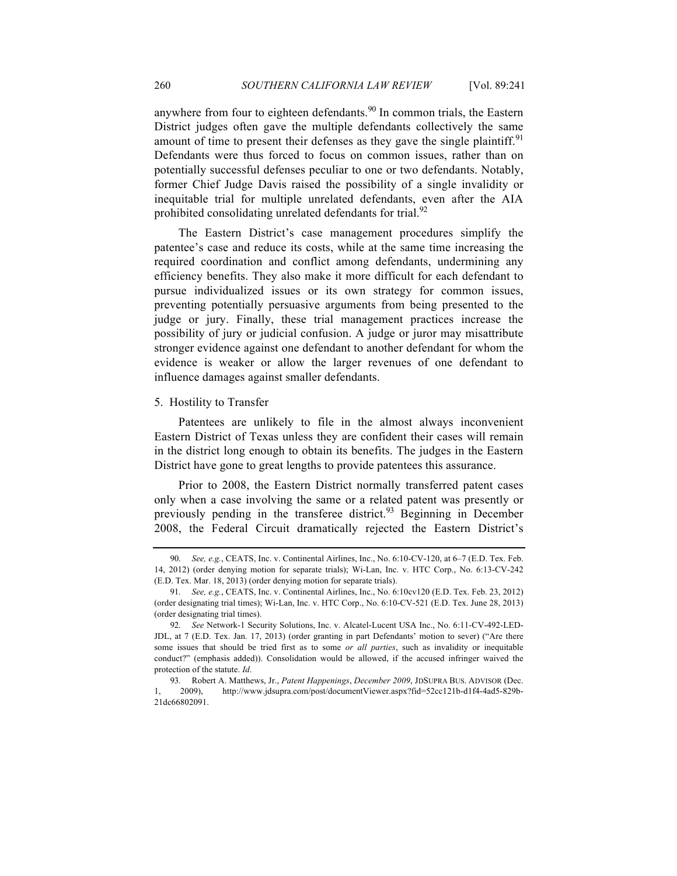anywhere from four to eighteen defendants.<sup>90</sup> In common trials, the Eastern District judges often gave the multiple defendants collectively the same amount of time to present their defenses as they gave the single plaintiff.<sup>91</sup> Defendants were thus forced to focus on common issues, rather than on potentially successful defenses peculiar to one or two defendants. Notably, former Chief Judge Davis raised the possibility of a single invalidity or inequitable trial for multiple unrelated defendants, even after the AIA prohibited consolidating unrelated defendants for trial.<sup>92</sup>

The Eastern District's case management procedures simplify the patentee's case and reduce its costs, while at the same time increasing the required coordination and conflict among defendants, undermining any efficiency benefits. They also make it more difficult for each defendant to pursue individualized issues or its own strategy for common issues, preventing potentially persuasive arguments from being presented to the judge or jury. Finally, these trial management practices increase the possibility of jury or judicial confusion. A judge or juror may misattribute stronger evidence against one defendant to another defendant for whom the evidence is weaker or allow the larger revenues of one defendant to influence damages against smaller defendants.

#### 5. Hostility to Transfer

Patentees are unlikely to file in the almost always inconvenient Eastern District of Texas unless they are confident their cases will remain in the district long enough to obtain its benefits. The judges in the Eastern District have gone to great lengths to provide patentees this assurance.

Prior to 2008, the Eastern District normally transferred patent cases only when a case involving the same or a related patent was presently or previously pending in the transferee district.<sup>93</sup> Beginning in December 2008, the Federal Circuit dramatically rejected the Eastern District's

<sup>90.</sup> *See, e.g.*, CEATS, Inc. v. Continental Airlines, Inc., No. 6:10-CV-120, at 6–7 (E.D. Tex. Feb. 14, 2012) (order denying motion for separate trials); Wi-Lan, Inc. v. HTC Corp., No. 6:13-CV-242 (E.D. Tex. Mar. 18, 2013) (order denying motion for separate trials).

<sup>91.</sup> *See, e.g.*, CEATS, Inc. v. Continental Airlines, Inc., No. 6:10cv120 (E.D. Tex. Feb. 23, 2012) (order designating trial times); Wi-Lan, Inc. v. HTC Corp., No. 6:10-CV-521 (E.D. Tex. June 28, 2013) (order designating trial times).

<sup>92.</sup> *See* Network-1 Security Solutions, Inc. v. Alcatel-Lucent USA Inc., No. 6:11-CV-492-LED-JDL, at 7 (E.D. Tex. Jan. 17, 2013) (order granting in part Defendants' motion to sever) ("Are there some issues that should be tried first as to some *or all parties*, such as invalidity or inequitable conduct?" (emphasis added)). Consolidation would be allowed, if the accused infringer waived the protection of the statute. *Id*.

<sup>93.</sup> Robert A. Matthews, Jr., *Patent Happenings*, *December 2009*, JDSUPRA BUS. ADVISOR (Dec. 1, 2009), http://www.jdsupra.com/post/documentViewer.aspx?fid=52cc121b-d1f4-4ad5-829b-21dc66802091.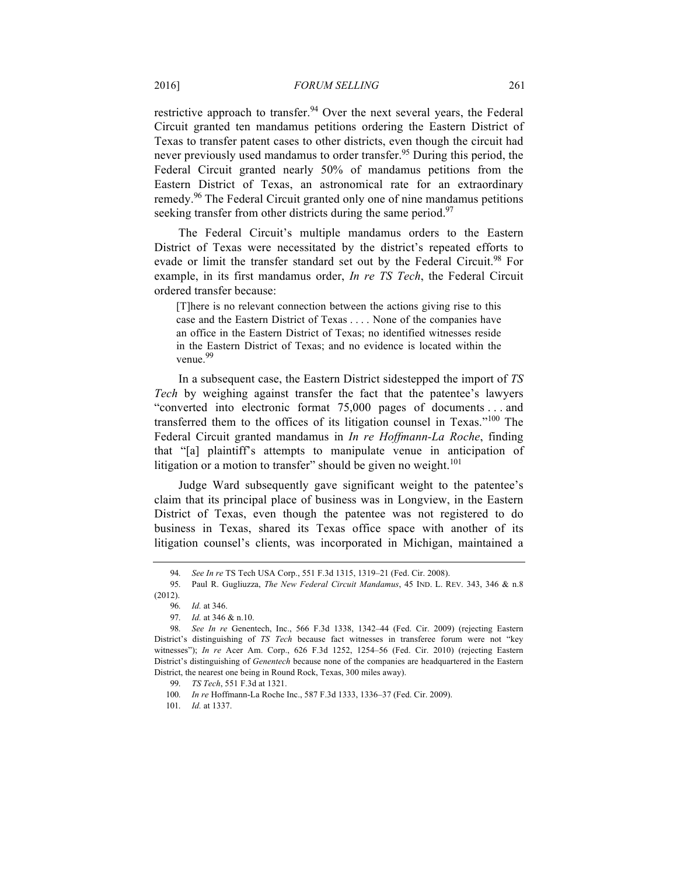restrictive approach to transfer.<sup>94</sup> Over the next several years, the Federal Circuit granted ten mandamus petitions ordering the Eastern District of Texas to transfer patent cases to other districts, even though the circuit had never previously used mandamus to order transfer.<sup>95</sup> During this period, the Federal Circuit granted nearly 50% of mandamus petitions from the Eastern District of Texas, an astronomical rate for an extraordinary remedy.<sup>96</sup> The Federal Circuit granted only one of nine mandamus petitions seeking transfer from other districts during the same period.<sup>97</sup>

The Federal Circuit's multiple mandamus orders to the Eastern District of Texas were necessitated by the district's repeated efforts to evade or limit the transfer standard set out by the Federal Circuit.<sup>98</sup> For example, in its first mandamus order, *In re TS Tech*, the Federal Circuit ordered transfer because:

[T]here is no relevant connection between the actions giving rise to this case and the Eastern District of Texas . . . . None of the companies have an office in the Eastern District of Texas; no identified witnesses reside in the Eastern District of Texas; and no evidence is located within the venue.<sup>99</sup>

In a subsequent case, the Eastern District sidestepped the import of *TS Tech* by weighing against transfer the fact that the patentee's lawyers "converted into electronic format 75,000 pages of documents . . . and transferred them to the offices of its litigation counsel in Texas."<sup>100</sup> The Federal Circuit granted mandamus in *In re Hoffmann-La Roche*, finding that "[a] plaintiff's attempts to manipulate venue in anticipation of litigation or a motion to transfer" should be given no weight.<sup>101</sup>

Judge Ward subsequently gave significant weight to the patentee's claim that its principal place of business was in Longview, in the Eastern District of Texas, even though the patentee was not registered to do business in Texas, shared its Texas office space with another of its litigation counsel's clients, was incorporated in Michigan, maintained a

<sup>94.</sup> *See In re* TS Tech USA Corp., 551 F.3d 1315, 1319–21 (Fed. Cir. 2008).

<sup>95.</sup> Paul R. Gugliuzza, *The New Federal Circuit Mandamus*, 45 IND. L. REV. 343, 346 & n.8 (2012).

<sup>96.</sup> *Id.* at 346.

<sup>97.</sup> *Id.* at 346 & n.10.

<sup>98.</sup> *See In re* Genentech, Inc., 566 F.3d 1338, 1342–44 (Fed. Cir. 2009) (rejecting Eastern District's distinguishing of *TS Tech* because fact witnesses in transferee forum were not "key witnesses"); *In re* Acer Am. Corp., 626 F.3d 1252, 1254–56 (Fed. Cir. 2010) (rejecting Eastern District's distinguishing of *Genentech* because none of the companies are headquartered in the Eastern District, the nearest one being in Round Rock, Texas, 300 miles away).

<sup>99.</sup> *TS Tech*, 551 F.3d at 1321.

<sup>100.</sup> *In re* Hoffmann-La Roche Inc., 587 F.3d 1333, 1336–37 (Fed. Cir. 2009).

<sup>101.</sup> *Id.* at 1337.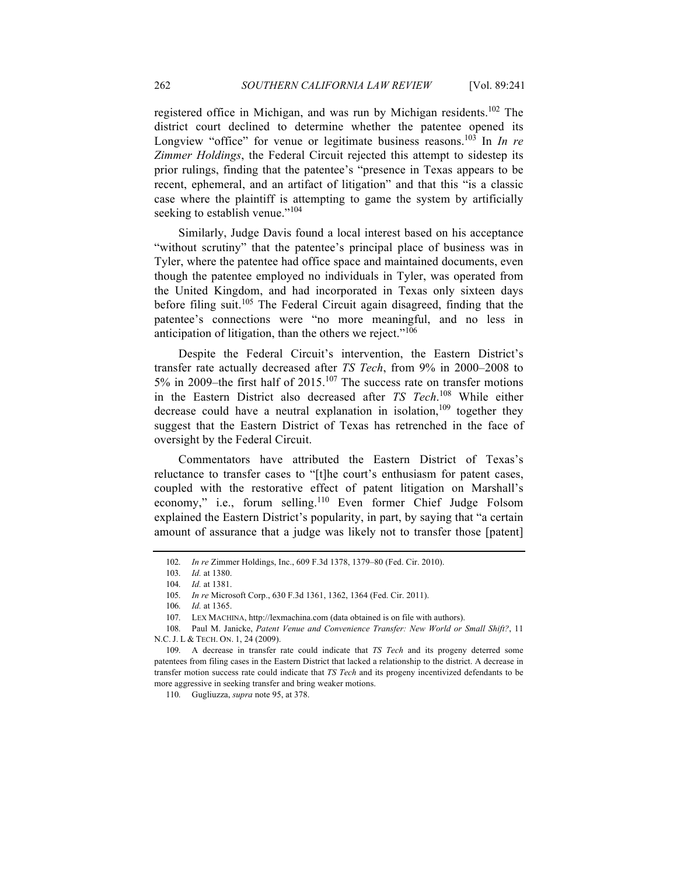registered office in Michigan, and was run by Michigan residents.102 The district court declined to determine whether the patentee opened its Longview "office" for venue or legitimate business reasons.<sup>103</sup> In *In re Zimmer Holdings*, the Federal Circuit rejected this attempt to sidestep its prior rulings, finding that the patentee's "presence in Texas appears to be recent, ephemeral, and an artifact of litigation" and that this "is a classic case where the plaintiff is attempting to game the system by artificially seeking to establish venue."<sup>104</sup>

Similarly, Judge Davis found a local interest based on his acceptance "without scrutiny" that the patentee's principal place of business was in Tyler, where the patentee had office space and maintained documents, even though the patentee employed no individuals in Tyler, was operated from the United Kingdom, and had incorporated in Texas only sixteen days before filing suit.<sup>105</sup> The Federal Circuit again disagreed, finding that the patentee's connections were "no more meaningful, and no less in anticipation of litigation, than the others we reject. $106$ 

Despite the Federal Circuit's intervention, the Eastern District's transfer rate actually decreased after *TS Tech*, from 9% in 2000–2008 to 5% in 2009–the first half of  $2015$ .<sup>107</sup> The success rate on transfer motions in the Eastern District also decreased after *TS Tech*. <sup>108</sup> While either decrease could have a neutral explanation in isolation, $109$  together they suggest that the Eastern District of Texas has retrenched in the face of oversight by the Federal Circuit.

Commentators have attributed the Eastern District of Texas's reluctance to transfer cases to "[t]he court's enthusiasm for patent cases, coupled with the restorative effect of patent litigation on Marshall's economy," i.e., forum selling.<sup>110</sup> Even former Chief Judge Folsom explained the Eastern District's popularity, in part, by saying that "a certain amount of assurance that a judge was likely not to transfer those [patent]

110. Gugliuzza, *supra* note 95, at 378.

<sup>102.</sup> *In re* Zimmer Holdings, Inc., 609 F.3d 1378, 1379–80 (Fed. Cir. 2010).

<sup>103.</sup> *Id.* at 1380.

<sup>104.</sup> *Id.* at 1381.

<sup>105.</sup> *In re* Microsoft Corp., 630 F.3d 1361, 1362, 1364 (Fed. Cir. 2011).

<sup>106.</sup> *Id.* at 1365.

<sup>107.</sup> LEX MACHINA, http://lexmachina.com (data obtained is on file with authors).

<sup>108.</sup> Paul M. Janicke, *Patent Venue and Convenience Transfer: New World or Small Shift?*, 11 N.C. J. L & TECH. ON. 1, 24 (2009).

<sup>109.</sup> A decrease in transfer rate could indicate that *TS Tech* and its progeny deterred some patentees from filing cases in the Eastern District that lacked a relationship to the district. A decrease in transfer motion success rate could indicate that *TS Tech* and its progeny incentivized defendants to be more aggressive in seeking transfer and bring weaker motions.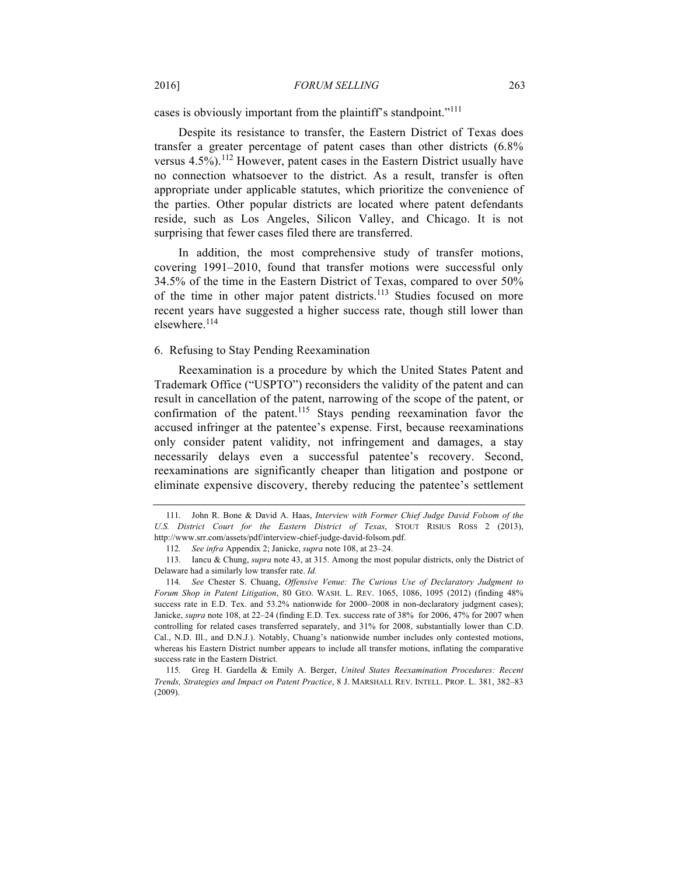cases is obviously important from the plaintiff's standpoint."<sup>111</sup>

Despite its resistance to transfer, the Eastern District of Texas does transfer a greater percentage of patent cases than other districts (6.8% versus  $4.5\%$ ).<sup>112</sup> However, patent cases in the Eastern District usually have no connection whatsoever to the district. As a result, transfer is often appropriate under applicable statutes, which prioritize the convenience of the parties. Other popular districts are located where patent defendants reside, such as Los Angeles, Silicon Valley, and Chicago. It is not surprising that fewer cases filed there are transferred.

In addition, the most comprehensive study of transfer motions, covering 1991–2010, found that transfer motions were successful only 34.5% of the time in the Eastern District of Texas, compared to over 50% of the time in other major patent districts.<sup>113</sup> Studies focused on more recent years have suggested a higher success rate, though still lower than elsewhere.<sup>114</sup>

#### 6. Refusing to Stay Pending Reexamination

Reexamination is a procedure by which the United States Patent and Trademark Office ("USPTO") reconsiders the validity of the patent and can result in cancellation of the patent, narrowing of the scope of the patent, or confirmation of the patent.<sup>115</sup> Stays pending reexamination favor the accused infringer at the patentee's expense. First, because reexaminations only consider patent validity, not infringement and damages, a stay necessarily delays even a successful patentee's recovery. Second, reexaminations are significantly cheaper than litigation and postpone or eliminate expensive discovery, thereby reducing the patentee's settlement

<sup>111.</sup> John R. Bone & David A. Haas, *Interview with Former Chief Judge David Folsom of the U.S. District Court for the Eastern District of Texas*, STOUT RISIUS ROSS 2 (2013), http://www.srr.com/assets/pdf/interview-chief-judge-david-folsom.pdf.

<sup>112.</sup> *See infra* Appendix 2; Janicke, *supra* note 108, at 23–24.

<sup>113.</sup> Iancu & Chung, *supra* note 43, at 315. Among the most popular districts, only the District of Delaware had a similarly low transfer rate. *Id.* 

<sup>114.</sup> *See* Chester S. Chuang, *Offensive Venue: The Curious Use of Declaratory Judgment to Forum Shop in Patent Litigation*, 80 GEO. WASH. L. REV. 1065, 1086, 1095 (2012) (finding 48% success rate in E.D. Tex. and 53.2% nationwide for 2000–2008 in non-declaratory judgment cases); Janicke, *supra* note 108, at 22–24 (finding E.D. Tex. success rate of 38% for 2006, 47% for 2007 when controlling for related cases transferred separately, and 31% for 2008, substantially lower than C.D. Cal., N.D. Ill., and D.N.J.). Notably, Chuang's nationwide number includes only contested motions, whereas his Eastern District number appears to include all transfer motions, inflating the comparative success rate in the Eastern District.

<sup>115.</sup> Greg H. Gardella & Emily A. Berger, *United States Reexamination Procedures: Recent Trends, Strategies and Impact on Patent Practice*, 8 J. MARSHALL REV. INTELL. PROP. L. 381, 382–83 (2009).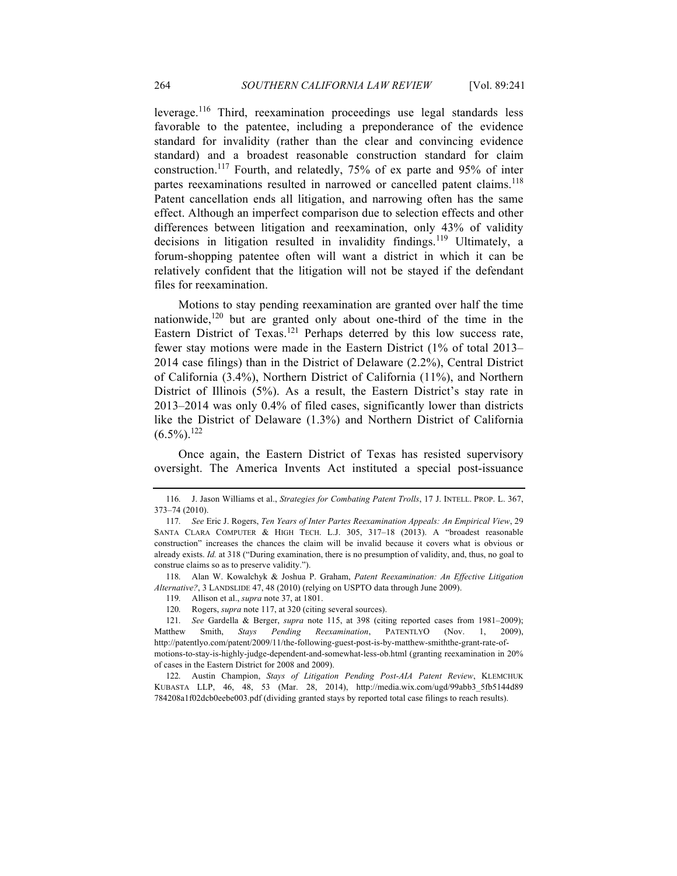leverage.<sup>116</sup> Third, reexamination proceedings use legal standards less favorable to the patentee, including a preponderance of the evidence standard for invalidity (rather than the clear and convincing evidence standard) and a broadest reasonable construction standard for claim construction.<sup>117</sup> Fourth, and relatedly, 75% of ex parte and 95% of inter partes reexaminations resulted in narrowed or cancelled patent claims.<sup>118</sup> Patent cancellation ends all litigation, and narrowing often has the same effect. Although an imperfect comparison due to selection effects and other differences between litigation and reexamination, only 43% of validity decisions in litigation resulted in invalidity findings.<sup>119</sup> Ultimately, a forum-shopping patentee often will want a district in which it can be relatively confident that the litigation will not be stayed if the defendant files for reexamination.

Motions to stay pending reexamination are granted over half the time nationwide, $120$  but are granted only about one-third of the time in the Eastern District of Texas.<sup>121</sup> Perhaps deterred by this low success rate, fewer stay motions were made in the Eastern District (1% of total 2013– 2014 case filings) than in the District of Delaware (2.2%), Central District of California (3.4%), Northern District of California (11%), and Northern District of Illinois (5%). As a result, the Eastern District's stay rate in 2013–2014 was only 0.4% of filed cases, significantly lower than districts like the District of Delaware (1.3%) and Northern District of California  $(6.5\%)$ <sup>122</sup>

Once again, the Eastern District of Texas has resisted supervisory oversight. The America Invents Act instituted a special post-issuance

118. Alan W. Kowalchyk & Joshua P. Graham, *Patent Reexamination: An Effective Litigation Alternative?*, 3 LANDSLIDE 47, 48 (2010) (relying on USPTO data through June 2009).

119. Allison et al., *supra* note 37, at 1801.

120. Rogers, *supra* note 117, at 320 (citing several sources).

121. *See* Gardella & Berger, *supra* note 115, at 398 (citing reported cases from 1981–2009); Matthew Smith, *Stays Pending Reexamination*, PATENTLYO (Nov. 1, 2009), http://patentlyo.com/patent/2009/11/the-following-guest-post-is-by-matthew-smiththe-grant-rate-ofmotions-to-stay-is-highly-judge-dependent-and-somewhat-less-ob.html (granting reexamination in 20% of cases in the Eastern District for 2008 and 2009).

122. Austin Champion, *Stays of Litigation Pending Post-AIA Patent Review*, KLEMCHUK KUBASTA LLP, 46, 48, 53 (Mar. 28, 2014), http://media.wix.com/ugd/99abb3\_5fb5144d89 784208a1f02dcb0eebe003.pdf (dividing granted stays by reported total case filings to reach results).

<sup>116.</sup> J. Jason Williams et al., *Strategies for Combating Patent Trolls*, 17 J. INTELL. PROP. L. 367, 373–74 (2010).

<sup>117.</sup> *See* Eric J. Rogers, *Ten Years of Inter Partes Reexamination Appeals: An Empirical View*, 29 SANTA CLARA COMPUTER & HIGH TECH. L.J. 305, 317–18 (2013). A "broadest reasonable construction" increases the chances the claim will be invalid because it covers what is obvious or already exists. *Id.* at 318 ("During examination, there is no presumption of validity, and, thus, no goal to construe claims so as to preserve validity.").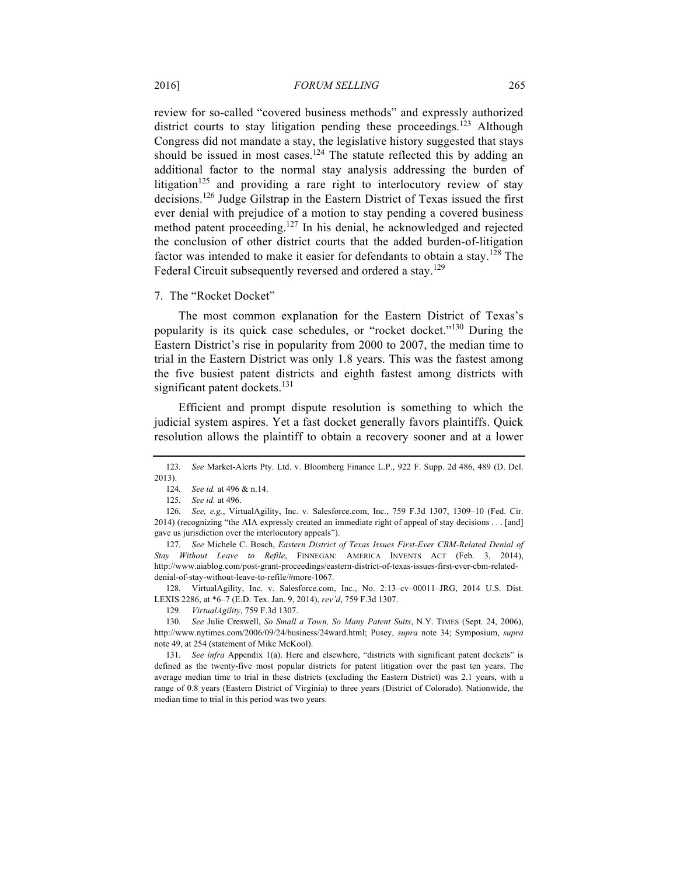review for so-called "covered business methods" and expressly authorized district courts to stay litigation pending these proceedings.<sup>123</sup> Although Congress did not mandate a stay, the legislative history suggested that stays should be issued in most cases.<sup>124</sup> The statute reflected this by adding an additional factor to the normal stay analysis addressing the burden of litigation<sup>125</sup> and providing a rare right to interlocutory review of stay decisions.<sup>126</sup> Judge Gilstrap in the Eastern District of Texas issued the first ever denial with prejudice of a motion to stay pending a covered business method patent proceeding.<sup>127</sup> In his denial, he acknowledged and rejected the conclusion of other district courts that the added burden-of-litigation factor was intended to make it easier for defendants to obtain a stay.<sup>128</sup> The Federal Circuit subsequently reversed and ordered a stay.<sup>129</sup>

#### 7. The "Rocket Docket"

The most common explanation for the Eastern District of Texas's popularity is its quick case schedules, or "rocket docket."<sup>130</sup> During the Eastern District's rise in popularity from 2000 to 2007, the median time to trial in the Eastern District was only 1.8 years. This was the fastest among the five busiest patent districts and eighth fastest among districts with significant patent dockets.<sup>131</sup>

Efficient and prompt dispute resolution is something to which the judicial system aspires. Yet a fast docket generally favors plaintiffs. Quick resolution allows the plaintiff to obtain a recovery sooner and at a lower

128. VirtualAgility, Inc. v. Salesforce.com, Inc., No. 2:13–cv–00011–JRG, 2014 U.S. Dist. LEXIS 2286, at \*6–7 (E.D. Tex. Jan. 9, 2014), *rev'd*, 759 F.3d 1307.

129*. VirtualAgility*, 759 F.3d 1307.

<sup>123.</sup> *See* Market-Alerts Pty. Ltd. v. Bloomberg Finance L.P., 922 F. Supp. 2d 486, 489 (D. Del. 2013).

<sup>124.</sup> *See id.* at 496 & n.14.

<sup>125.</sup> *See id.* at 496.

<sup>126.</sup> *See, e.g.*, VirtualAgility, Inc. v. Salesforce.com, Inc., 759 F.3d 1307, 1309–10 (Fed. Cir. 2014) (recognizing "the AIA expressly created an immediate right of appeal of stay decisions . . . [and] gave us jurisdiction over the interlocutory appeals").

<sup>127.</sup> *See* Michele C. Bosch, *Eastern District of Texas Issues First-Ever CBM-Related Denial of Stay Without Leave to Refile*, FINNEGAN: AMERICA INVENTS ACT (Feb. 3, 2014), http://www.aiablog.com/post-grant-proceedings/eastern-district-of-texas-issues-first-ever-cbm-relateddenial-of-stay-without-leave-to-refile/#more-1067.

<sup>130.</sup> *See* Julie Creswell, *So Small a Town, So Many Patent Suits*, N.Y. TIMES (Sept. 24, 2006), http://www.nytimes.com/2006/09/24/business/24ward.html; Pusey, *supra* note 34; Symposium, *supra* note 49, at 254 (statement of Mike McKool).

<sup>131.</sup> *See infra* Appendix 1(a). Here and elsewhere, "districts with significant patent dockets" is defined as the twenty-five most popular districts for patent litigation over the past ten years. The average median time to trial in these districts (excluding the Eastern District) was 2.1 years, with a range of 0.8 years (Eastern District of Virginia) to three years (District of Colorado). Nationwide, the median time to trial in this period was two years.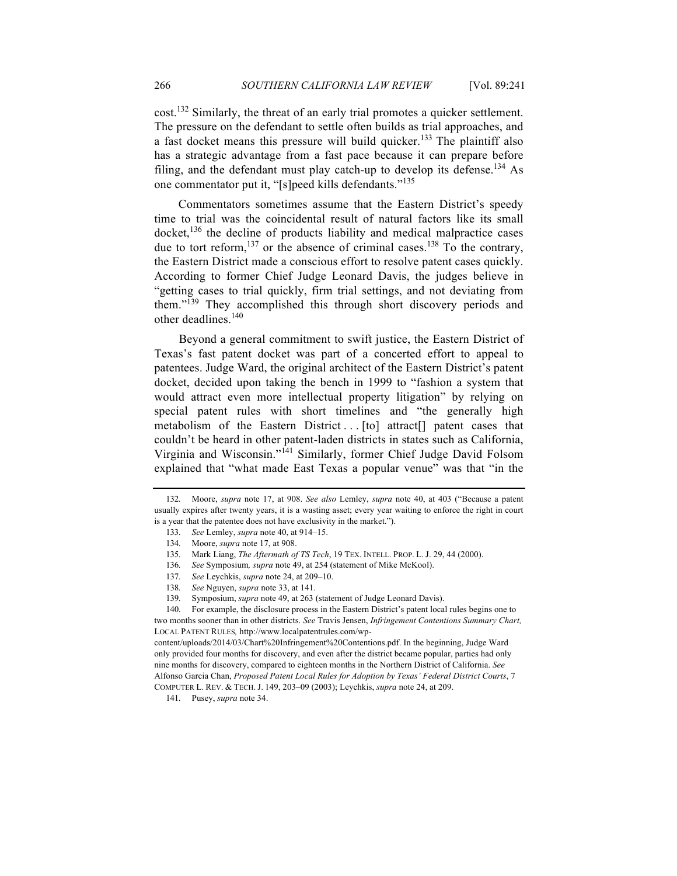cost.132 Similarly, the threat of an early trial promotes a quicker settlement. The pressure on the defendant to settle often builds as trial approaches, and a fast docket means this pressure will build quicker.<sup>133</sup> The plaintiff also has a strategic advantage from a fast pace because it can prepare before filing, and the defendant must play catch-up to develop its defense.<sup>134</sup> As one commentator put it, "[s]peed kills defendants."<sup>135</sup>

Commentators sometimes assume that the Eastern District's speedy time to trial was the coincidental result of natural factors like its small  $d\n\text{o}$ cket,  $^{136}$  the decline of products liability and medical malpractice cases due to tort reform,<sup>137</sup> or the absence of criminal cases.<sup>138</sup> To the contrary, the Eastern District made a conscious effort to resolve patent cases quickly. According to former Chief Judge Leonard Davis, the judges believe in "getting cases to trial quickly, firm trial settings, and not deviating from them."139 They accomplished this through short discovery periods and other deadlines.140

Beyond a general commitment to swift justice, the Eastern District of Texas's fast patent docket was part of a concerted effort to appeal to patentees. Judge Ward, the original architect of the Eastern District's patent docket, decided upon taking the bench in 1999 to "fashion a system that would attract even more intellectual property litigation" by relying on special patent rules with short timelines and "the generally high metabolism of the Eastern District . . . [to] attract[] patent cases that couldn't be heard in other patent-laden districts in states such as California, Virginia and Wisconsin."<sup>141</sup> Similarly, former Chief Judge David Folsom explained that "what made East Texas a popular venue" was that "in the

133. *See* Lemley, *supra* note 40, at 914–15.

- 136. *See* Symposium*, supra* note 49, at 254 (statement of Mike McKool).
- 137. *See* Leychkis, *supra* note 24, at 209–10.
- 138. *See* Nguyen, *supra* note 33, at 141.
- 139. Symposium, *supra* note 49, at 263 (statement of Judge Leonard Davis).

140. For example, the disclosure process in the Eastern District's patent local rules begins one to two months sooner than in other districts. *See* Travis Jensen, *Infringement Contentions Summary Chart,*  LOCAL PATENT RULES*,* http://www.localpatentrules.com/wp-

content/uploads/2014/03/Chart%20Infringement%20Contentions.pdf. In the beginning, Judge Ward only provided four months for discovery, and even after the district became popular, parties had only nine months for discovery, compared to eighteen months in the Northern District of California. *See*  Alfonso Garcia Chan, *Proposed Patent Local Rules for Adoption by Texas' Federal District Courts*, 7 COMPUTER L. REV. & TECH. J. 149, 203–09 (2003); Leychkis, *supra* note 24, at 209.

141. Pusey, *supra* note 34.

<sup>132.</sup> Moore, *supra* note 17, at 908. *See also* Lemley, *supra* note 40, at 403 ("Because a patent usually expires after twenty years, it is a wasting asset; every year waiting to enforce the right in court is a year that the patentee does not have exclusivity in the market.").

<sup>134.</sup> Moore, *supra* note 17, at 908.

<sup>135.</sup> Mark Liang, *The Aftermath of TS Tech*, 19 TEX. INTELL. PROP. L. J. 29, 44 (2000).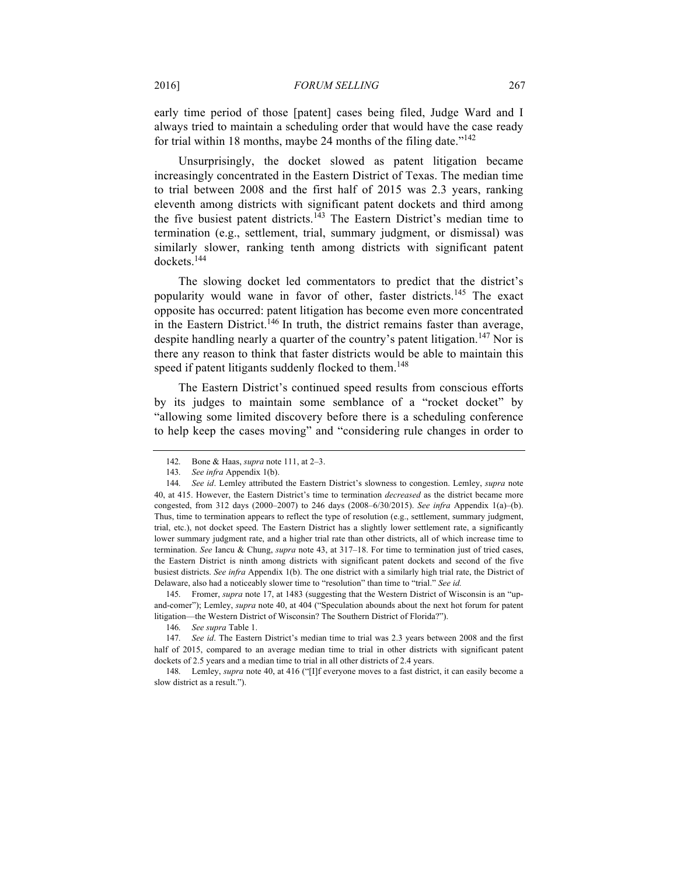early time period of those [patent] cases being filed, Judge Ward and I always tried to maintain a scheduling order that would have the case ready for trial within 18 months, maybe 24 months of the filing date." $142$ 

Unsurprisingly, the docket slowed as patent litigation became increasingly concentrated in the Eastern District of Texas. The median time to trial between 2008 and the first half of 2015 was 2.3 years, ranking eleventh among districts with significant patent dockets and third among the five busiest patent districts.<sup>143</sup> The Eastern District's median time to termination (e.g., settlement, trial, summary judgment, or dismissal) was similarly slower, ranking tenth among districts with significant patent dockets.144

The slowing docket led commentators to predict that the district's popularity would wane in favor of other, faster districts.<sup>145</sup> The exact opposite has occurred: patent litigation has become even more concentrated in the Eastern District.<sup>146</sup> In truth, the district remains faster than average, despite handling nearly a quarter of the country's patent litigation.<sup>147</sup> Nor is there any reason to think that faster districts would be able to maintain this speed if patent litigants suddenly flocked to them.<sup>148</sup>

The Eastern District's continued speed results from conscious efforts by its judges to maintain some semblance of a "rocket docket" by "allowing some limited discovery before there is a scheduling conference to help keep the cases moving" and "considering rule changes in order to

145. Fromer, *supra* note 17, at 1483 (suggesting that the Western District of Wisconsin is an "upand-comer"); Lemley, *supra* note 40, at 404 ("Speculation abounds about the next hot forum for patent litigation—the Western District of Wisconsin? The Southern District of Florida?").

<sup>142.</sup> Bone & Haas, *supra* note 111, at 2–3.

<sup>143.</sup> *See infra* Appendix 1(b).

<sup>144.</sup> *See id*. Lemley attributed the Eastern District's slowness to congestion. Lemley, *supra* note 40, at 415. However, the Eastern District's time to termination *decreased* as the district became more congested, from 312 days (2000–2007) to 246 days (2008–6/30/2015). *See infra* Appendix 1(a)–(b). Thus, time to termination appears to reflect the type of resolution (e.g., settlement, summary judgment, trial, etc.), not docket speed. The Eastern District has a slightly lower settlement rate, a significantly lower summary judgment rate, and a higher trial rate than other districts, all of which increase time to termination. *See* Iancu & Chung, *supra* note 43, at 317–18. For time to termination just of tried cases, the Eastern District is ninth among districts with significant patent dockets and second of the five busiest districts. *See infra* Appendix 1(b). The one district with a similarly high trial rate, the District of Delaware, also had a noticeably slower time to "resolution" than time to "trial." *See id.*

<sup>146.</sup> *See supra* Table 1.

<sup>147.</sup> *See id*. The Eastern District's median time to trial was 2.3 years between 2008 and the first half of 2015, compared to an average median time to trial in other districts with significant patent dockets of 2.5 years and a median time to trial in all other districts of 2.4 years.

<sup>148.</sup> Lemley, *supra* note 40, at 416 ("[I]f everyone moves to a fast district, it can easily become a slow district as a result.").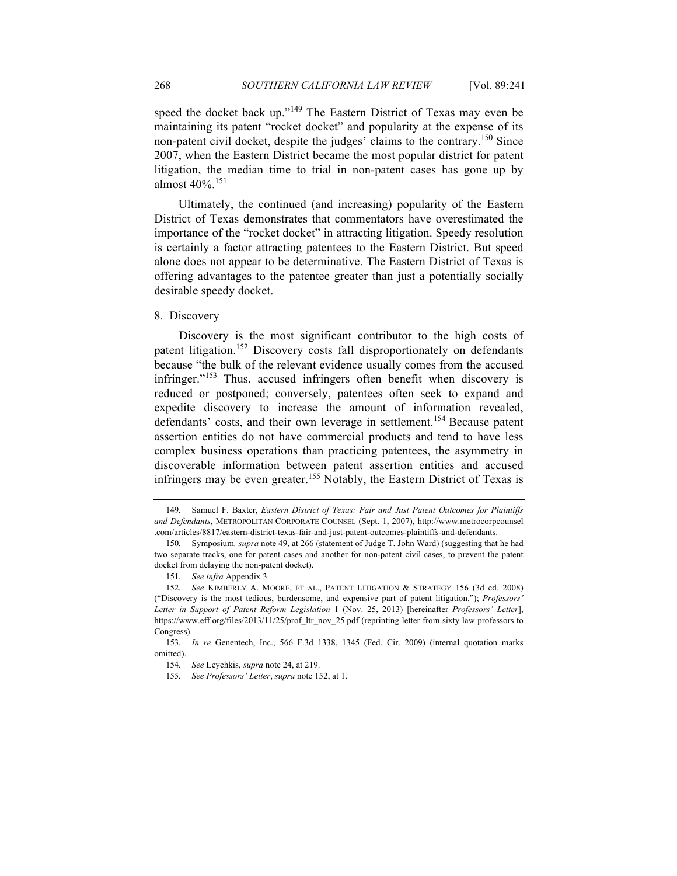speed the docket back up."<sup>149</sup> The Eastern District of Texas may even be maintaining its patent "rocket docket" and popularity at the expense of its non-patent civil docket, despite the judges' claims to the contrary.<sup>150</sup> Since 2007, when the Eastern District became the most popular district for patent litigation, the median time to trial in non-patent cases has gone up by almost 40%. 151

Ultimately, the continued (and increasing) popularity of the Eastern District of Texas demonstrates that commentators have overestimated the importance of the "rocket docket" in attracting litigation. Speedy resolution is certainly a factor attracting patentees to the Eastern District. But speed alone does not appear to be determinative. The Eastern District of Texas is offering advantages to the patentee greater than just a potentially socially desirable speedy docket.

#### 8. Discovery

Discovery is the most significant contributor to the high costs of patent litigation.<sup>152</sup> Discovery costs fall disproportionately on defendants because "the bulk of the relevant evidence usually comes from the accused infringer."<sup>153</sup> Thus, accused infringers often benefit when discovery is reduced or postponed; conversely, patentees often seek to expand and expedite discovery to increase the amount of information revealed, defendants' costs, and their own leverage in settlement.<sup>154</sup> Because patent assertion entities do not have commercial products and tend to have less complex business operations than practicing patentees, the asymmetry in discoverable information between patent assertion entities and accused infringers may be even greater.<sup>155</sup> Notably, the Eastern District of Texas is

<sup>149.</sup> Samuel F. Baxter, *Eastern District of Texas: Fair and Just Patent Outcomes for Plaintiffs and Defendants*, METROPOLITAN CORPORATE COUNSEL (Sept. 1, 2007), http://www.metrocorpcounsel .com/articles/8817/eastern-district-texas-fair-and-just-patent-outcomes-plaintiffs-and-defendants.

<sup>150.</sup> Symposium*, supra* note 49, at 266 (statement of Judge T. John Ward) (suggesting that he had two separate tracks, one for patent cases and another for non-patent civil cases, to prevent the patent docket from delaying the non-patent docket).

<sup>151.</sup> *See infra* Appendix 3.

<sup>152.</sup> *See* KIMBERLY A. MOORE, ET AL., PATENT LITIGATION & STRATEGY 156 (3d ed. 2008) ("Discovery is the most tedious, burdensome, and expensive part of patent litigation."); *Professors' Letter in Support of Patent Reform Legislation* 1 (Nov. 25, 2013) [hereinafter *Professors' Letter*], https://www.eff.org/files/2013/11/25/prof\_ltr\_nov\_25.pdf (reprinting letter from sixty law professors to Congress).

<sup>153.</sup> *In re* Genentech, Inc., 566 F.3d 1338, 1345 (Fed. Cir. 2009) (internal quotation marks omitted).

<sup>154.</sup> *See* Leychkis, *supra* note 24, at 219.

<sup>155.</sup> *See Professors' Letter*, *supra* note 152, at 1.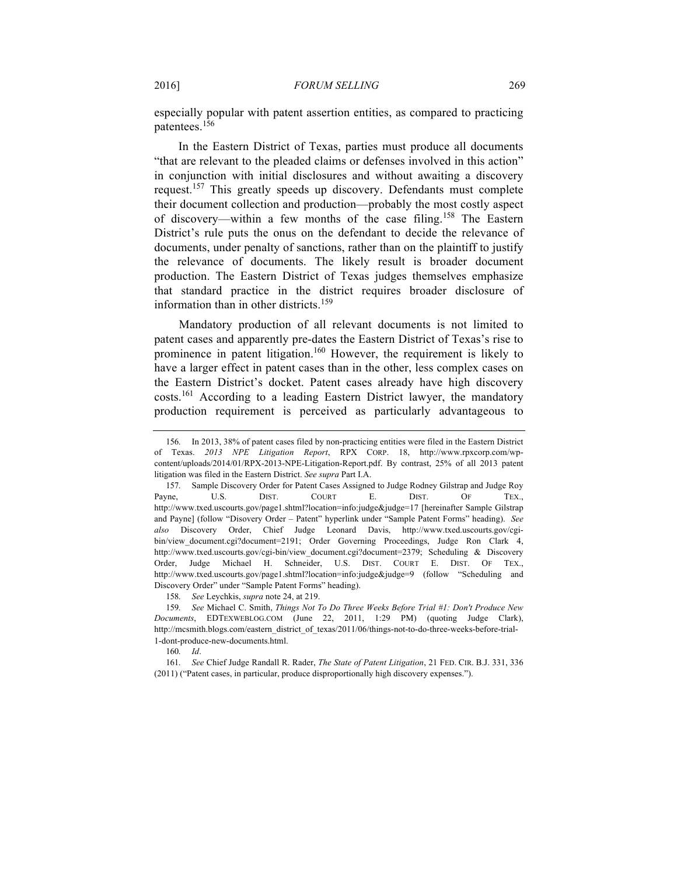especially popular with patent assertion entities, as compared to practicing patentees.<sup>156</sup>

In the Eastern District of Texas, parties must produce all documents "that are relevant to the pleaded claims or defenses involved in this action" in conjunction with initial disclosures and without awaiting a discovery request.<sup>157</sup> This greatly speeds up discovery. Defendants must complete their document collection and production—probably the most costly aspect of discovery—within a few months of the case filing.<sup>158</sup> The Eastern District's rule puts the onus on the defendant to decide the relevance of documents, under penalty of sanctions, rather than on the plaintiff to justify the relevance of documents. The likely result is broader document production. The Eastern District of Texas judges themselves emphasize that standard practice in the district requires broader disclosure of information than in other districts.<sup>159</sup>

Mandatory production of all relevant documents is not limited to patent cases and apparently pre-dates the Eastern District of Texas's rise to prominence in patent litigation.160 However, the requirement is likely to have a larger effect in patent cases than in the other, less complex cases on the Eastern District's docket. Patent cases already have high discovery costs.<sup>161</sup> According to a leading Eastern District lawyer, the mandatory production requirement is perceived as particularly advantageous to

<sup>156.</sup> In 2013, 38% of patent cases filed by non-practicing entities were filed in the Eastern District of Texas. *2013 NPE Litigation Report*, RPX CORP. 18, http://www.rpxcorp.com/wpcontent/uploads/2014/01/RPX-2013-NPE-Litigation-Report.pdf. By contrast, 25% of all 2013 patent litigation was filed in the Eastern District. *See supra* Part I.A.

<sup>157.</sup> Sample Discovery Order for Patent Cases Assigned to Judge Rodney Gilstrap and Judge Roy Payne, U.S. DIST. COURT E. DIST. OF TEX., http://www.txed.uscourts.gov/page1.shtml?location=info:judge&judge=17 [hereinafter Sample Gilstrap and Payne] (follow "Disovery Order – Patent" hyperlink under "Sample Patent Forms" heading). *See also* Discovery Order, Chief Judge Leonard Davis, http://www.txed.uscourts.gov/cgibin/view\_document.cgi?document=2191; Order Governing Proceedings, Judge Ron Clark 4, http://www.txed.uscourts.gov/cgi-bin/view\_document.cgi?document=2379; Scheduling & Discovery Order, Judge Michael H. Schneider, U.S. DIST. COURT E. DIST. OF TEX., http://www.txed.uscourts.gov/page1.shtml?location=info:judge&judge=9 (follow "Scheduling and Discovery Order" under "Sample Patent Forms" heading).

<sup>158.</sup> *See* Leychkis, *supra* note 24, at 219.

<sup>159.</sup> *See* Michael C. Smith, *Things Not To Do Three Weeks Before Trial #1: Don't Produce New Documents*, EDTEXWEBLOG.COM (June 22, 2011, 1:29 PM) (quoting Judge Clark), http://mcsmith.blogs.com/eastern\_district\_of\_texas/2011/06/things-not-to-do-three-weeks-before-trial-1-dont-produce-new-documents.html.

<sup>160.</sup> *Id*.

<sup>161.</sup> *See* Chief Judge Randall R. Rader, *The State of Patent Litigation*, 21 FED. CIR. B.J. 331, 336 (2011) ("Patent cases, in particular, produce disproportionally high discovery expenses.").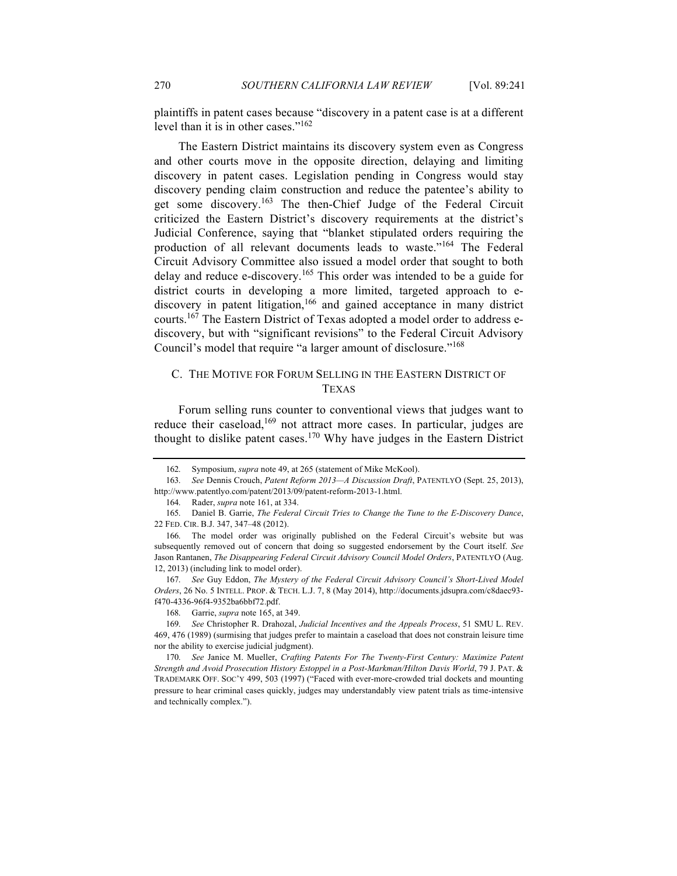plaintiffs in patent cases because "discovery in a patent case is at a different level than it is in other cases."<sup>162</sup>

The Eastern District maintains its discovery system even as Congress and other courts move in the opposite direction, delaying and limiting discovery in patent cases. Legislation pending in Congress would stay discovery pending claim construction and reduce the patentee's ability to get some discovery.<sup>163</sup> The then-Chief Judge of the Federal Circuit criticized the Eastern District's discovery requirements at the district's Judicial Conference, saying that "blanket stipulated orders requiring the production of all relevant documents leads to waste."<sup>164</sup> The Federal Circuit Advisory Committee also issued a model order that sought to both delay and reduce e-discovery.<sup>165</sup> This order was intended to be a guide for district courts in developing a more limited, targeted approach to ediscovery in patent litigation,<sup>166</sup> and gained acceptance in many district courts.167 The Eastern District of Texas adopted a model order to address ediscovery, but with "significant revisions" to the Federal Circuit Advisory Council's model that require "a larger amount of disclosure."<sup>168</sup>

# C. THE MOTIVE FOR FORUM SELLING IN THE EASTERN DISTRICT OF TEXAS

Forum selling runs counter to conventional views that judges want to reduce their caseload,<sup>169</sup> not attract more cases. In particular, judges are thought to dislike patent cases.<sup>170</sup> Why have judges in the Eastern District

164. Rader, *supra* note 161, at 334.

168. Garrie, *supra* note 165, at 349.

<sup>162.</sup> Symposium, *supra* note 49, at 265 (statement of Mike McKool).

<sup>163.</sup> *See* Dennis Crouch, *Patent Reform 2013—A Discussion Draft*, PATENTLYO (Sept. 25, 2013), http://www.patentlyo.com/patent/2013/09/patent-reform-2013-1.html.

<sup>165.</sup> Daniel B. Garrie, *The Federal Circuit Tries to Change the Tune to the E-Discovery Dance*, 22 FED. CIR. B.J. 347, 347–48 (2012).

<sup>166.</sup> The model order was originally published on the Federal Circuit's website but was subsequently removed out of concern that doing so suggested endorsement by the Court itself. *See* Jason Rantanen, *The Disappearing Federal Circuit Advisory Council Model Orders*, PATENTLYO (Aug. 12, 2013) (including link to model order).

<sup>167.</sup> *See* Guy Eddon, *The Mystery of the Federal Circuit Advisory Council's Short-Lived Model Orders*, 26 No. 5 INTELL. PROP. & TECH. L.J. 7, 8 (May 2014), http://documents.jdsupra.com/c8daec93 f470-4336-96f4-9352ba6bbf72.pdf.

<sup>169.</sup> *See* Christopher R. Drahozal, *Judicial Incentives and the Appeals Process*, 51 SMU L. REV. 469, 476 (1989) (surmising that judges prefer to maintain a caseload that does not constrain leisure time nor the ability to exercise judicial judgment).

<sup>170.</sup> *See* Janice M. Mueller, *Crafting Patents For The Twenty-First Century: Maximize Patent Strength and Avoid Prosecution History Estoppel in a Post-Markman/Hilton Davis World*, 79 J. PAT. & TRADEMARK OFF. SOC'Y 499, 503 (1997) ("Faced with ever-more-crowded trial dockets and mounting pressure to hear criminal cases quickly, judges may understandably view patent trials as time-intensive and technically complex.").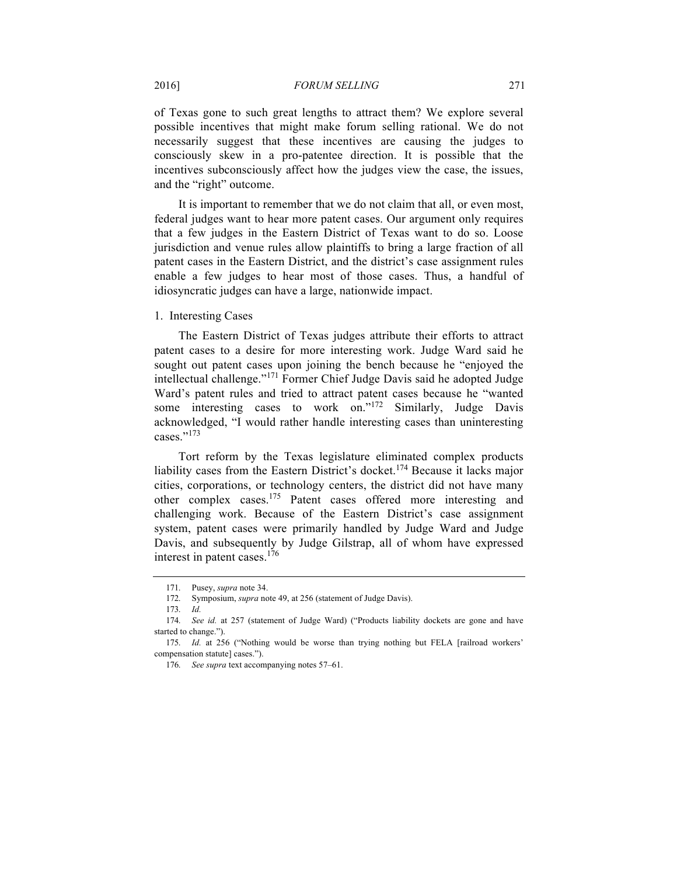of Texas gone to such great lengths to attract them? We explore several possible incentives that might make forum selling rational. We do not necessarily suggest that these incentives are causing the judges to consciously skew in a pro-patentee direction. It is possible that the incentives subconsciously affect how the judges view the case, the issues, and the "right" outcome.

It is important to remember that we do not claim that all, or even most, federal judges want to hear more patent cases. Our argument only requires that a few judges in the Eastern District of Texas want to do so. Loose jurisdiction and venue rules allow plaintiffs to bring a large fraction of all patent cases in the Eastern District, and the district's case assignment rules enable a few judges to hear most of those cases. Thus, a handful of idiosyncratic judges can have a large, nationwide impact.

1. Interesting Cases

The Eastern District of Texas judges attribute their efforts to attract patent cases to a desire for more interesting work. Judge Ward said he sought out patent cases upon joining the bench because he "enjoyed the intellectual challenge."<sup>171</sup> Former Chief Judge Davis said he adopted Judge Ward's patent rules and tried to attract patent cases because he "wanted some interesting cases to work on."<sup>172</sup> Similarly, Judge Davis acknowledged, "I would rather handle interesting cases than uninteresting cases."<sup>173</sup>

Tort reform by the Texas legislature eliminated complex products liability cases from the Eastern District's docket.<sup>174</sup> Because it lacks major cities, corporations, or technology centers, the district did not have many other complex cases.175 Patent cases offered more interesting and challenging work. Because of the Eastern District's case assignment system, patent cases were primarily handled by Judge Ward and Judge Davis, and subsequently by Judge Gilstrap, all of whom have expressed interest in patent cases.<sup>176</sup>

<sup>171.</sup> Pusey, *supra* note 34.

<sup>172.</sup> Symposium, *supra* note 49, at 256 (statement of Judge Davis).

<sup>173.</sup> *Id.*

<sup>174.</sup> *See id.* at 257 (statement of Judge Ward) ("Products liability dockets are gone and have started to change.").

<sup>175.</sup> *Id.* at 256 ("Nothing would be worse than trying nothing but FELA [railroad workers' compensation statute] cases.").

<sup>176.</sup> *See supra* text accompanying notes 57–61.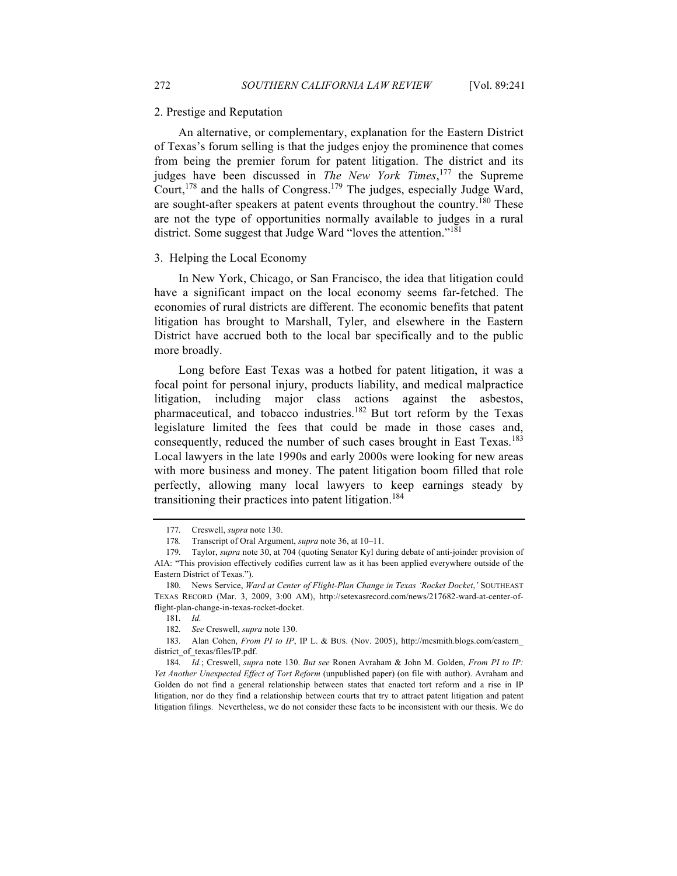#### 2. Prestige and Reputation

An alternative, or complementary, explanation for the Eastern District of Texas's forum selling is that the judges enjoy the prominence that comes from being the premier forum for patent litigation. The district and its judges have been discussed in *The New York Times*, <sup>177</sup> the Supreme Court,  $178$  and the halls of Congress.<sup>179</sup> The judges, especially Judge Ward, are sought-after speakers at patent events throughout the country.<sup>180</sup> These are not the type of opportunities normally available to judges in a rural district. Some suggest that Judge Ward "loves the attention."<sup>181</sup>

## 3. Helping the Local Economy

In New York, Chicago, or San Francisco, the idea that litigation could have a significant impact on the local economy seems far-fetched. The economies of rural districts are different. The economic benefits that patent litigation has brought to Marshall, Tyler, and elsewhere in the Eastern District have accrued both to the local bar specifically and to the public more broadly.

Long before East Texas was a hotbed for patent litigation, it was a focal point for personal injury, products liability, and medical malpractice litigation, including major class actions against the asbestos, pharmaceutical, and tobacco industries.<sup>182</sup> But tort reform by the Texas legislature limited the fees that could be made in those cases and, consequently, reduced the number of such cases brought in East Texas.<sup>183</sup> Local lawyers in the late 1990s and early 2000s were looking for new areas with more business and money. The patent litigation boom filled that role perfectly, allowing many local lawyers to keep earnings steady by transitioning their practices into patent litigation.<sup>184</sup>

<sup>177.</sup> Creswell, *supra* note 130.

<sup>178</sup>*.* Transcript of Oral Argument, *supra* note 36, at 10–11.

<sup>179.</sup> Taylor, *supra* note 30, at 704 (quoting Senator Kyl during debate of anti-joinder provision of AIA: "This provision effectively codifies current law as it has been applied everywhere outside of the Eastern District of Texas.").

<sup>180.</sup> News Service, *Ward at Center of Flight-Plan Change in Texas 'Rocket Docket,'* SOUTHEAST TEXAS RECORD (Mar. 3, 2009, 3:00 AM), http://setexasrecord.com/news/217682-ward-at-center-offlight-plan-change-in-texas-rocket-docket.

<sup>181.</sup> *Id.*

<sup>182.</sup> *See* Creswell, *supra* note 130.

<sup>183.</sup> Alan Cohen, *From PI to IP*, IP L. & BUS. (Nov. 2005), http://mcsmith.blogs.com/eastern\_ district\_of\_texas/files/IP.pdf.

<sup>184.</sup> *Id.*; Creswell, *supra* note 130. *But see* Ronen Avraham & John M. Golden, *From PI to IP: Yet Another Unexpected Effect of Tort Reform* (unpublished paper) (on file with author). Avraham and Golden do not find a general relationship between states that enacted tort reform and a rise in IP litigation, nor do they find a relationship between courts that try to attract patent litigation and patent litigation filings. Nevertheless, we do not consider these facts to be inconsistent with our thesis. We do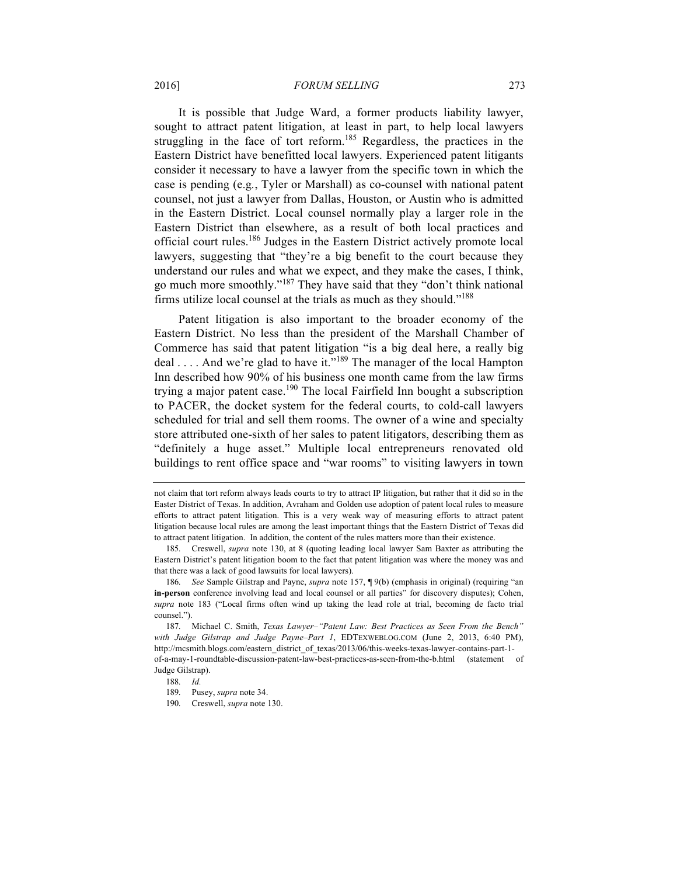## 2016] *FORUM SELLING* 273

It is possible that Judge Ward, a former products liability lawyer, sought to attract patent litigation, at least in part, to help local lawyers struggling in the face of tort reform.<sup>185</sup> Regardless, the practices in the Eastern District have benefitted local lawyers. Experienced patent litigants consider it necessary to have a lawyer from the specific town in which the case is pending (e.g*.*, Tyler or Marshall) as co-counsel with national patent counsel, not just a lawyer from Dallas, Houston, or Austin who is admitted in the Eastern District. Local counsel normally play a larger role in the Eastern District than elsewhere, as a result of both local practices and official court rules.186 Judges in the Eastern District actively promote local lawyers, suggesting that "they're a big benefit to the court because they understand our rules and what we expect, and they make the cases, I think, go much more smoothly."<sup>187</sup> They have said that they "don't think national firms utilize local counsel at the trials as much as they should."<sup>188</sup>

Patent litigation is also important to the broader economy of the Eastern District. No less than the president of the Marshall Chamber of Commerce has said that patent litigation "is a big deal here, a really big deal . . . . And we're glad to have it."<sup>189</sup> The manager of the local Hampton Inn described how 90% of his business one month came from the law firms trying a major patent case.<sup>190</sup> The local Fairfield Inn bought a subscription to PACER, the docket system for the federal courts, to cold-call lawyers scheduled for trial and sell them rooms. The owner of a wine and specialty store attributed one-sixth of her sales to patent litigators, describing them as "definitely a huge asset." Multiple local entrepreneurs renovated old buildings to rent office space and "war rooms" to visiting lawyers in town

not claim that tort reform always leads courts to try to attract IP litigation, but rather that it did so in the Easter District of Texas. In addition, Avraham and Golden use adoption of patent local rules to measure efforts to attract patent litigation. This is a very weak way of measuring efforts to attract patent litigation because local rules are among the least important things that the Eastern District of Texas did to attract patent litigation. In addition, the content of the rules matters more than their existence.

<sup>185.</sup> Creswell, *supra* note 130, at 8 (quoting leading local lawyer Sam Baxter as attributing the Eastern District's patent litigation boom to the fact that patent litigation was where the money was and that there was a lack of good lawsuits for local lawyers).

<sup>186.</sup> *See* Sample Gilstrap and Payne, *supra* note 157, ¶ 9(b) (emphasis in original) (requiring "an **in-person** conference involving lead and local counsel or all parties" for discovery disputes); Cohen, *supra* note 183 ("Local firms often wind up taking the lead role at trial, becoming de facto trial counsel.").

<sup>187.</sup> Michael C. Smith, *Texas Lawyer–"Patent Law: Best Practices as Seen From the Bench" with Judge Gilstrap and Judge Payne–Part 1*, EDTEXWEBLOG.COM (June 2, 2013, 6:40 PM), http://mcsmith.blogs.com/eastern\_district\_of\_texas/2013/06/this-weeks-texas-lawyer-contains-part-1 of-a-may-1-roundtable-discussion-patent-law-best-practices-as-seen-from-the-b.html (statement of Judge Gilstrap).

<sup>188.</sup> *Id.*

<sup>189.</sup> Pusey, *supra* note 34.

<sup>190.</sup> Creswell, *supra* note 130.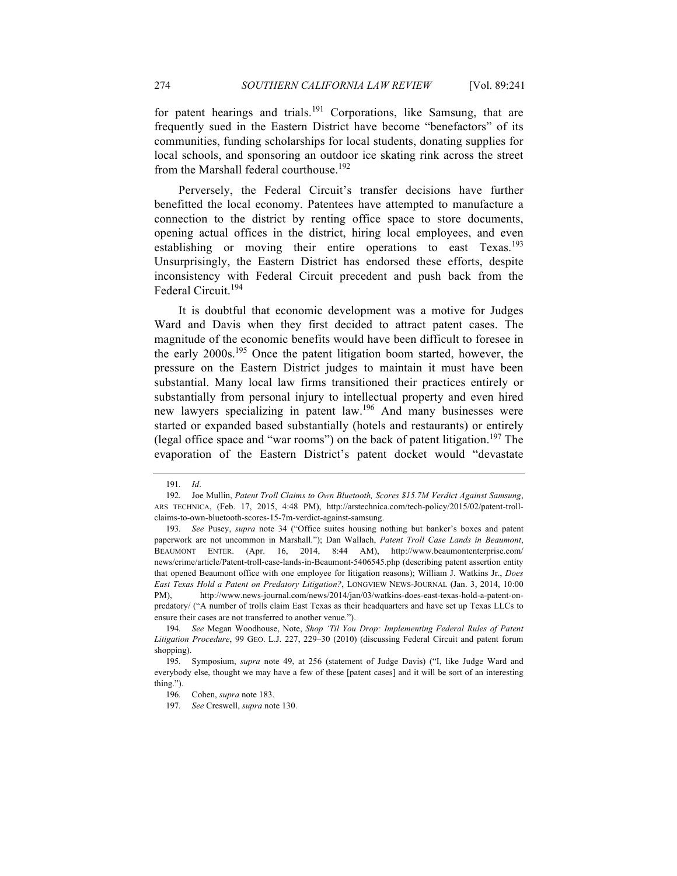for patent hearings and trials.<sup>191</sup> Corporations, like Samsung, that are frequently sued in the Eastern District have become "benefactors" of its communities, funding scholarships for local students, donating supplies for local schools, and sponsoring an outdoor ice skating rink across the street from the Marshall federal courthouse.<sup>192</sup>

Perversely, the Federal Circuit's transfer decisions have further benefitted the local economy. Patentees have attempted to manufacture a connection to the district by renting office space to store documents, opening actual offices in the district, hiring local employees, and even establishing or moving their entire operations to east Texas.<sup>193</sup> Unsurprisingly, the Eastern District has endorsed these efforts, despite inconsistency with Federal Circuit precedent and push back from the Federal Circuit.<sup>194</sup>

It is doubtful that economic development was a motive for Judges Ward and Davis when they first decided to attract patent cases. The magnitude of the economic benefits would have been difficult to foresee in the early 2000s.195 Once the patent litigation boom started, however, the pressure on the Eastern District judges to maintain it must have been substantial. Many local law firms transitioned their practices entirely or substantially from personal injury to intellectual property and even hired new lawyers specializing in patent law.196 And many businesses were started or expanded based substantially (hotels and restaurants) or entirely (legal office space and "war rooms") on the back of patent litigation.<sup>197</sup> The evaporation of the Eastern District's patent docket would "devastate

<sup>191.</sup> *Id*.

<sup>192.</sup> Joe Mullin, *Patent Troll Claims to Own Bluetooth, Scores \$15.7M Verdict Against Samsung*, ARS TECHNICA, (Feb. 17, 2015, 4:48 PM), http://arstechnica.com/tech-policy/2015/02/patent-trollclaims-to-own-bluetooth-scores-15-7m-verdict-against-samsung.

<sup>193.</sup> *See* Pusey, *supra* note 34 ("Office suites housing nothing but banker's boxes and patent paperwork are not uncommon in Marshall."); Dan Wallach, *Patent Troll Case Lands in Beaumont*, BEAUMONT ENTER. (Apr. 16, 2014, 8:44 AM), http://www.beaumontenterprise.com/ news/crime/article/Patent-troll-case-lands-in-Beaumont-5406545.php (describing patent assertion entity that opened Beaumont office with one employee for litigation reasons); William J. Watkins Jr., *Does East Texas Hold a Patent on Predatory Litigation?*, LONGVIEW NEWS-JOURNAL (Jan. 3, 2014, 10:00 PM), http://www.news-journal.com/news/2014/jan/03/watkins-does-east-texas-hold-a-patent-onpredatory/ ("A number of trolls claim East Texas as their headquarters and have set up Texas LLCs to ensure their cases are not transferred to another venue.").

<sup>194.</sup> *See* Megan Woodhouse, Note, *Shop 'Til You Drop: Implementing Federal Rules of Patent Litigation Procedure*, 99 GEO. L.J. 227, 229–30 (2010) (discussing Federal Circuit and patent forum shopping).

<sup>195.</sup> Symposium, *supra* note 49, at 256 (statement of Judge Davis) ("I, like Judge Ward and everybody else, thought we may have a few of these [patent cases] and it will be sort of an interesting thing.").

<sup>196.</sup> Cohen, *supra* note 183.

<sup>197.</sup> *See* Creswell, *supra* note 130.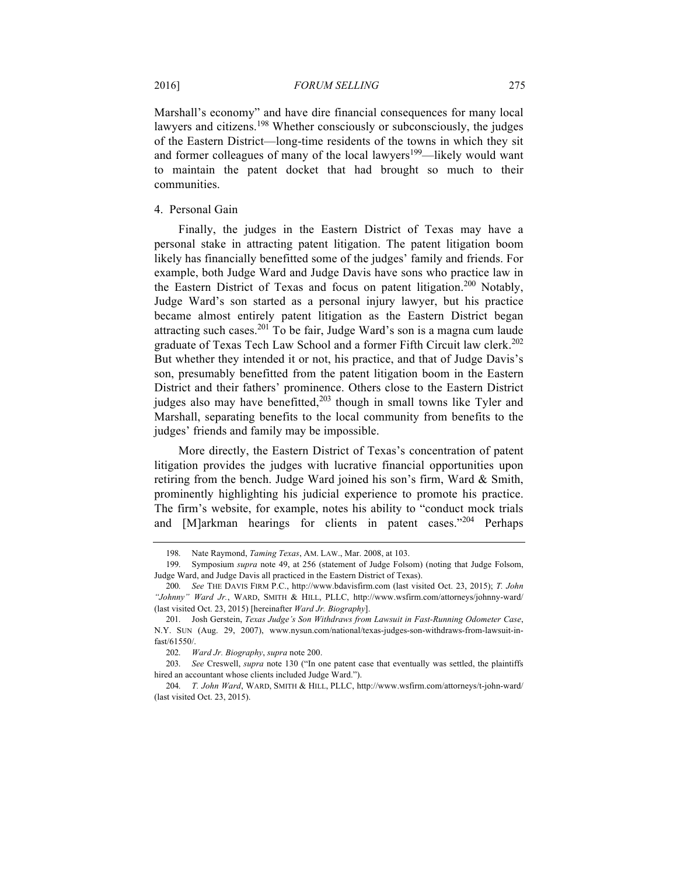Marshall's economy" and have dire financial consequences for many local lawyers and citizens.<sup>198</sup> Whether consciously or subconsciously, the judges of the Eastern District—long-time residents of the towns in which they sit and former colleagues of many of the local lawyers<sup>199</sup>—likely would want to maintain the patent docket that had brought so much to their communities.

#### 4. Personal Gain

Finally, the judges in the Eastern District of Texas may have a personal stake in attracting patent litigation. The patent litigation boom likely has financially benefitted some of the judges' family and friends. For example, both Judge Ward and Judge Davis have sons who practice law in the Eastern District of Texas and focus on patent litigation.<sup>200</sup> Notably, Judge Ward's son started as a personal injury lawyer, but his practice became almost entirely patent litigation as the Eastern District began attracting such cases.<sup>201</sup> To be fair, Judge Ward's son is a magna cum laude graduate of Texas Tech Law School and a former Fifth Circuit law clerk.<sup>202</sup> But whether they intended it or not, his practice, and that of Judge Davis's son, presumably benefitted from the patent litigation boom in the Eastern District and their fathers' prominence. Others close to the Eastern District judges also may have benefitted, $2^{03}$  though in small towns like Tyler and Marshall, separating benefits to the local community from benefits to the judges' friends and family may be impossible.

More directly, the Eastern District of Texas's concentration of patent litigation provides the judges with lucrative financial opportunities upon retiring from the bench. Judge Ward joined his son's firm, Ward & Smith, prominently highlighting his judicial experience to promote his practice. The firm's website, for example, notes his ability to "conduct mock trials and [M]arkman hearings for clients in patent cases."<sup>204</sup> Perhaps

<sup>198.</sup> Nate Raymond, *Taming Texas*, AM. LAW., Mar. 2008, at 103.

<sup>199.</sup> Symposium *supra* note 49, at 256 (statement of Judge Folsom) (noting that Judge Folsom, Judge Ward, and Judge Davis all practiced in the Eastern District of Texas).

<sup>200.</sup> *See* THE DAVIS FIRM P.C., http://www.bdavisfirm.com (last visited Oct. 23, 2015); *T. John "Johnny" Ward Jr.*, WARD, SMITH & HILL, PLLC, http://www.wsfirm.com/attorneys/johnny-ward/ (last visited Oct. 23, 2015) [hereinafter *Ward Jr. Biography*].

<sup>201.</sup> Josh Gerstein, *Texas Judge's Son Withdraws from Lawsuit in Fast-Running Odometer Case*, N.Y. SUN (Aug. 29, 2007), www.nysun.com/national/texas-judges-son-withdraws-from-lawsuit-infast/61550/.

<sup>202.</sup> *Ward Jr. Biography*, *supra* note 200.

<sup>203.</sup> *See* Creswell, *supra* note 130 ("In one patent case that eventually was settled, the plaintiffs hired an accountant whose clients included Judge Ward.").

<sup>204.</sup> *T. John Ward*, WARD, SMITH & HILL, PLLC, http://www.wsfirm.com/attorneys/t-john-ward/ (last visited Oct. 23, 2015).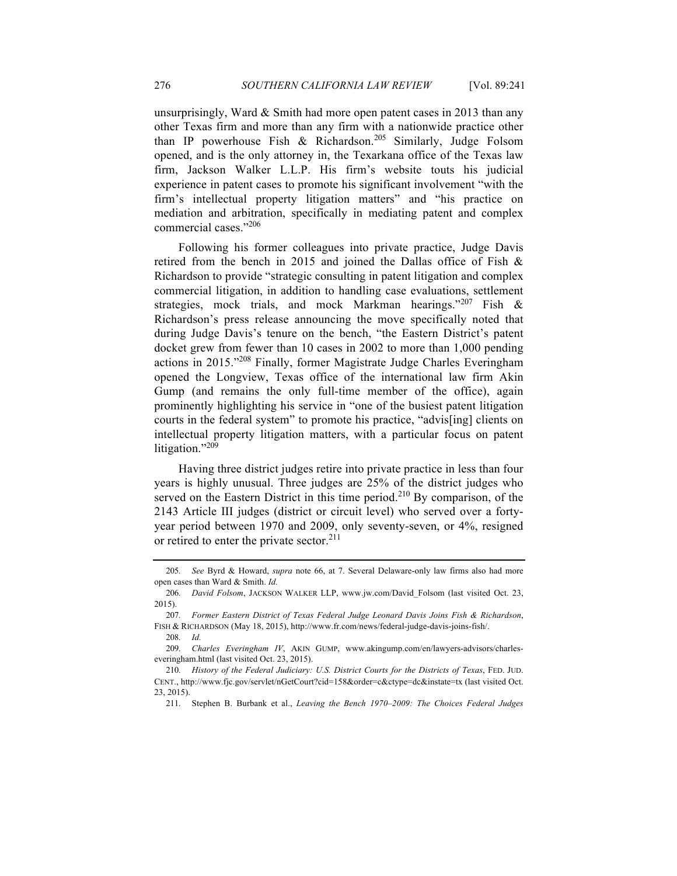unsurprisingly, Ward & Smith had more open patent cases in 2013 than any other Texas firm and more than any firm with a nationwide practice other than IP powerhouse Fish & Richardson.<sup>205</sup> Similarly, Judge Folsom opened, and is the only attorney in, the Texarkana office of the Texas law firm, Jackson Walker L.L.P. His firm's website touts his judicial experience in patent cases to promote his significant involvement "with the firm's intellectual property litigation matters" and "his practice on mediation and arbitration, specifically in mediating patent and complex commercial cases."<sup>206</sup>

Following his former colleagues into private practice, Judge Davis retired from the bench in 2015 and joined the Dallas office of Fish & Richardson to provide "strategic consulting in patent litigation and complex commercial litigation, in addition to handling case evaluations, settlement strategies, mock trials, and mock Markman hearings."207 Fish  $\&$ Richardson's press release announcing the move specifically noted that during Judge Davis's tenure on the bench, "the Eastern District's patent docket grew from fewer than 10 cases in 2002 to more than 1,000 pending actions in 2015."<sup>208</sup> Finally, former Magistrate Judge Charles Everingham opened the Longview, Texas office of the international law firm Akin Gump (and remains the only full-time member of the office), again prominently highlighting his service in "one of the busiest patent litigation courts in the federal system" to promote his practice, "advis[ing] clients on intellectual property litigation matters, with a particular focus on patent litigation."209

Having three district judges retire into private practice in less than four years is highly unusual. Three judges are 25% of the district judges who served on the Eastern District in this time period.<sup>210</sup> By comparison, of the 2143 Article III judges (district or circuit level) who served over a fortyyear period between 1970 and 2009, only seventy-seven, or 4%, resigned or retired to enter the private sector.<sup>211</sup>

<sup>205.</sup> *See* Byrd & Howard, *supra* note 66, at 7. Several Delaware-only law firms also had more open cases than Ward & Smith. *Id.*

<sup>206.</sup> *David Folsom*, JACKSON WALKER LLP, www.jw.com/David\_Folsom (last visited Oct. 23, 2015).

<sup>207.</sup> *Former Eastern District of Texas Federal Judge Leonard Davis Joins Fish & Richardson*, FISH & RICHARDSON (May 18, 2015), http://www.fr.com/news/federal-judge-davis-joins-fish/.

<sup>208.</sup> *Id.*

<sup>209.</sup> *Charles Everingham IV*, AKIN GUMP, www.akingump.com/en/lawyers-advisors/charleseveringham.html (last visited Oct. 23, 2015).

<sup>210.</sup> *History of the Federal Judiciary: U.S. District Courts for the Districts of Texas*, FED. JUD. CENT., http://www.fjc.gov/servlet/nGetCourt?cid=158&order=c&ctype=dc&instate=tx (last visited Oct. 23, 2015).

<sup>211.</sup> Stephen B. Burbank et al., *Leaving the Bench 1970–2009: The Choices Federal Judges*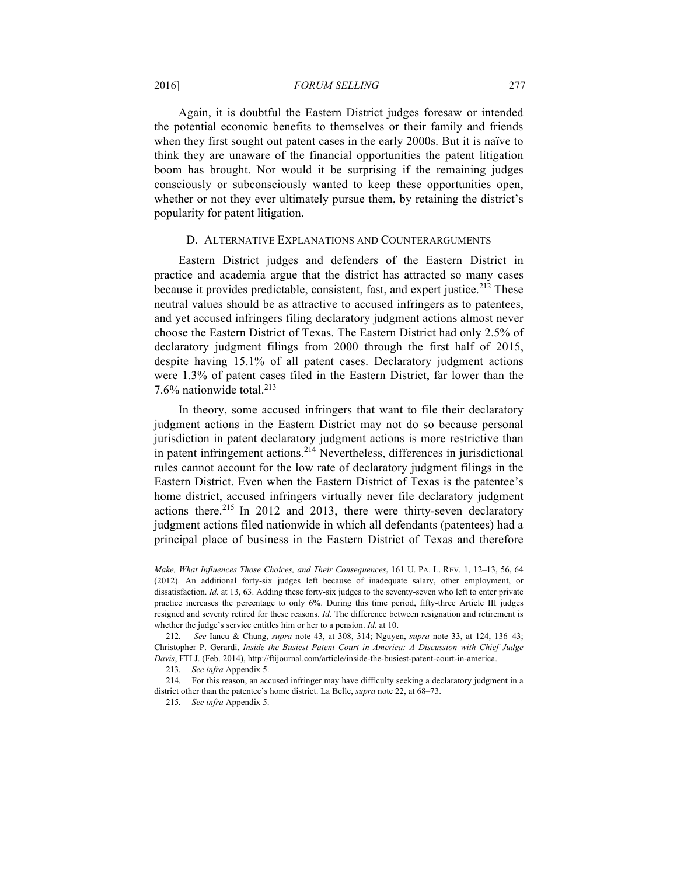### 2016] *FORUM SELLING* 277

Again, it is doubtful the Eastern District judges foresaw or intended the potential economic benefits to themselves or their family and friends when they first sought out patent cases in the early 2000s. But it is naïve to think they are unaware of the financial opportunities the patent litigation boom has brought. Nor would it be surprising if the remaining judges consciously or subconsciously wanted to keep these opportunities open, whether or not they ever ultimately pursue them, by retaining the district's popularity for patent litigation.

## D. ALTERNATIVE EXPLANATIONS AND COUNTERARGUMENTS

Eastern District judges and defenders of the Eastern District in practice and academia argue that the district has attracted so many cases because it provides predictable, consistent, fast, and expert justice.<sup>212</sup> These neutral values should be as attractive to accused infringers as to patentees, and yet accused infringers filing declaratory judgment actions almost never choose the Eastern District of Texas. The Eastern District had only 2.5% of declaratory judgment filings from 2000 through the first half of 2015, despite having 15.1% of all patent cases. Declaratory judgment actions were 1.3% of patent cases filed in the Eastern District, far lower than the 7.6% nationwide total.<sup>213</sup>

In theory, some accused infringers that want to file their declaratory judgment actions in the Eastern District may not do so because personal jurisdiction in patent declaratory judgment actions is more restrictive than in patent infringement actions.<sup>214</sup> Nevertheless, differences in jurisdictional rules cannot account for the low rate of declaratory judgment filings in the Eastern District. Even when the Eastern District of Texas is the patentee's home district, accused infringers virtually never file declaratory judgment actions there.<sup>215</sup> In 2012 and 2013, there were thirty-seven declaratory judgment actions filed nationwide in which all defendants (patentees) had a principal place of business in the Eastern District of Texas and therefore

*Make, What Influences Those Choices, and Their Consequences*, 161 U. PA. L. REV. 1, 12–13, 56, 64 (2012). An additional forty-six judges left because of inadequate salary, other employment, or dissatisfaction. *Id.* at 13, 63. Adding these forty-six judges to the seventy-seven who left to enter private practice increases the percentage to only 6%. During this time period, fifty-three Article III judges resigned and seventy retired for these reasons. *Id.* The difference between resignation and retirement is whether the judge's service entitles him or her to a pension. *Id.* at 10.

<sup>212.</sup> *See* Iancu & Chung, *supra* note 43, at 308, 314; Nguyen, *supra* note 33, at 124, 136–43; Christopher P. Gerardi, *Inside the Busiest Patent Court in America: A Discussion with Chief Judge Davis*, FTI J. (Feb. 2014), http://ftijournal.com/article/inside-the-busiest-patent-court-in-america.

<sup>213.</sup> *See infra* Appendix 5.

<sup>214.</sup> For this reason, an accused infringer may have difficulty seeking a declaratory judgment in a district other than the patentee's home district. La Belle, *supra* note 22, at 68–73.

<sup>215.</sup> *See infra* Appendix 5.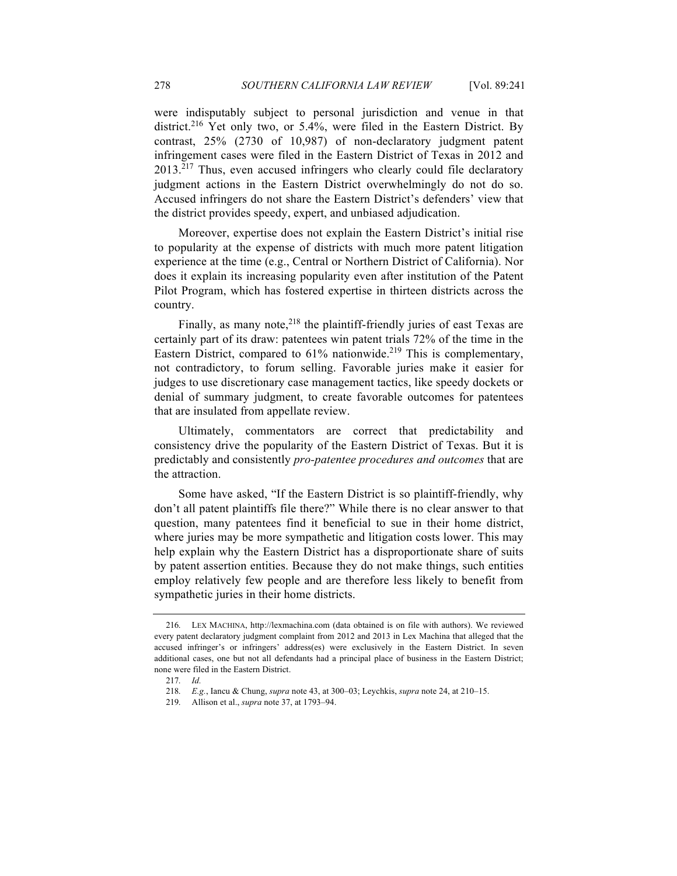were indisputably subject to personal jurisdiction and venue in that district.<sup>216</sup> Yet only two, or 5.4%, were filed in the Eastern District. By contrast, 25% (2730 of 10,987) of non-declaratory judgment patent infringement cases were filed in the Eastern District of Texas in 2012 and  $2013.<sup>217</sup>$  Thus, even accused infringers who clearly could file declaratory judgment actions in the Eastern District overwhelmingly do not do so. Accused infringers do not share the Eastern District's defenders' view that the district provides speedy, expert, and unbiased adjudication.

Moreover, expertise does not explain the Eastern District's initial rise to popularity at the expense of districts with much more patent litigation experience at the time (e.g., Central or Northern District of California). Nor does it explain its increasing popularity even after institution of the Patent Pilot Program, which has fostered expertise in thirteen districts across the country.

Finally, as many note,<sup>218</sup> the plaintiff-friendly juries of east Texas are certainly part of its draw: patentees win patent trials 72% of the time in the Eastern District, compared to  $61\%$  nationwide.<sup>219</sup> This is complementary, not contradictory, to forum selling. Favorable juries make it easier for judges to use discretionary case management tactics, like speedy dockets or denial of summary judgment, to create favorable outcomes for patentees that are insulated from appellate review.

Ultimately, commentators are correct that predictability and consistency drive the popularity of the Eastern District of Texas. But it is predictably and consistently *pro-patentee procedures and outcomes* that are the attraction.

Some have asked, "If the Eastern District is so plaintiff-friendly, why don't all patent plaintiffs file there?" While there is no clear answer to that question, many patentees find it beneficial to sue in their home district, where juries may be more sympathetic and litigation costs lower. This may help explain why the Eastern District has a disproportionate share of suits by patent assertion entities. Because they do not make things, such entities employ relatively few people and are therefore less likely to benefit from sympathetic juries in their home districts.

<sup>216.</sup> LEX MACHINA, http://lexmachina.com (data obtained is on file with authors). We reviewed every patent declaratory judgment complaint from 2012 and 2013 in Lex Machina that alleged that the accused infringer's or infringers' address(es) were exclusively in the Eastern District. In seven additional cases, one but not all defendants had a principal place of business in the Eastern District; none were filed in the Eastern District.

<sup>217.</sup> *Id.*

<sup>218.</sup> *E.g.*, Iancu & Chung, *supra* note 43, at 300–03; Leychkis, *supra* note 24, at 210–15.

<sup>219.</sup> Allison et al., *supra* note 37, at 1793–94.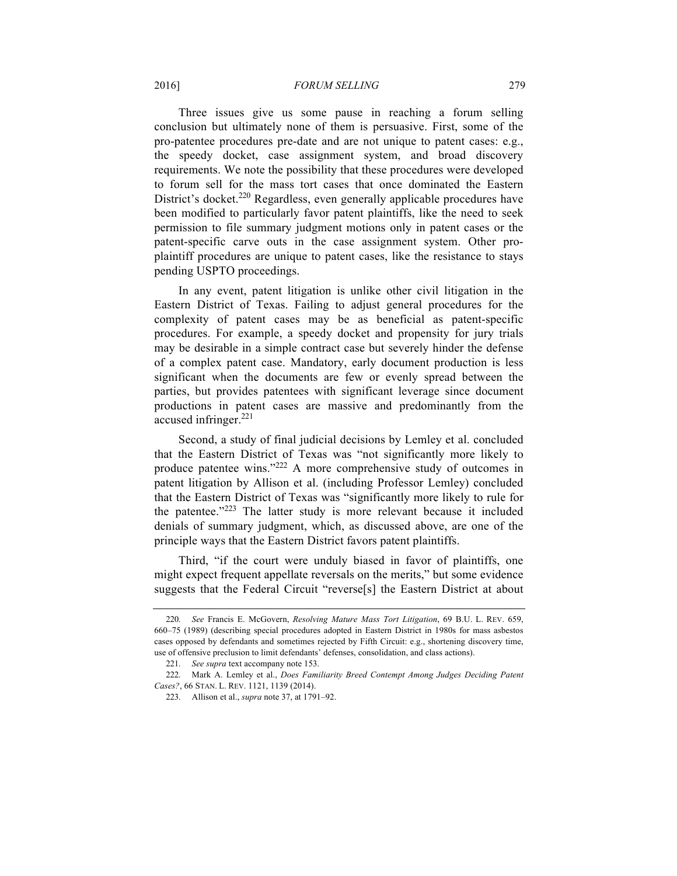Three issues give us some pause in reaching a forum selling conclusion but ultimately none of them is persuasive. First, some of the pro-patentee procedures pre-date and are not unique to patent cases: e.g., the speedy docket, case assignment system, and broad discovery requirements. We note the possibility that these procedures were developed to forum sell for the mass tort cases that once dominated the Eastern District's docket.<sup>220</sup> Regardless, even generally applicable procedures have

been modified to particularly favor patent plaintiffs, like the need to seek permission to file summary judgment motions only in patent cases or the patent-specific carve outs in the case assignment system. Other proplaintiff procedures are unique to patent cases, like the resistance to stays pending USPTO proceedings.

In any event, patent litigation is unlike other civil litigation in the Eastern District of Texas. Failing to adjust general procedures for the complexity of patent cases may be as beneficial as patent-specific procedures. For example, a speedy docket and propensity for jury trials may be desirable in a simple contract case but severely hinder the defense of a complex patent case. Mandatory, early document production is less significant when the documents are few or evenly spread between the parties, but provides patentees with significant leverage since document productions in patent cases are massive and predominantly from the accused infringer.221

Second, a study of final judicial decisions by Lemley et al. concluded that the Eastern District of Texas was "not significantly more likely to produce patentee wins."222 A more comprehensive study of outcomes in patent litigation by Allison et al. (including Professor Lemley) concluded that the Eastern District of Texas was "significantly more likely to rule for the patentee."<sup>223</sup> The latter study is more relevant because it included denials of summary judgment, which, as discussed above, are one of the principle ways that the Eastern District favors patent plaintiffs.

Third, "if the court were unduly biased in favor of plaintiffs, one might expect frequent appellate reversals on the merits," but some evidence suggests that the Federal Circuit "reverse[s] the Eastern District at about

<sup>220.</sup> *See* Francis E. McGovern, *Resolving Mature Mass Tort Litigation*, 69 B.U. L. REV. 659, 660–75 (1989) (describing special procedures adopted in Eastern District in 1980s for mass asbestos cases opposed by defendants and sometimes rejected by Fifth Circuit: e.g., shortening discovery time, use of offensive preclusion to limit defendants' defenses, consolidation, and class actions).

<sup>221.</sup> *See supra* text accompany note 153.

<sup>222.</sup> Mark A. Lemley et al., *Does Familiarity Breed Contempt Among Judges Deciding Patent Cases?*, 66 STAN. L. REV. 1121, 1139 (2014).

<sup>223.</sup> Allison et al., *supra* note 37, at 1791–92.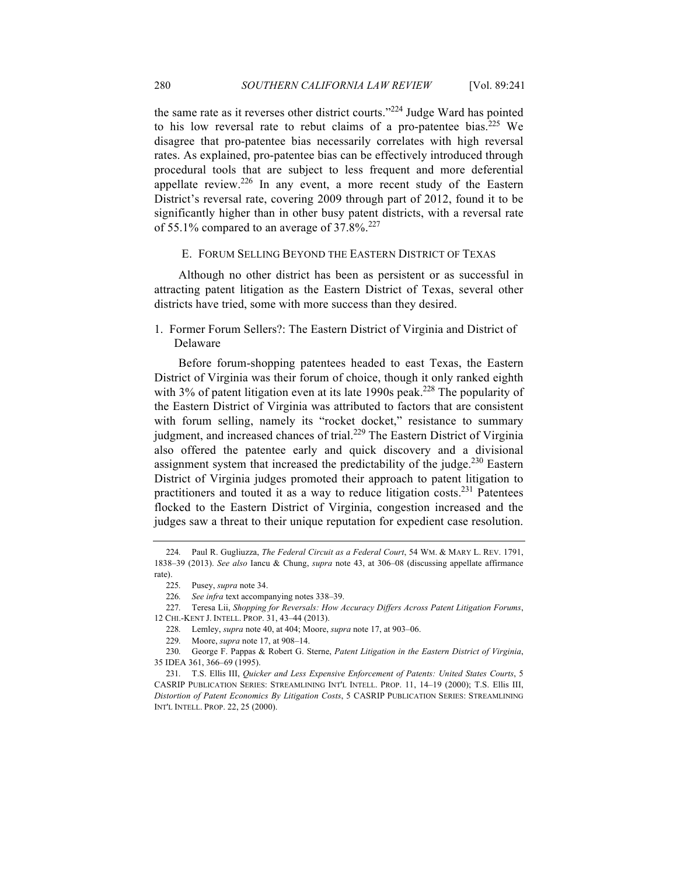the same rate as it reverses other district courts."<sup>224</sup> Judge Ward has pointed to his low reversal rate to rebut claims of a pro-patentee bias.<sup>225</sup> We disagree that pro-patentee bias necessarily correlates with high reversal rates. As explained, pro-patentee bias can be effectively introduced through procedural tools that are subject to less frequent and more deferential appellate review.<sup>226</sup> In any event, a more recent study of the Eastern District's reversal rate, covering 2009 through part of 2012, found it to be significantly higher than in other busy patent districts, with a reversal rate of 55.1% compared to an average of  $37.8\%$ .<sup>227</sup>

### E. FORUM SELLING BEYOND THE EASTERN DISTRICT OF TEXAS

Although no other district has been as persistent or as successful in attracting patent litigation as the Eastern District of Texas, several other districts have tried, some with more success than they desired.

1. Former Forum Sellers?: The Eastern District of Virginia and District of Delaware

Before forum-shopping patentees headed to east Texas, the Eastern District of Virginia was their forum of choice, though it only ranked eighth with  $3\%$  of patent litigation even at its late 1990s peak.<sup>228</sup> The popularity of the Eastern District of Virginia was attributed to factors that are consistent with forum selling, namely its "rocket docket," resistance to summary judgment, and increased chances of trial.<sup>229</sup> The Eastern District of Virginia also offered the patentee early and quick discovery and a divisional assignment system that increased the predictability of the judge.<sup>230</sup> Eastern District of Virginia judges promoted their approach to patent litigation to practitioners and touted it as a way to reduce litigation costs.231 Patentees flocked to the Eastern District of Virginia, congestion increased and the judges saw a threat to their unique reputation for expedient case resolution.

<sup>224.</sup> Paul R. Gugliuzza, *The Federal Circuit as a Federal Court*, 54 WM. & MARY L. REV. 1791, 1838–39 (2013). *See also* Iancu & Chung, *supra* note 43, at 306–08 (discussing appellate affirmance rate).

<sup>225.</sup> Pusey, *supra* note 34.

<sup>226.</sup> *See infra* text accompanying notes 338–39.

<sup>227.</sup> Teresa Lii, *Shopping for Reversals: How Accuracy Differs Across Patent Litigation Forums*, 12 CHI.-KENT J. INTELL. PROP. 31, 43–44 (2013).

<sup>228.</sup> Lemley, *supra* note 40, at 404; Moore, *supra* note 17, at 903–06.

<sup>229.</sup> Moore, *supra* note 17, at 908–14.

<sup>230.</sup> George F. Pappas & Robert G. Sterne, *Patent Litigation in the Eastern District of Virginia*, 35 IDEA 361, 366–69 (1995).

<sup>231.</sup> T.S. Ellis III, *Quicker and Less Expensive Enforcement of Patents: United States Courts*, 5 CASRIP PUBLICATION SERIES: STREAMLINING INT'L INTELL. PROP. 11, 14–19 (2000); T.S. Ellis III, *Distortion of Patent Economics By Litigation Costs*, 5 CASRIP PUBLICATION SERIES: STREAMLINING INT'L INTELL. PROP. 22, 25 (2000).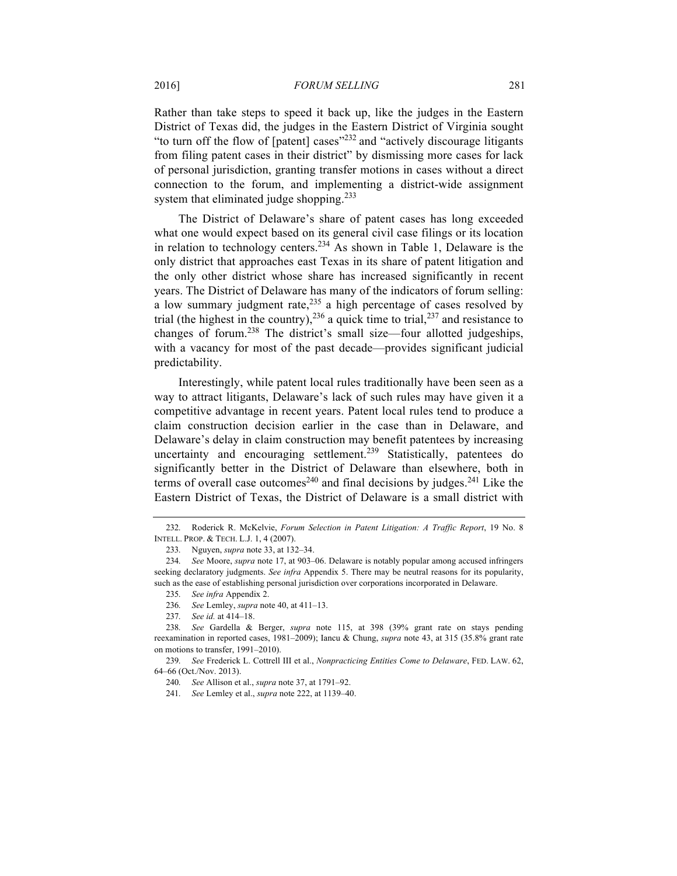Rather than take steps to speed it back up, like the judges in the Eastern District of Texas did, the judges in the Eastern District of Virginia sought "to turn off the flow of [patent] cases"232 and "actively discourage litigants from filing patent cases in their district" by dismissing more cases for lack of personal jurisdiction, granting transfer motions in cases without a direct connection to the forum, and implementing a district-wide assignment system that eliminated judge shopping. $233$ 

The District of Delaware's share of patent cases has long exceeded what one would expect based on its general civil case filings or its location in relation to technology centers.<sup>234</sup> As shown in Table 1, Delaware is the only district that approaches east Texas in its share of patent litigation and the only other district whose share has increased significantly in recent years. The District of Delaware has many of the indicators of forum selling: a low summary judgment rate, $^{235}$  a high percentage of cases resolved by trial (the highest in the country),<sup>236</sup> a quick time to trial,<sup>237</sup> and resistance to changes of forum.238 The district's small size—four allotted judgeships, with a vacancy for most of the past decade—provides significant judicial predictability.

Interestingly, while patent local rules traditionally have been seen as a way to attract litigants, Delaware's lack of such rules may have given it a competitive advantage in recent years. Patent local rules tend to produce a claim construction decision earlier in the case than in Delaware, and Delaware's delay in claim construction may benefit patentees by increasing uncertainty and encouraging settlement.<sup>239</sup> Statistically, patentees do significantly better in the District of Delaware than elsewhere, both in terms of overall case outcomes<sup>240</sup> and final decisions by judges.<sup>241</sup> Like the Eastern District of Texas, the District of Delaware is a small district with

<sup>232.</sup> Roderick R. McKelvie, *Forum Selection in Patent Litigation: A Traffic Report*, 19 No. 8 INTELL. PROP. & TECH. L.J. 1, 4 (2007).

<sup>233.</sup> Nguyen, *supra* note 33, at 132–34.

<sup>234.</sup> *See* Moore, *supra* note 17, at 903–06. Delaware is notably popular among accused infringers seeking declaratory judgments. *See infra* Appendix 5. There may be neutral reasons for its popularity, such as the ease of establishing personal jurisdiction over corporations incorporated in Delaware.

<sup>235.</sup> *See infra* Appendix 2.

<sup>236.</sup> *See* Lemley, *supra* note 40, at 411–13.

<sup>237.</sup> *See id.* at 414–18.

<sup>238.</sup> *See* Gardella & Berger, *supra* note 115, at 398 (39% grant rate on stays pending reexamination in reported cases, 1981–2009); Iancu & Chung, *supra* note 43, at 315 (35.8% grant rate on motions to transfer, 1991–2010).

<sup>239.</sup> *See* Frederick L. Cottrell III et al., *Nonpracticing Entities Come to Delaware*, FED. LAW. 62, 64–66 (Oct./Nov. 2013).

<sup>240.</sup> *See* Allison et al., *supra* note 37, at 1791–92.

<sup>241.</sup> *See* Lemley et al., *supra* note 222, at 1139–40.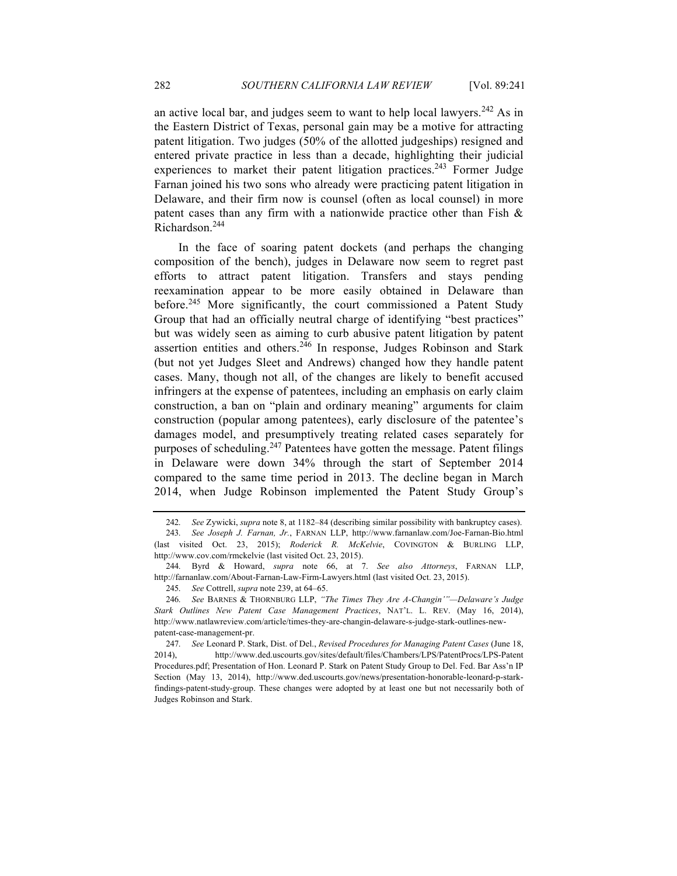an active local bar, and judges seem to want to help local lawyers. $242$  As in the Eastern District of Texas, personal gain may be a motive for attracting patent litigation. Two judges (50% of the allotted judgeships) resigned and entered private practice in less than a decade, highlighting their judicial experiences to market their patent litigation practices.<sup>243</sup> Former Judge Farnan joined his two sons who already were practicing patent litigation in Delaware, and their firm now is counsel (often as local counsel) in more patent cases than any firm with a nationwide practice other than Fish  $\&$ Richardson.244

In the face of soaring patent dockets (and perhaps the changing composition of the bench), judges in Delaware now seem to regret past efforts to attract patent litigation. Transfers and stays pending reexamination appear to be more easily obtained in Delaware than before.<sup>245</sup> More significantly, the court commissioned a Patent Study Group that had an officially neutral charge of identifying "best practices" but was widely seen as aiming to curb abusive patent litigation by patent assertion entities and others. $246$  In response, Judges Robinson and Stark (but not yet Judges Sleet and Andrews) changed how they handle patent cases. Many, though not all, of the changes are likely to benefit accused infringers at the expense of patentees, including an emphasis on early claim construction, a ban on "plain and ordinary meaning" arguments for claim construction (popular among patentees), early disclosure of the patentee's damages model, and presumptively treating related cases separately for purposes of scheduling.<sup>247</sup> Patentees have gotten the message. Patent filings in Delaware were down 34% through the start of September 2014 compared to the same time period in 2013. The decline began in March 2014, when Judge Robinson implemented the Patent Study Group's

<sup>242.</sup> *See* Zywicki, *supra* note 8, at 1182–84 (describing similar possibility with bankruptcy cases). 243. *See Joseph J. Farnan, Jr.*, FARNAN LLP, http://www.farnanlaw.com/Joe-Farnan-Bio.html

<sup>(</sup>last visited Oct. 23, 2015); *Roderick R. McKelvie*, COVINGTON & BURLING LLP, http://www.cov.com/rmckelvie (last visited Oct. 23, 2015).

<sup>244.</sup> Byrd & Howard, *supra* note 66, at 7. *See also Attorneys*, FARNAN LLP, http://farnanlaw.com/About-Farnan-Law-Firm-Lawyers.html (last visited Oct. 23, 2015).

<sup>245.</sup> *See* Cottrell, *supra* note 239, at 64–65.

<sup>246.</sup> *See* BARNES & THORNBURG LLP, *"The Times They Are A-Changin'"—Delaware's Judge Stark Outlines New Patent Case Management Practices*, NAT'L. L. REV. (May 16, 2014), http://www.natlawreview.com/article/times-they-are-changin-delaware-s-judge-stark-outlines-newpatent-case-management-pr.

<sup>247.</sup> *See* Leonard P. Stark, Dist. of Del., *Revised Procedures for Managing Patent Cases* (June 18, 2014), http://www.ded.uscourts.gov/sites/default/files/Chambers/LPS/PatentProcs/LPS-Patent Procedures.pdf; Presentation of Hon. Leonard P. Stark on Patent Study Group to Del. Fed. Bar Ass'n IP Section (May 13, 2014), http://www.ded.uscourts.gov/news/presentation-honorable-leonard-p-starkfindings-patent-study-group. These changes were adopted by at least one but not necessarily both of Judges Robinson and Stark.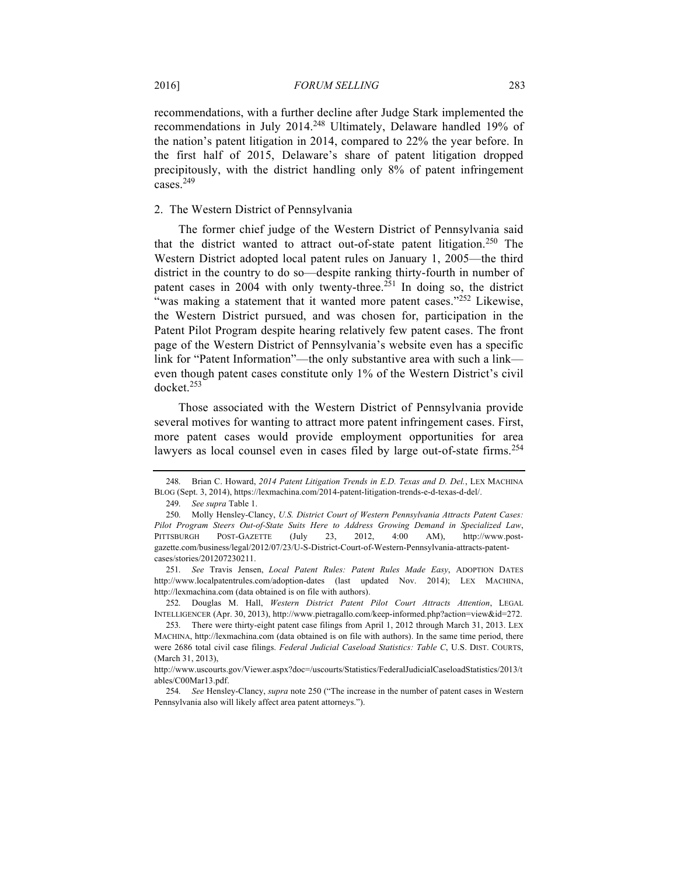recommendations, with a further decline after Judge Stark implemented the recommendations in July 2014.248 Ultimately, Delaware handled 19% of the nation's patent litigation in 2014, compared to 22% the year before. In the first half of 2015, Delaware's share of patent litigation dropped precipitously, with the district handling only 8% of patent infringement cases.<sup>249</sup>

# 2. The Western District of Pennsylvania

The former chief judge of the Western District of Pennsylvania said that the district wanted to attract out-of-state patent litigation.<sup>250</sup> The Western District adopted local patent rules on January 1, 2005—the third district in the country to do so—despite ranking thirty-fourth in number of patent cases in 2004 with only twenty-three.<sup>251</sup> In doing so, the district "was making a statement that it wanted more patent cases."<sup>252</sup> Likewise, the Western District pursued, and was chosen for, participation in the Patent Pilot Program despite hearing relatively few patent cases. The front page of the Western District of Pennsylvania's website even has a specific link for "Patent Information"—the only substantive area with such a link even though patent cases constitute only 1% of the Western District's civil docket.<sup>253</sup>

Those associated with the Western District of Pennsylvania provide several motives for wanting to attract more patent infringement cases. First, more patent cases would provide employment opportunities for area lawyers as local counsel even in cases filed by large out-of-state firms.<sup>254</sup>

249. *See supra* Table 1.

251. *See* Travis Jensen, *Local Patent Rules: Patent Rules Made Easy*, ADOPTION DATES http://www.localpatentrules.com/adoption-dates (last updated Nov. 2014); LEX MACHINA, http://lexmachina.com (data obtained is on file with authors).

252. Douglas M. Hall, *Western District Patent Pilot Court Attracts Attention*, LEGAL INTELLIGENCER (Apr. 30, 2013), http://www.pietragallo.com/keep-informed.php?action=view&id=272.

<sup>248.</sup> Brian C. Howard, *2014 Patent Litigation Trends in E.D. Texas and D. Del.*, LEX MACHINA BLOG (Sept. 3, 2014), https://lexmachina.com/2014-patent-litigation-trends-e-d-texas-d-del/.

<sup>250.</sup> Molly Hensley-Clancy, *U.S. District Court of Western Pennsylvania Attracts Patent Cases: Pilot Program Steers Out-of-State Suits Here to Address Growing Demand in Specialized Law*, PITTSBURGH POST-GAZETTE (July 23, 2012, 4:00 AM), http://www.postgazette.com/business/legal/2012/07/23/U-S-District-Court-of-Western-Pennsylvania-attracts-patentcases/stories/201207230211.

<sup>253.</sup> There were thirty-eight patent case filings from April 1, 2012 through March 31, 2013. LEX MACHINA, http://lexmachina.com (data obtained is on file with authors). In the same time period, there were 2686 total civil case filings. *Federal Judicial Caseload Statistics: Table C*, U.S. DIST. COURTS, (March 31, 2013),

http://www.uscourts.gov/Viewer.aspx?doc=/uscourts/Statistics/FederalJudicialCaseloadStatistics/2013/t ables/C00Mar13.pdf.

<sup>254.</sup> *See* Hensley-Clancy, *supra* note 250 ("The increase in the number of patent cases in Western Pennsylvania also will likely affect area patent attorneys.").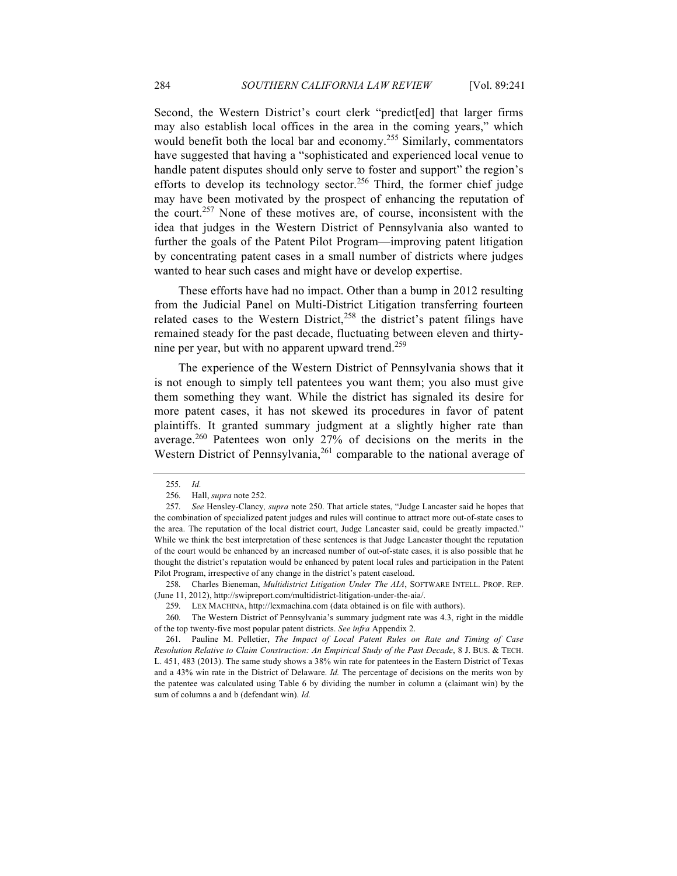Second, the Western District's court clerk "predict[ed] that larger firms may also establish local offices in the area in the coming years," which would benefit both the local bar and economy.<sup>255</sup> Similarly, commentators have suggested that having a "sophisticated and experienced local venue to handle patent disputes should only serve to foster and support" the region's efforts to develop its technology sector.<sup>256</sup> Third, the former chief judge may have been motivated by the prospect of enhancing the reputation of the court.<sup>257</sup> None of these motives are, of course, inconsistent with the idea that judges in the Western District of Pennsylvania also wanted to further the goals of the Patent Pilot Program—improving patent litigation by concentrating patent cases in a small number of districts where judges wanted to hear such cases and might have or develop expertise.

These efforts have had no impact. Other than a bump in 2012 resulting from the Judicial Panel on Multi-District Litigation transferring fourteen related cases to the Western District,<sup>258</sup> the district's patent filings have remained steady for the past decade, fluctuating between eleven and thirtynine per year, but with no apparent upward trend.<sup>259</sup>

The experience of the Western District of Pennsylvania shows that it is not enough to simply tell patentees you want them; you also must give them something they want. While the district has signaled its desire for more patent cases, it has not skewed its procedures in favor of patent plaintiffs. It granted summary judgment at a slightly higher rate than average.<sup>260</sup> Patentees won only 27% of decisions on the merits in the Western District of Pennsylvania,<sup>261</sup> comparable to the national average of

258. Charles Bieneman, *Multidistrict Litigation Under The AIA*, SOFTWARE INTELL. PROP. REP. (June 11, 2012), http://swipreport.com/multidistrict-litigation-under-the-aia/.

260. The Western District of Pennsylvania's summary judgment rate was 4.3, right in the middle of the top twenty-five most popular patent districts. *See infra* Appendix 2.

<sup>255.</sup> *Id.*

<sup>256.</sup> Hall, *supra* note 252.

<sup>257.</sup> *See* Hensley-Clancy*, supra* note 250. That article states, "Judge Lancaster said he hopes that the combination of specialized patent judges and rules will continue to attract more out-of-state cases to the area. The reputation of the local district court, Judge Lancaster said, could be greatly impacted." While we think the best interpretation of these sentences is that Judge Lancaster thought the reputation of the court would be enhanced by an increased number of out-of-state cases, it is also possible that he thought the district's reputation would be enhanced by patent local rules and participation in the Patent Pilot Program, irrespective of any change in the district's patent caseload.

<sup>259.</sup> LEX MACHINA, http://lexmachina.com (data obtained is on file with authors).

<sup>261.</sup> Pauline M. Pelletier, *The Impact of Local Patent Rules on Rate and Timing of Case Resolution Relative to Claim Construction: An Empirical Study of the Past Decade*, 8 J. BUS. & TECH. L. 451, 483 (2013). The same study shows a 38% win rate for patentees in the Eastern District of Texas and a 43% win rate in the District of Delaware. *Id.* The percentage of decisions on the merits won by the patentee was calculated using Table 6 by dividing the number in column a (claimant win) by the sum of columns a and b (defendant win). *Id.*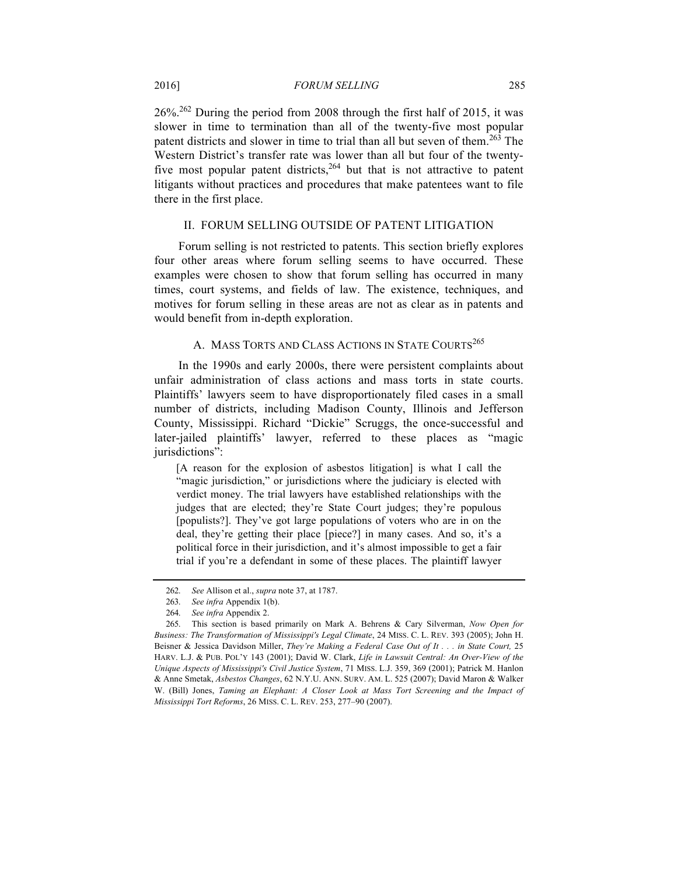26%<sup>262</sup> During the period from 2008 through the first half of 2015, it was slower in time to termination than all of the twenty-five most popular patent districts and slower in time to trial than all but seven of them. <sup>263</sup> The Western District's transfer rate was lower than all but four of the twentyfive most popular patent districts,  $264$  but that is not attractive to patent litigants without practices and procedures that make patentees want to file there in the first place.

# II. FORUM SELLING OUTSIDE OF PATENT LITIGATION

Forum selling is not restricted to patents. This section briefly explores four other areas where forum selling seems to have occurred. These examples were chosen to show that forum selling has occurred in many times, court systems, and fields of law. The existence, techniques, and motives for forum selling in these areas are not as clear as in patents and would benefit from in-depth exploration.

# A. MASS TORTS AND CLASS ACTIONS IN STATE COURTS<sup>265</sup>

In the 1990s and early 2000s, there were persistent complaints about unfair administration of class actions and mass torts in state courts. Plaintiffs' lawyers seem to have disproportionately filed cases in a small number of districts, including Madison County, Illinois and Jefferson County, Mississippi. Richard "Dickie" Scruggs, the once-successful and later-jailed plaintiffs' lawyer, referred to these places as "magic jurisdictions":

[A reason for the explosion of asbestos litigation] is what I call the "magic jurisdiction," or jurisdictions where the judiciary is elected with verdict money. The trial lawyers have established relationships with the judges that are elected; they're State Court judges; they're populous [populists?]. They've got large populations of voters who are in on the deal, they're getting their place [piece?] in many cases. And so, it's a political force in their jurisdiction, and it's almost impossible to get a fair trial if you're a defendant in some of these places. The plaintiff lawyer

<sup>262.</sup> *See* Allison et al., *supra* note 37, at 1787.

<sup>263.</sup> *See infra* Appendix 1(b).

<sup>264.</sup> *See infra* Appendix 2.

<sup>265.</sup> This section is based primarily on Mark A. Behrens & Cary Silverman, *Now Open for Business: The Transformation of Mississippi's Legal Climate*, 24 MISS. C. L. REV. 393 (2005); John H. Beisner & Jessica Davidson Miller, *They're Making a Federal Case Out of It . . . in State Court,* 25 HARV. L.J. & PUB. POL'Y 143 (2001); David W. Clark, *Life in Lawsuit Central: An Over-View of the Unique Aspects of Mississippi's Civil Justice System*, 71 MISS. L.J. 359, 369 (2001); Patrick M. Hanlon & Anne Smetak, *Asbestos Changes*, 62 N.Y.U. ANN. SURV. AM. L. 525 (2007); David Maron & Walker W. (Bill) Jones, *Taming an Elephant: A Closer Look at Mass Tort Screening and the Impact of Mississippi Tort Reforms*, 26 MISS. C. L. REV. 253, 277–90 (2007).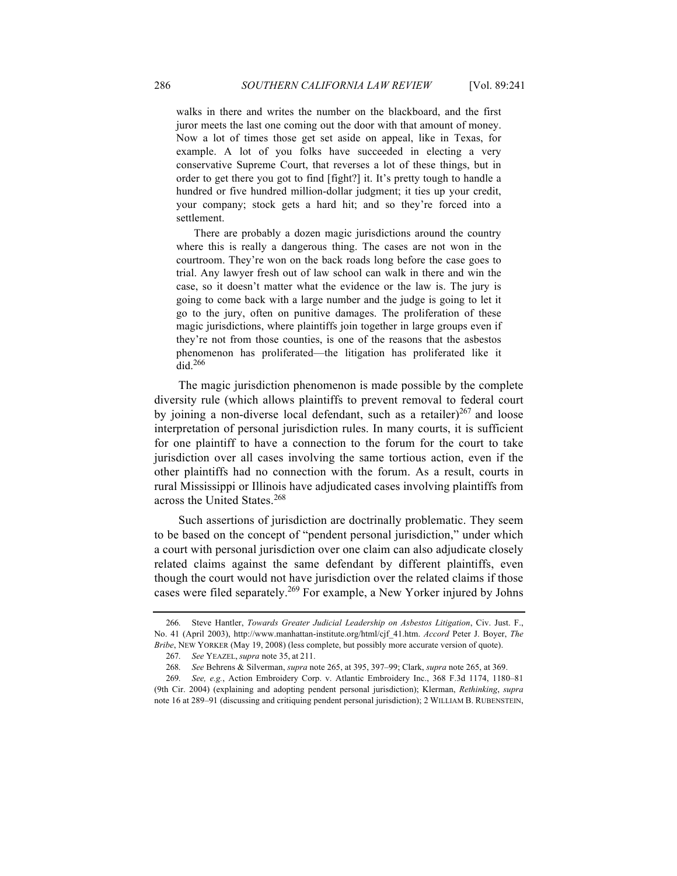walks in there and writes the number on the blackboard, and the first juror meets the last one coming out the door with that amount of money. Now a lot of times those get set aside on appeal, like in Texas, for example. A lot of you folks have succeeded in electing a very conservative Supreme Court, that reverses a lot of these things, but in order to get there you got to find [fight?] it. It's pretty tough to handle a hundred or five hundred million-dollar judgment; it ties up your credit, your company; stock gets a hard hit; and so they're forced into a settlement.

There are probably a dozen magic jurisdictions around the country where this is really a dangerous thing. The cases are not won in the courtroom. They're won on the back roads long before the case goes to trial. Any lawyer fresh out of law school can walk in there and win the case, so it doesn't matter what the evidence or the law is. The jury is going to come back with a large number and the judge is going to let it go to the jury, often on punitive damages. The proliferation of these magic jurisdictions, where plaintiffs join together in large groups even if they're not from those counties, is one of the reasons that the asbestos phenomenon has proliferated—the litigation has proliferated like it did.<sup>266</sup>

The magic jurisdiction phenomenon is made possible by the complete diversity rule (which allows plaintiffs to prevent removal to federal court by joining a non-diverse local defendant, such as a retailer) $^{267}$  and loose interpretation of personal jurisdiction rules. In many courts, it is sufficient for one plaintiff to have a connection to the forum for the court to take jurisdiction over all cases involving the same tortious action, even if the other plaintiffs had no connection with the forum. As a result, courts in rural Mississippi or Illinois have adjudicated cases involving plaintiffs from across the United States.<sup>268</sup>

Such assertions of jurisdiction are doctrinally problematic. They seem to be based on the concept of "pendent personal jurisdiction," under which a court with personal jurisdiction over one claim can also adjudicate closely related claims against the same defendant by different plaintiffs, even though the court would not have jurisdiction over the related claims if those cases were filed separately.<sup>269</sup> For example, a New Yorker injured by Johns

<sup>266.</sup> Steve Hantler, *Towards Greater Judicial Leadership on Asbestos Litigation*, Civ. Just. F., No. 41 (April 2003), http://www.manhattan-institute.org/html/cjf\_41.htm. *Accord* Peter J. Boyer, *The Bribe*, NEW YORKER (May 19, 2008) (less complete, but possibly more accurate version of quote).

<sup>267.</sup> *See* YEAZEL, *supra* note 35, at 211.

<sup>268.</sup> *See* Behrens & Silverman, *supra* note 265, at 395, 397–99; Clark, *supra* note 265, at 369.

<sup>269.</sup> *See, e.g.*, Action Embroidery Corp. v. Atlantic Embroidery Inc., 368 F.3d 1174, 1180–81 (9th Cir. 2004) (explaining and adopting pendent personal jurisdiction); Klerman, *Rethinking*, *supra* note 16 at 289–91 (discussing and critiquing pendent personal jurisdiction); 2 WILLIAM B. RUBENSTEIN,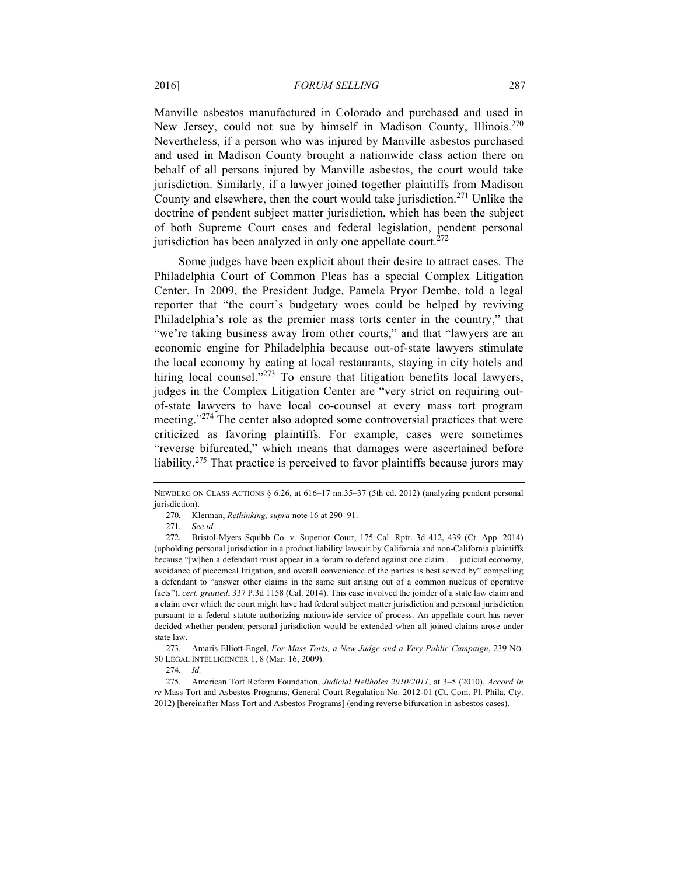Manville asbestos manufactured in Colorado and purchased and used in New Jersey, could not sue by himself in Madison County, Illinois.<sup>270</sup> Nevertheless, if a person who was injured by Manville asbestos purchased and used in Madison County brought a nationwide class action there on behalf of all persons injured by Manville asbestos, the court would take jurisdiction. Similarly, if a lawyer joined together plaintiffs from Madison County and elsewhere, then the court would take jurisdiction.<sup>271</sup> Unlike the doctrine of pendent subject matter jurisdiction, which has been the subject of both Supreme Court cases and federal legislation, pendent personal jurisdiction has been analyzed in only one appellate court.<sup>272</sup>

Some judges have been explicit about their desire to attract cases. The Philadelphia Court of Common Pleas has a special Complex Litigation Center. In 2009, the President Judge, Pamela Pryor Dembe, told a legal reporter that "the court's budgetary woes could be helped by reviving Philadelphia's role as the premier mass torts center in the country," that "we're taking business away from other courts," and that "lawyers are an economic engine for Philadelphia because out-of-state lawyers stimulate the local economy by eating at local restaurants, staying in city hotels and hiring local counsel."<sup>273</sup> To ensure that litigation benefits local lawyers, judges in the Complex Litigation Center are "very strict on requiring outof-state lawyers to have local co-counsel at every mass tort program meeting."<sup>274</sup> The center also adopted some controversial practices that were criticized as favoring plaintiffs. For example, cases were sometimes "reverse bifurcated," which means that damages were ascertained before liability.<sup>275</sup> That practice is perceived to favor plaintiffs because jurors may

271. *See id.*

NEWBERG ON CLASS ACTIONS § 6.26, at 616–17 nn.35–37 (5th ed. 2012) (analyzing pendent personal jurisdiction).

<sup>270.</sup> Klerman, *Rethinking, supra* note 16 at 290–91.

<sup>272.</sup> Bristol-Myers Squibb Co. v. Superior Court, 175 Cal. Rptr. 3d 412, 439 (Ct. App. 2014) (upholding personal jurisdiction in a product liability lawsuit by California and non-California plaintiffs because "[w]hen a defendant must appear in a forum to defend against one claim . . . judicial economy, avoidance of piecemeal litigation, and overall convenience of the parties is best served by" compelling a defendant to "answer other claims in the same suit arising out of a common nucleus of operative facts"), *cert. granted*, 337 P.3d 1158 (Cal. 2014). This case involved the joinder of a state law claim and a claim over which the court might have had federal subject matter jurisdiction and personal jurisdiction pursuant to a federal statute authorizing nationwide service of process. An appellate court has never decided whether pendent personal jurisdiction would be extended when all joined claims arose under state law.

<sup>273.</sup> Amaris Elliott-Engel, *For Mass Torts, a New Judge and a Very Public Campaign*, 239 NO. 50 LEGAL INTELLIGENCER 1, 8 (Mar. 16, 2009).

<sup>274.</sup> *Id.* 

<sup>275.</sup> American Tort Reform Foundation, *Judicial Hellholes 2010/2011*, at 3–5 (2010). *Accord In re* Mass Tort and Asbestos Programs, General Court Regulation No. 2012-01 (Ct. Com. Pl. Phila. Cty. 2012) [hereinafter Mass Tort and Asbestos Programs] (ending reverse bifurcation in asbestos cases).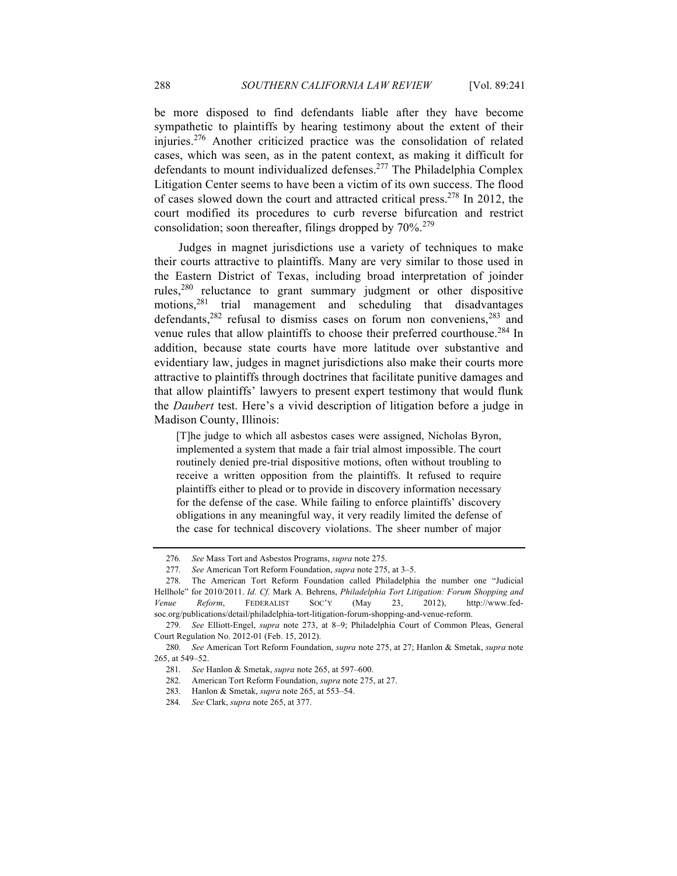be more disposed to find defendants liable after they have become sympathetic to plaintiffs by hearing testimony about the extent of their injuries.<sup>276</sup> Another criticized practice was the consolidation of related cases, which was seen, as in the patent context, as making it difficult for defendants to mount individualized defenses.277 The Philadelphia Complex Litigation Center seems to have been a victim of its own success. The flood of cases slowed down the court and attracted critical press.278 In 2012, the court modified its procedures to curb reverse bifurcation and restrict consolidation; soon thereafter, filings dropped by 70%.<sup>279</sup>

Judges in magnet jurisdictions use a variety of techniques to make their courts attractive to plaintiffs. Many are very similar to those used in the Eastern District of Texas, including broad interpretation of joinder rules,<sup>280</sup> reluctance to grant summary judgment or other dispositive motions,<sup>281</sup> trial management and scheduling that disadvantages defendants,  $282$  refusal to dismiss cases on forum non conveniens,  $283$  and venue rules that allow plaintiffs to choose their preferred courthouse.<sup>284</sup> In addition, because state courts have more latitude over substantive and evidentiary law, judges in magnet jurisdictions also make their courts more attractive to plaintiffs through doctrines that facilitate punitive damages and that allow plaintiffs' lawyers to present expert testimony that would flunk the *Daubert* test. Here's a vivid description of litigation before a judge in Madison County, Illinois:

[T]he judge to which all asbestos cases were assigned, Nicholas Byron, implemented a system that made a fair trial almost impossible. The court routinely denied pre-trial dispositive motions, often without troubling to receive a written opposition from the plaintiffs. It refused to require plaintiffs either to plead or to provide in discovery information necessary for the defense of the case. While failing to enforce plaintiffs' discovery obligations in any meaningful way, it very readily limited the defense of the case for technical discovery violations. The sheer number of major

<sup>276.</sup> *See* Mass Tort and Asbestos Programs, *supra* note 275.

<sup>277.</sup> *See* American Tort Reform Foundation, *supra* note 275, at 3–5.

<sup>278.</sup> The American Tort Reform Foundation called Philadelphia the number one "Judicial Hellhole" for 2010/2011. *Id. Cf.* Mark A. Behrens, *Philadelphia Tort Litigation: Forum Shopping and Venue Reform*, FEDERALIST SOC'Y (May 23, 2012), http://www.fedsoc.org/publications/detail/philadelphia-tort-litigation-forum-shopping-and-venue-reform.

<sup>279.</sup> *See* Elliott-Engel, *supra* note 273, at 8–9; Philadelphia Court of Common Pleas, General Court Regulation No. 2012-01 (Feb. 15, 2012).

<sup>280.</sup> *See* American Tort Reform Foundation, *supra* note 275, at 27; Hanlon & Smetak, *supra* note 265, at 549–52.

<sup>281.</sup> *See* Hanlon & Smetak, *supra* note 265, at 597–600.

<sup>282.</sup> American Tort Reform Foundation, *supra* note 275, at 27.

<sup>283.</sup> Hanlon & Smetak, *supra* note 265, at 553–54.

<sup>284.</sup> *See* Clark, *supra* note 265, at 377.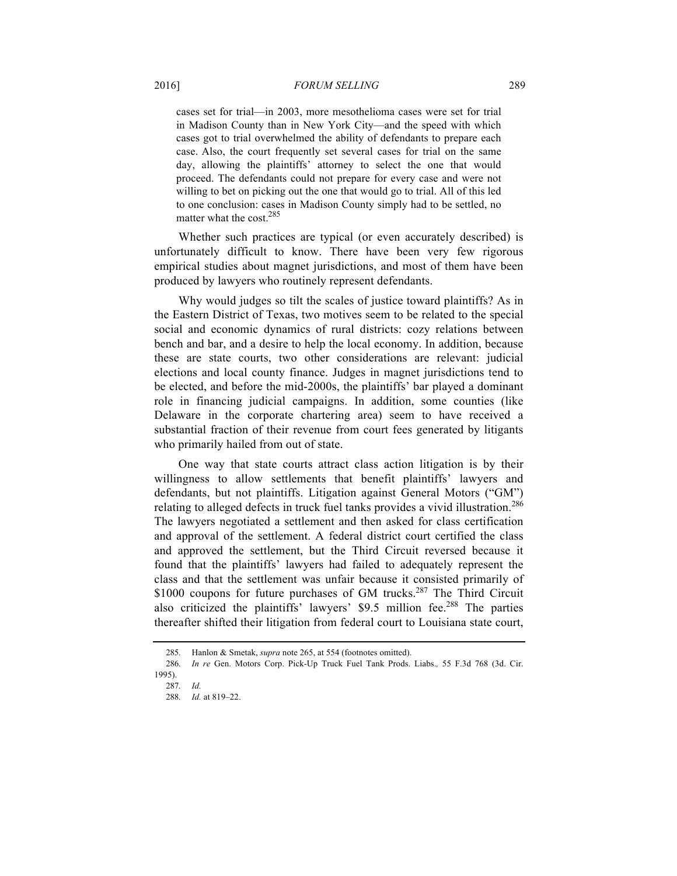cases set for trial—in 2003, more mesothelioma cases were set for trial in Madison County than in New York City—and the speed with which cases got to trial overwhelmed the ability of defendants to prepare each case. Also, the court frequently set several cases for trial on the same day, allowing the plaintiffs' attorney to select the one that would proceed. The defendants could not prepare for every case and were not willing to bet on picking out the one that would go to trial. All of this led to one conclusion: cases in Madison County simply had to be settled, no matter what the cost.<sup>285</sup>

Whether such practices are typical (or even accurately described) is unfortunately difficult to know. There have been very few rigorous empirical studies about magnet jurisdictions, and most of them have been produced by lawyers who routinely represent defendants.

Why would judges so tilt the scales of justice toward plaintiffs? As in the Eastern District of Texas, two motives seem to be related to the special social and economic dynamics of rural districts: cozy relations between bench and bar, and a desire to help the local economy. In addition, because these are state courts, two other considerations are relevant: judicial elections and local county finance. Judges in magnet jurisdictions tend to be elected, and before the mid-2000s, the plaintiffs' bar played a dominant role in financing judicial campaigns. In addition, some counties (like Delaware in the corporate chartering area) seem to have received a substantial fraction of their revenue from court fees generated by litigants who primarily hailed from out of state.

One way that state courts attract class action litigation is by their willingness to allow settlements that benefit plaintiffs' lawyers and defendants, but not plaintiffs. Litigation against General Motors ("GM") relating to alleged defects in truck fuel tanks provides a vivid illustration.<sup>286</sup> The lawyers negotiated a settlement and then asked for class certification and approval of the settlement. A federal district court certified the class and approved the settlement, but the Third Circuit reversed because it found that the plaintiffs' lawyers had failed to adequately represent the class and that the settlement was unfair because it consisted primarily of \$1000 coupons for future purchases of GM trucks.<sup>287</sup> The Third Circuit also criticized the plaintiffs' lawyers' \$9.5 million fee.<sup>288</sup> The parties thereafter shifted their litigation from federal court to Louisiana state court,

<sup>285.</sup> Hanlon & Smetak, *supra* note 265, at 554 (footnotes omitted).

<sup>286.</sup> *In re* Gen. Motors Corp. Pick-Up Truck Fuel Tank Prods. Liabs.*,* 55 F.3d 768 (3d. Cir. 1995).

<sup>287.</sup> *Id.*

<sup>288.</sup> *Id.* at 819–22.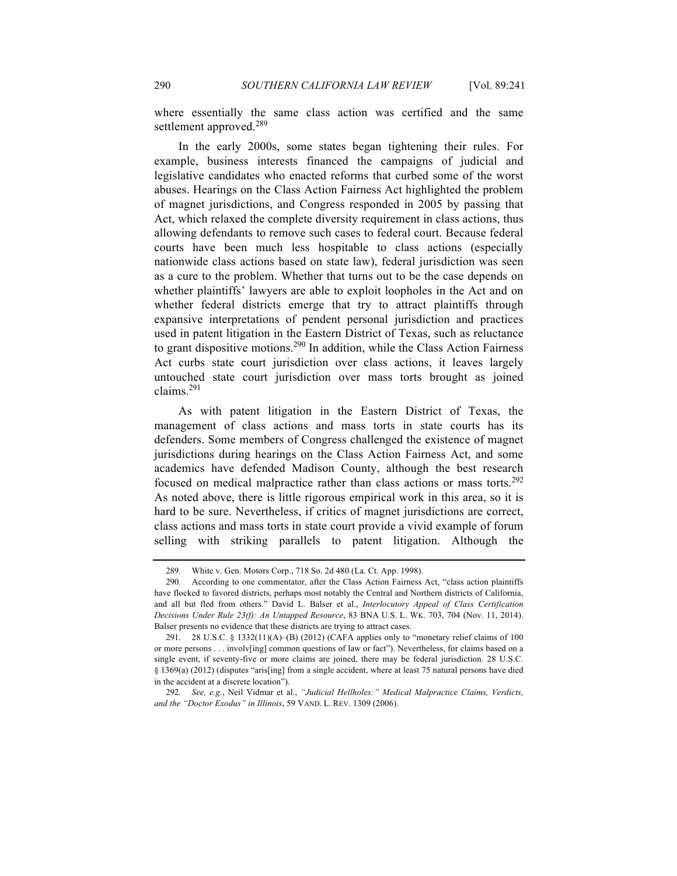where essentially the same class action was certified and the same settlement approved.<sup>289</sup>

In the early 2000s, some states began tightening their rules. For example, business interests financed the campaigns of judicial and legislative candidates who enacted reforms that curbed some of the worst abuses. Hearings on the Class Action Fairness Act highlighted the problem of magnet jurisdictions, and Congress responded in 2005 by passing that Act, which relaxed the complete diversity requirement in class actions, thus allowing defendants to remove such cases to federal court. Because federal courts have been much less hospitable to class actions (especially nationwide class actions based on state law), federal jurisdiction was seen as a cure to the problem. Whether that turns out to be the case depends on whether plaintiffs' lawyers are able to exploit loopholes in the Act and on whether federal districts emerge that try to attract plaintiffs through expansive interpretations of pendent personal jurisdiction and practices used in patent litigation in the Eastern District of Texas, such as reluctance to grant dispositive motions.<sup>290</sup> In addition, while the Class Action Fairness Act curbs state court jurisdiction over class actions, it leaves largely untouched state court jurisdiction over mass torts brought as joined claims.<sup>291</sup>

As with patent litigation in the Eastern District of Texas, the management of class actions and mass torts in state courts has its defenders. Some members of Congress challenged the existence of magnet jurisdictions during hearings on the Class Action Fairness Act, and some academics have defended Madison County, although the best research focused on medical malpractice rather than class actions or mass torts.<sup>292</sup> As noted above, there is little rigorous empirical work in this area, so it is hard to be sure. Nevertheless, if critics of magnet jurisdictions are correct, class actions and mass torts in state court provide a vivid example of forum selling with striking parallels to patent litigation. Although the

<sup>289.</sup> White v. Gen. Motors Corp., 718 So. 2d 480 (La. Ct. App. 1998).

<sup>290.</sup> According to one commentator, after the Class Action Fairness Act, "class action plaintiffs have flocked to favored districts, perhaps most notably the Central and Northern districts of California, and all but fled from others." David L. Balser et al., *Interlocutory Appeal of Class Certification Decisions Under Rule 23(f): An Untapped Resource*, 83 BNA U.S. L. WK. 703, 704 (Nov. 11, 2014). Balser presents no evidence that these districts are trying to attract cases.

<sup>291.</sup> 28 U.S.C. § 1332(11)(A)–(B) (2012) (CAFA applies only to "monetary relief claims of 100 or more persons . . . involv[ing] common questions of law or fact"). Nevertheless, for claims based on a single event, if seventy-five or more claims are joined, there may be federal jurisdiction. 28 U.S.C. § 1369(a) (2012) (disputes "aris[ing] from a single accident, where at least 75 natural persons have died in the accident at a discrete location").

<sup>292.</sup> *See, e.g.*, Neil Vidmar et al., *"Judicial Hellholes:" Medical Malpractice Claims, Verdicts, and the "Doctor Exodus" in Illinois*, 59 VAND. L. REV. 1309 (2006).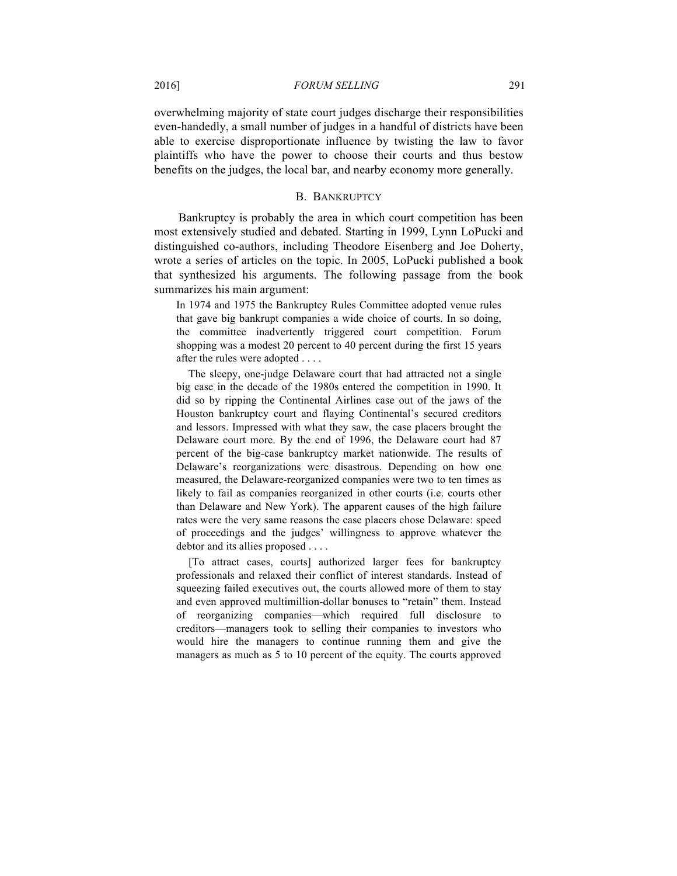overwhelming majority of state court judges discharge their responsibilities even-handedly, a small number of judges in a handful of districts have been able to exercise disproportionate influence by twisting the law to favor plaintiffs who have the power to choose their courts and thus bestow benefits on the judges, the local bar, and nearby economy more generally.

#### B. BANKRUPTCY

Bankruptcy is probably the area in which court competition has been most extensively studied and debated. Starting in 1999, Lynn LoPucki and distinguished co-authors, including Theodore Eisenberg and Joe Doherty, wrote a series of articles on the topic. In 2005, LoPucki published a book that synthesized his arguments. The following passage from the book summarizes his main argument:

In 1974 and 1975 the Bankruptcy Rules Committee adopted venue rules that gave big bankrupt companies a wide choice of courts. In so doing, the committee inadvertently triggered court competition. Forum shopping was a modest 20 percent to 40 percent during the first 15 years after the rules were adopted . . . .

The sleepy, one-judge Delaware court that had attracted not a single big case in the decade of the 1980s entered the competition in 1990. It did so by ripping the Continental Airlines case out of the jaws of the Houston bankruptcy court and flaying Continental's secured creditors and lessors. Impressed with what they saw, the case placers brought the Delaware court more. By the end of 1996, the Delaware court had 87 percent of the big-case bankruptcy market nationwide. The results of Delaware's reorganizations were disastrous. Depending on how one measured, the Delaware-reorganized companies were two to ten times as likely to fail as companies reorganized in other courts (i.e. courts other than Delaware and New York). The apparent causes of the high failure rates were the very same reasons the case placers chose Delaware: speed of proceedings and the judges' willingness to approve whatever the debtor and its allies proposed . . . .

[To attract cases, courts] authorized larger fees for bankruptcy professionals and relaxed their conflict of interest standards. Instead of squeezing failed executives out, the courts allowed more of them to stay and even approved multimillion-dollar bonuses to "retain" them. Instead of reorganizing companies—which required full disclosure to creditors—managers took to selling their companies to investors who would hire the managers to continue running them and give the managers as much as 5 to 10 percent of the equity. The courts approved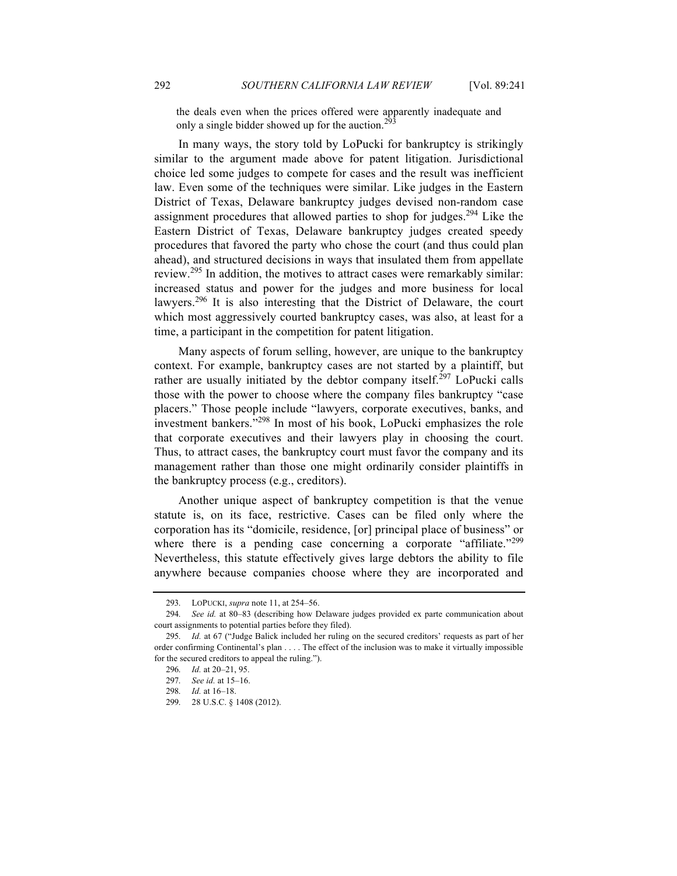the deals even when the prices offered were apparently inadequate and only a single bidder showed up for the auction.<sup>293</sup>

In many ways, the story told by LoPucki for bankruptcy is strikingly similar to the argument made above for patent litigation. Jurisdictional choice led some judges to compete for cases and the result was inefficient law. Even some of the techniques were similar. Like judges in the Eastern District of Texas, Delaware bankruptcy judges devised non-random case assignment procedures that allowed parties to shop for judges.<sup>294</sup> Like the Eastern District of Texas, Delaware bankruptcy judges created speedy procedures that favored the party who chose the court (and thus could plan ahead), and structured decisions in ways that insulated them from appellate review.<sup>295</sup> In addition, the motives to attract cases were remarkably similar: increased status and power for the judges and more business for local lawyers.<sup>296</sup> It is also interesting that the District of Delaware, the court which most aggressively courted bankruptcy cases, was also, at least for a time, a participant in the competition for patent litigation.

Many aspects of forum selling, however, are unique to the bankruptcy context. For example, bankruptcy cases are not started by a plaintiff, but rather are usually initiated by the debtor company itself.<sup>297</sup> LoPucki calls those with the power to choose where the company files bankruptcy "case placers." Those people include "lawyers, corporate executives, banks, and investment bankers."<sup>298</sup> In most of his book, LoPucki emphasizes the role that corporate executives and their lawyers play in choosing the court. Thus, to attract cases, the bankruptcy court must favor the company and its management rather than those one might ordinarily consider plaintiffs in the bankruptcy process (e.g., creditors).

Another unique aspect of bankruptcy competition is that the venue statute is, on its face, restrictive. Cases can be filed only where the corporation has its "domicile, residence, [or] principal place of business" or where there is a pending case concerning a corporate "affiliate." $299$ Nevertheless, this statute effectively gives large debtors the ability to file anywhere because companies choose where they are incorporated and

<sup>293.</sup> LOPUCKI, *supra* note 11, at 254–56.

<sup>294.</sup> *See id.* at 80–83 (describing how Delaware judges provided ex parte communication about court assignments to potential parties before they filed).

<sup>295.</sup> *Id.* at 67 ("Judge Balick included her ruling on the secured creditors' requests as part of her order confirming Continental's plan . . . . The effect of the inclusion was to make it virtually impossible for the secured creditors to appeal the ruling.").

<sup>296.</sup> *Id.* at 20–21, 95.

<sup>297.</sup> *See id.* at 15–16.

<sup>298.</sup> *Id.* at 16–18.

<sup>299.</sup> 28 U.S.C. § 1408 (2012).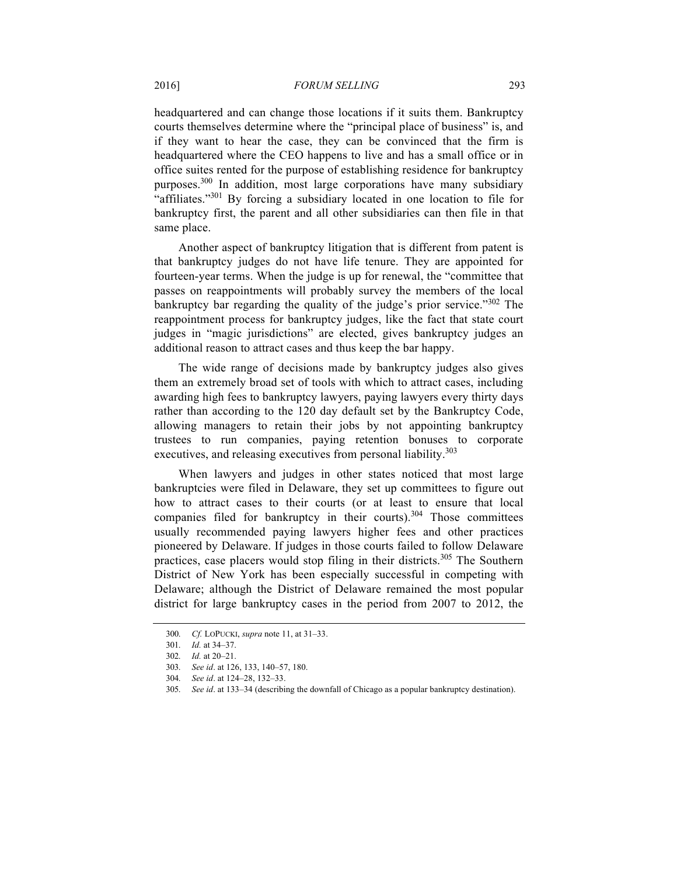headquartered and can change those locations if it suits them. Bankruptcy courts themselves determine where the "principal place of business" is, and if they want to hear the case, they can be convinced that the firm is headquartered where the CEO happens to live and has a small office or in office suites rented for the purpose of establishing residence for bankruptcy purposes.300 In addition, most large corporations have many subsidiary "affiliates."301 By forcing a subsidiary located in one location to file for bankruptcy first, the parent and all other subsidiaries can then file in that same place.

Another aspect of bankruptcy litigation that is different from patent is that bankruptcy judges do not have life tenure. They are appointed for fourteen-year terms. When the judge is up for renewal, the "committee that passes on reappointments will probably survey the members of the local bankruptcy bar regarding the quality of the judge's prior service."<sup>302</sup> The reappointment process for bankruptcy judges, like the fact that state court judges in "magic jurisdictions" are elected, gives bankruptcy judges an additional reason to attract cases and thus keep the bar happy.

The wide range of decisions made by bankruptcy judges also gives them an extremely broad set of tools with which to attract cases, including awarding high fees to bankruptcy lawyers, paying lawyers every thirty days rather than according to the 120 day default set by the Bankruptcy Code, allowing managers to retain their jobs by not appointing bankruptcy trustees to run companies, paying retention bonuses to corporate executives, and releasing executives from personal liability.<sup>303</sup>

When lawyers and judges in other states noticed that most large bankruptcies were filed in Delaware, they set up committees to figure out how to attract cases to their courts (or at least to ensure that local companies filed for bankruptcy in their courts). $304$  Those committees usually recommended paying lawyers higher fees and other practices pioneered by Delaware. If judges in those courts failed to follow Delaware practices, case placers would stop filing in their districts.<sup>305</sup> The Southern District of New York has been especially successful in competing with Delaware; although the District of Delaware remained the most popular district for large bankruptcy cases in the period from 2007 to 2012, the

<sup>300.</sup> *Cf.* LOPUCKI, *supra* note 11, at 31–33.

<sup>301.</sup> *Id.* at 34–37.

<sup>302.</sup> *Id.* at 20–21.

<sup>303.</sup> *See id*. at 126, 133, 140–57, 180.

<sup>304.</sup> *See id*. at 124–28, 132–33.

<sup>305.</sup> *See id*. at 133–34 (describing the downfall of Chicago as a popular bankruptcy destination).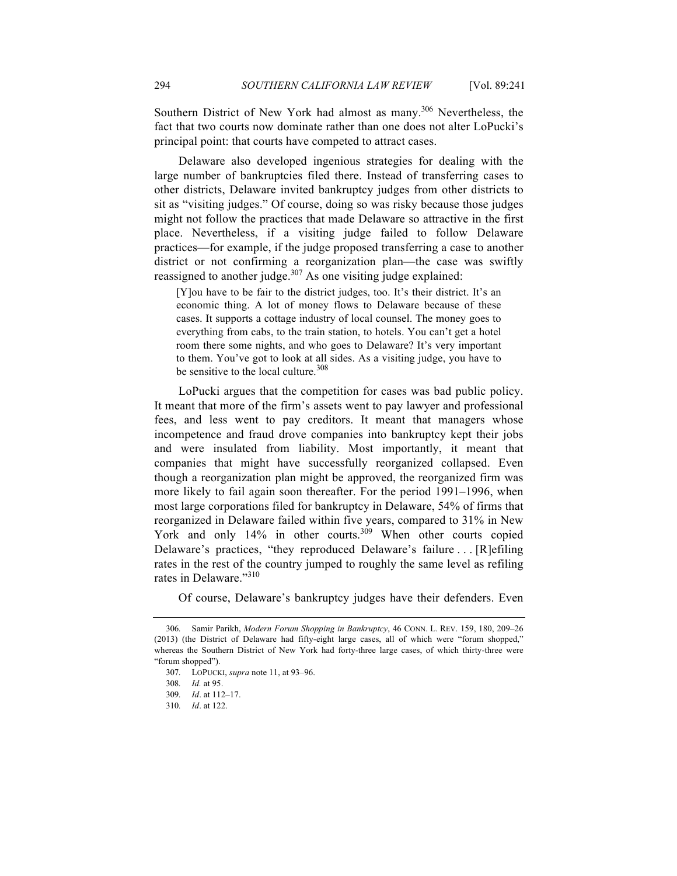Southern District of New York had almost as many.<sup>306</sup> Nevertheless, the fact that two courts now dominate rather than one does not alter LoPucki's principal point: that courts have competed to attract cases.

Delaware also developed ingenious strategies for dealing with the large number of bankruptcies filed there. Instead of transferring cases to other districts, Delaware invited bankruptcy judges from other districts to sit as "visiting judges." Of course, doing so was risky because those judges might not follow the practices that made Delaware so attractive in the first place. Nevertheless, if a visiting judge failed to follow Delaware practices—for example, if the judge proposed transferring a case to another district or not confirming a reorganization plan—the case was swiftly reassigned to another judge.<sup>307</sup> As one visiting judge explained:

[Y]ou have to be fair to the district judges, too. It's their district. It's an economic thing. A lot of money flows to Delaware because of these cases. It supports a cottage industry of local counsel. The money goes to everything from cabs, to the train station, to hotels. You can't get a hotel room there some nights, and who goes to Delaware? It's very important to them. You've got to look at all sides. As a visiting judge, you have to be sensitive to the local culture.<sup>308</sup>

LoPucki argues that the competition for cases was bad public policy. It meant that more of the firm's assets went to pay lawyer and professional fees, and less went to pay creditors. It meant that managers whose incompetence and fraud drove companies into bankruptcy kept their jobs and were insulated from liability. Most importantly, it meant that companies that might have successfully reorganized collapsed. Even though a reorganization plan might be approved, the reorganized firm was more likely to fail again soon thereafter. For the period 1991–1996, when most large corporations filed for bankruptcy in Delaware, 54% of firms that reorganized in Delaware failed within five years, compared to 31% in New York and only 14% in other courts.<sup>309</sup> When other courts copied Delaware's practices, "they reproduced Delaware's failure . . . [R]efiling rates in the rest of the country jumped to roughly the same level as refiling rates in Delaware."310

Of course, Delaware's bankruptcy judges have their defenders. Even

<sup>306.</sup> Samir Parikh, *Modern Forum Shopping in Bankruptcy*, 46 CONN. L. REV. 159, 180, 209–26 (2013) (the District of Delaware had fifty-eight large cases, all of which were "forum shopped," whereas the Southern District of New York had forty-three large cases, of which thirty-three were "forum shopped").

<sup>307.</sup> LOPUCKI, *supra* note 11, at 93–96.

<sup>308.</sup> *Id.* at 95.

<sup>309.</sup> *Id*. at 112–17.

<sup>310.</sup> *Id*. at 122.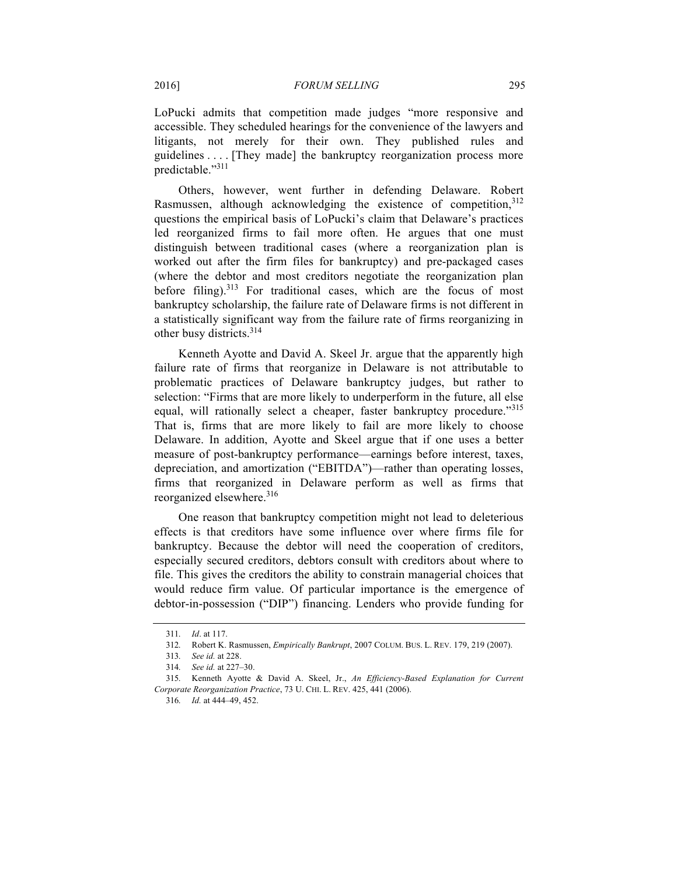LoPucki admits that competition made judges "more responsive and accessible. They scheduled hearings for the convenience of the lawyers and litigants, not merely for their own. They published rules and guidelines . . . . [They made] the bankruptcy reorganization process more predictable."311

Others, however, went further in defending Delaware. Robert Rasmussen, although acknowledging the existence of competition,  $312$ questions the empirical basis of LoPucki's claim that Delaware's practices led reorganized firms to fail more often. He argues that one must distinguish between traditional cases (where a reorganization plan is worked out after the firm files for bankruptcy) and pre-packaged cases (where the debtor and most creditors negotiate the reorganization plan before filing). $313$  For traditional cases, which are the focus of most bankruptcy scholarship, the failure rate of Delaware firms is not different in a statistically significant way from the failure rate of firms reorganizing in other busy districts.314

Kenneth Ayotte and David A. Skeel Jr. argue that the apparently high failure rate of firms that reorganize in Delaware is not attributable to problematic practices of Delaware bankruptcy judges, but rather to selection: "Firms that are more likely to underperform in the future, all else equal, will rationally select a cheaper, faster bankruptcy procedure."<sup>315</sup> That is, firms that are more likely to fail are more likely to choose Delaware. In addition, Ayotte and Skeel argue that if one uses a better measure of post-bankruptcy performance—earnings before interest, taxes, depreciation, and amortization ("EBITDA")—rather than operating losses, firms that reorganized in Delaware perform as well as firms that reorganized elsewhere.<sup>316</sup>

One reason that bankruptcy competition might not lead to deleterious effects is that creditors have some influence over where firms file for bankruptcy. Because the debtor will need the cooperation of creditors, especially secured creditors, debtors consult with creditors about where to file. This gives the creditors the ability to constrain managerial choices that would reduce firm value. Of particular importance is the emergence of debtor-in-possession ("DIP") financing. Lenders who provide funding for

<sup>311.</sup> *Id*. at 117.

<sup>312.</sup> Robert K. Rasmussen, *Empirically Bankrupt*, 2007 COLUM. BUS. L. REV. 179, 219 (2007).

<sup>313.</sup> *See id.* at 228.

<sup>314.</sup> *See id.* at 227–30.

<sup>315.</sup> Kenneth Ayotte & David A. Skeel, Jr., *An Efficiency-Based Explanation for Current Corporate Reorganization Practice*, 73 U. CHI. L. REV. 425, 441 (2006).

<sup>316.</sup> *Id.* at 444–49, 452.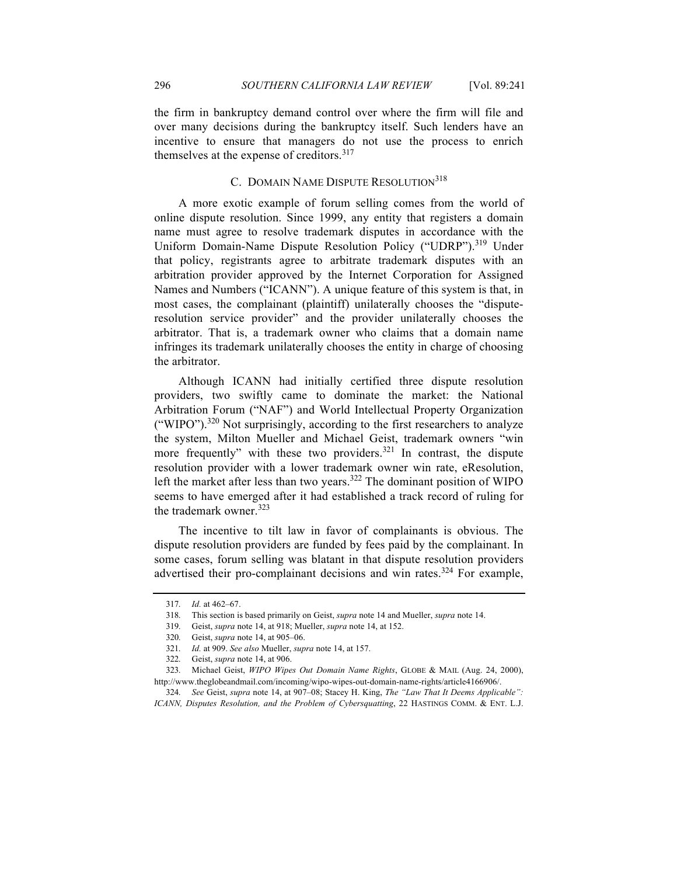the firm in bankruptcy demand control over where the firm will file and over many decisions during the bankruptcy itself. Such lenders have an incentive to ensure that managers do not use the process to enrich themselves at the expense of creditors.<sup>317</sup>

# C. DOMAIN NAME DISPUTE RESOLUTION<sup>318</sup>

A more exotic example of forum selling comes from the world of online dispute resolution. Since 1999, any entity that registers a domain name must agree to resolve trademark disputes in accordance with the Uniform Domain-Name Dispute Resolution Policy ("UDRP").<sup>319</sup> Under that policy, registrants agree to arbitrate trademark disputes with an arbitration provider approved by the Internet Corporation for Assigned Names and Numbers ("ICANN"). A unique feature of this system is that, in most cases, the complainant (plaintiff) unilaterally chooses the "disputeresolution service provider" and the provider unilaterally chooses the arbitrator. That is, a trademark owner who claims that a domain name infringes its trademark unilaterally chooses the entity in charge of choosing the arbitrator.

Although ICANN had initially certified three dispute resolution providers, two swiftly came to dominate the market: the National Arbitration Forum ("NAF") and World Intellectual Property Organization  $("WIFO")$ .<sup>320</sup> Not surprisingly, according to the first researchers to analyze the system, Milton Mueller and Michael Geist, trademark owners "win more frequently" with these two providers.<sup>321</sup> In contrast, the dispute resolution provider with a lower trademark owner win rate, eResolution, left the market after less than two years.<sup>322</sup> The dominant position of WIPO seems to have emerged after it had established a track record of ruling for the trademark owner.<sup>323</sup>

The incentive to tilt law in favor of complainants is obvious. The dispute resolution providers are funded by fees paid by the complainant. In some cases, forum selling was blatant in that dispute resolution providers advertised their pro-complainant decisions and win rates.<sup>324</sup> For example,

<sup>317.</sup> *Id.* at 462–67.

<sup>318.</sup> This section is based primarily on Geist, *supra* note 14 and Mueller, *supra* note 14.

<sup>319.</sup> Geist, *supra* note 14, at 918; Mueller, *supra* note 14, at 152.

<sup>320.</sup> Geist, *supra* note 14, at 905–06.

<sup>321.</sup> *Id.* at 909. *See also* Mueller, *supra* note 14, at 157.

<sup>322.</sup> Geist, *supra* note 14, at 906.

<sup>323.</sup> Michael Geist, *WIPO Wipes Out Domain Name Rights*, GLOBE & MAIL (Aug. 24, 2000), http://www.theglobeandmail.com/incoming/wipo-wipes-out-domain-name-rights/article4166906/.

<sup>324.</sup> *See* Geist, *supra* note 14, at 907–08; Stacey H. King, *The "Law That It Deems Applicable": ICANN, Disputes Resolution, and the Problem of Cybersquatting*, 22 HASTINGS COMM. & ENT. L.J.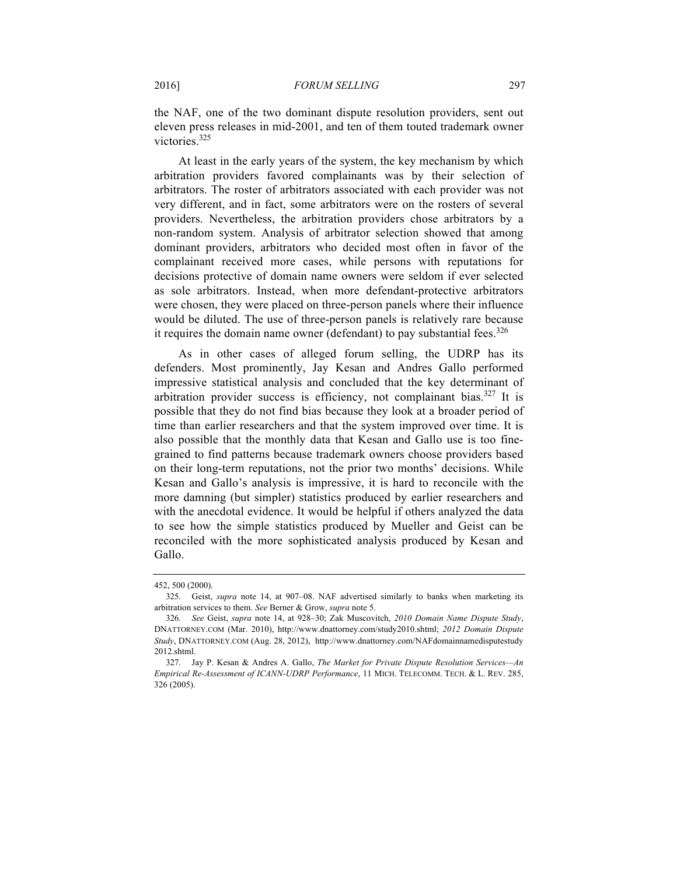the NAF, one of the two dominant dispute resolution providers, sent out eleven press releases in mid-2001, and ten of them touted trademark owner victories<sup>325</sup>

At least in the early years of the system, the key mechanism by which arbitration providers favored complainants was by their selection of arbitrators. The roster of arbitrators associated with each provider was not very different, and in fact, some arbitrators were on the rosters of several providers. Nevertheless, the arbitration providers chose arbitrators by a non-random system. Analysis of arbitrator selection showed that among dominant providers, arbitrators who decided most often in favor of the complainant received more cases, while persons with reputations for decisions protective of domain name owners were seldom if ever selected as sole arbitrators. Instead, when more defendant-protective arbitrators were chosen, they were placed on three-person panels where their influence would be diluted. The use of three-person panels is relatively rare because it requires the domain name owner (defendant) to pay substantial fees.  $326$ 

As in other cases of alleged forum selling, the UDRP has its defenders. Most prominently, Jay Kesan and Andres Gallo performed impressive statistical analysis and concluded that the key determinant of arbitration provider success is efficiency, not complainant bias.<sup>327</sup> It is possible that they do not find bias because they look at a broader period of time than earlier researchers and that the system improved over time. It is also possible that the monthly data that Kesan and Gallo use is too finegrained to find patterns because trademark owners choose providers based on their long-term reputations, not the prior two months' decisions. While Kesan and Gallo's analysis is impressive, it is hard to reconcile with the more damning (but simpler) statistics produced by earlier researchers and with the anecdotal evidence. It would be helpful if others analyzed the data to see how the simple statistics produced by Mueller and Geist can be reconciled with the more sophisticated analysis produced by Kesan and Gallo.

<sup>452, 500 (2000).</sup> 

<sup>325.</sup> Geist, *supra* note 14, at 907–08. NAF advertised similarly to banks when marketing its arbitration services to them. *See* Berner & Grow, *supra* note 5.

<sup>326.</sup> *See* Geist, *supra* note 14, at 928–30; Zak Muscovitch, *2010 Domain Name Dispute Study*, DNATTORNEY.COM (Mar. 2010), http://www.dnattorney.com/study2010.shtml; *2012 Domain Dispute Study*, DNATTORNEY.COM (Aug. 28, 2012), http://www.dnattorney.com/NAFdomainnamedisputestudy 2012.shtml.

<sup>327.</sup> Jay P. Kesan & Andres A. Gallo, *The Market for Private Dispute Resolution Services—An Empirical Re-Assessment of ICANN-UDRP Performance*, 11 MICH. TELECOMM. TECH. & L. REV. 285, 326 (2005).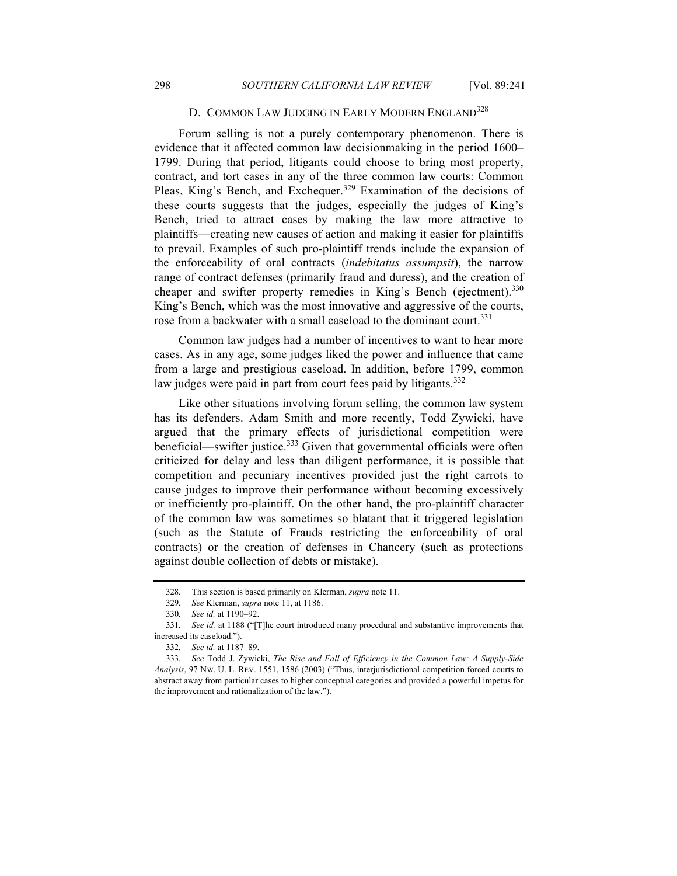## D. COMMON LAW JUDGING IN EARLY MODERN ENGLAND<sup>328</sup>

Forum selling is not a purely contemporary phenomenon. There is evidence that it affected common law decisionmaking in the period 1600– 1799. During that period, litigants could choose to bring most property, contract, and tort cases in any of the three common law courts: Common Pleas, King's Bench, and Exchequer.<sup>329</sup> Examination of the decisions of these courts suggests that the judges, especially the judges of King's Bench, tried to attract cases by making the law more attractive to plaintiffs—creating new causes of action and making it easier for plaintiffs to prevail. Examples of such pro-plaintiff trends include the expansion of the enforceability of oral contracts (*indebitatus assumpsit*), the narrow range of contract defenses (primarily fraud and duress), and the creation of cheaper and swifter property remedies in King's Bench (ejectment).<sup>330</sup> King's Bench, which was the most innovative and aggressive of the courts, rose from a backwater with a small caseload to the dominant court.<sup>331</sup>

Common law judges had a number of incentives to want to hear more cases. As in any age, some judges liked the power and influence that came from a large and prestigious caseload. In addition, before 1799, common law judges were paid in part from court fees paid by litigants.<sup>332</sup>

Like other situations involving forum selling, the common law system has its defenders. Adam Smith and more recently, Todd Zywicki, have argued that the primary effects of jurisdictional competition were beneficial—swifter justice.<sup>333</sup> Given that governmental officials were often criticized for delay and less than diligent performance, it is possible that competition and pecuniary incentives provided just the right carrots to cause judges to improve their performance without becoming excessively or inefficiently pro-plaintiff. On the other hand, the pro-plaintiff character of the common law was sometimes so blatant that it triggered legislation (such as the Statute of Frauds restricting the enforceability of oral contracts) or the creation of defenses in Chancery (such as protections against double collection of debts or mistake).

<sup>328.</sup> This section is based primarily on Klerman, *supra* note 11.

<sup>329.</sup> *See* Klerman, *supra* note 11, at 1186.

<sup>330.</sup> *See id.* at 1190–92.

<sup>331.</sup> *See id.* at 1188 ("[T]he court introduced many procedural and substantive improvements that increased its caseload.").

<sup>332.</sup> *See id.* at 1187–89.

<sup>333.</sup> *See* Todd J. Zywicki, *The Rise and Fall of Efficiency in the Common Law: A Supply-Side Analysis*, 97 NW. U. L. REV. 1551, 1586 (2003) ("Thus, interjurisdictional competition forced courts to abstract away from particular cases to higher conceptual categories and provided a powerful impetus for the improvement and rationalization of the law.").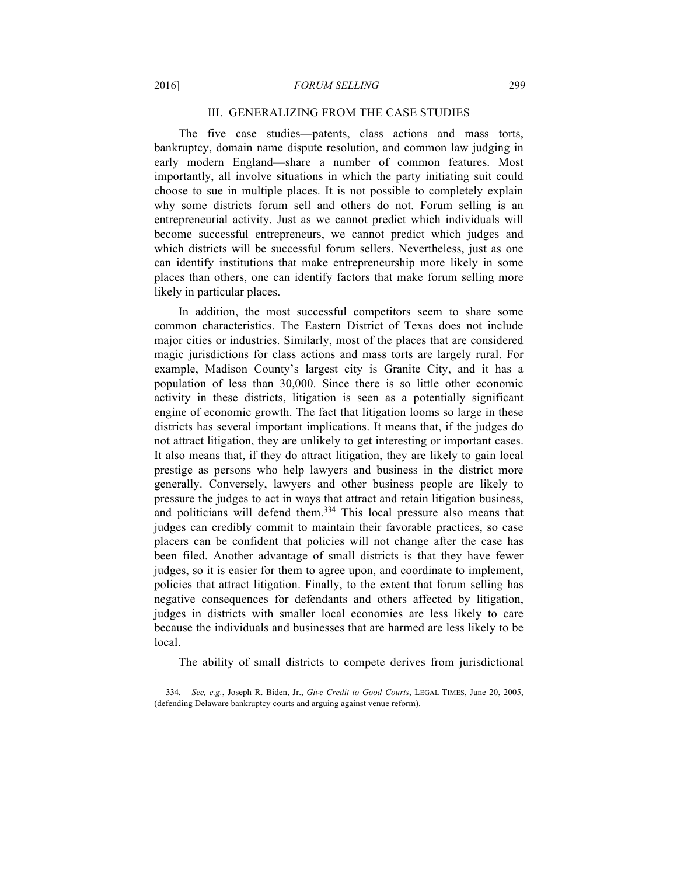## III. GENERALIZING FROM THE CASE STUDIES

The five case studies—patents, class actions and mass torts, bankruptcy, domain name dispute resolution, and common law judging in early modern England—share a number of common features. Most importantly, all involve situations in which the party initiating suit could choose to sue in multiple places. It is not possible to completely explain why some districts forum sell and others do not. Forum selling is an entrepreneurial activity. Just as we cannot predict which individuals will become successful entrepreneurs, we cannot predict which judges and which districts will be successful forum sellers. Nevertheless, just as one can identify institutions that make entrepreneurship more likely in some places than others, one can identify factors that make forum selling more likely in particular places.

In addition, the most successful competitors seem to share some common characteristics. The Eastern District of Texas does not include major cities or industries. Similarly, most of the places that are considered magic jurisdictions for class actions and mass torts are largely rural. For example, Madison County's largest city is Granite City, and it has a population of less than 30,000. Since there is so little other economic activity in these districts, litigation is seen as a potentially significant engine of economic growth. The fact that litigation looms so large in these districts has several important implications. It means that, if the judges do not attract litigation, they are unlikely to get interesting or important cases. It also means that, if they do attract litigation, they are likely to gain local prestige as persons who help lawyers and business in the district more generally. Conversely, lawyers and other business people are likely to pressure the judges to act in ways that attract and retain litigation business, and politicians will defend them.<sup>334</sup> This local pressure also means that judges can credibly commit to maintain their favorable practices, so case placers can be confident that policies will not change after the case has been filed. Another advantage of small districts is that they have fewer judges, so it is easier for them to agree upon, and coordinate to implement, policies that attract litigation. Finally, to the extent that forum selling has negative consequences for defendants and others affected by litigation, judges in districts with smaller local economies are less likely to care because the individuals and businesses that are harmed are less likely to be local.

The ability of small districts to compete derives from jurisdictional

<sup>334.</sup> *See, e.g.*, Joseph R. Biden, Jr., *Give Credit to Good Courts*, LEGAL TIMES, June 20, 2005, (defending Delaware bankruptcy courts and arguing against venue reform).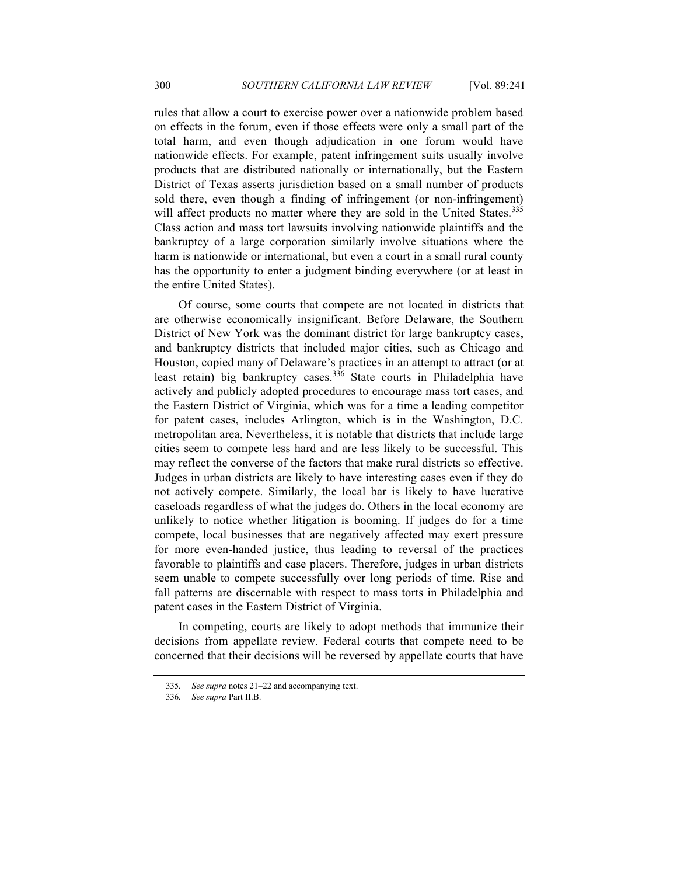rules that allow a court to exercise power over a nationwide problem based on effects in the forum, even if those effects were only a small part of the total harm, and even though adjudication in one forum would have nationwide effects. For example, patent infringement suits usually involve products that are distributed nationally or internationally, but the Eastern District of Texas asserts jurisdiction based on a small number of products sold there, even though a finding of infringement (or non-infringement) will affect products no matter where they are sold in the United States.<sup>335</sup> Class action and mass tort lawsuits involving nationwide plaintiffs and the bankruptcy of a large corporation similarly involve situations where the harm is nationwide or international, but even a court in a small rural county has the opportunity to enter a judgment binding everywhere (or at least in the entire United States).

Of course, some courts that compete are not located in districts that are otherwise economically insignificant. Before Delaware, the Southern District of New York was the dominant district for large bankruptcy cases, and bankruptcy districts that included major cities, such as Chicago and Houston, copied many of Delaware's practices in an attempt to attract (or at least retain) big bankruptcy cases.<sup>336</sup> State courts in Philadelphia have actively and publicly adopted procedures to encourage mass tort cases, and the Eastern District of Virginia, which was for a time a leading competitor for patent cases, includes Arlington, which is in the Washington, D.C. metropolitan area. Nevertheless, it is notable that districts that include large cities seem to compete less hard and are less likely to be successful. This may reflect the converse of the factors that make rural districts so effective. Judges in urban districts are likely to have interesting cases even if they do not actively compete. Similarly, the local bar is likely to have lucrative caseloads regardless of what the judges do. Others in the local economy are unlikely to notice whether litigation is booming. If judges do for a time compete, local businesses that are negatively affected may exert pressure for more even-handed justice, thus leading to reversal of the practices favorable to plaintiffs and case placers. Therefore, judges in urban districts seem unable to compete successfully over long periods of time. Rise and fall patterns are discernable with respect to mass torts in Philadelphia and patent cases in the Eastern District of Virginia.

In competing, courts are likely to adopt methods that immunize their decisions from appellate review. Federal courts that compete need to be concerned that their decisions will be reversed by appellate courts that have

<sup>335.</sup> *See supra* notes 21–22 and accompanying text.

<sup>336.</sup> *See supra* Part II.B.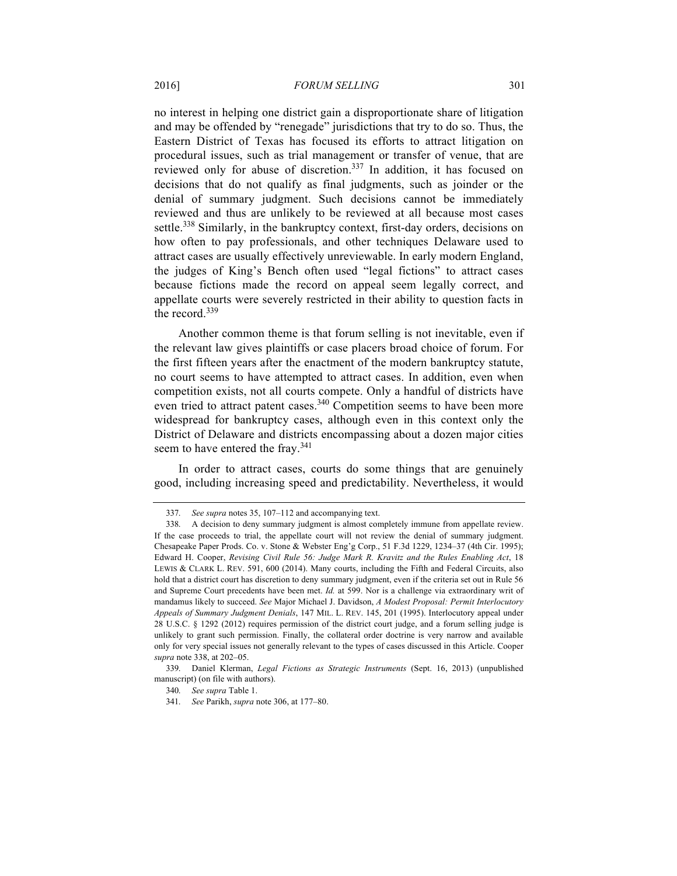no interest in helping one district gain a disproportionate share of litigation and may be offended by "renegade" jurisdictions that try to do so. Thus, the Eastern District of Texas has focused its efforts to attract litigation on procedural issues, such as trial management or transfer of venue, that are reviewed only for abuse of discretion.<sup>337</sup> In addition, it has focused on decisions that do not qualify as final judgments, such as joinder or the denial of summary judgment. Such decisions cannot be immediately reviewed and thus are unlikely to be reviewed at all because most cases settle.<sup>338</sup> Similarly, in the bankruptcy context, first-day orders, decisions on how often to pay professionals, and other techniques Delaware used to attract cases are usually effectively unreviewable. In early modern England, the judges of King's Bench often used "legal fictions" to attract cases because fictions made the record on appeal seem legally correct, and appellate courts were severely restricted in their ability to question facts in the record.<sup>339</sup>

Another common theme is that forum selling is not inevitable, even if the relevant law gives plaintiffs or case placers broad choice of forum. For the first fifteen years after the enactment of the modern bankruptcy statute, no court seems to have attempted to attract cases. In addition, even when competition exists, not all courts compete. Only a handful of districts have even tried to attract patent cases.<sup>340</sup> Competition seems to have been more widespread for bankruptcy cases, although even in this context only the District of Delaware and districts encompassing about a dozen major cities seem to have entered the fray.<sup>341</sup>

In order to attract cases, courts do some things that are genuinely good, including increasing speed and predictability. Nevertheless, it would

<sup>337.</sup> *See supra* notes 35, 107–112 and accompanying text.

<sup>338.</sup> A decision to deny summary judgment is almost completely immune from appellate review. If the case proceeds to trial, the appellate court will not review the denial of summary judgment. Chesapeake Paper Prods. Co. v. Stone & Webster Eng'g Corp., 51 F.3d 1229, 1234–37 (4th Cir. 1995); Edward H. Cooper, *Revising Civil Rule 56: Judge Mark R. Kravitz and the Rules Enabling Act*, 18 LEWIS & CLARK L. REV. 591, 600 (2014). Many courts, including the Fifth and Federal Circuits, also hold that a district court has discretion to deny summary judgment, even if the criteria set out in Rule 56 and Supreme Court precedents have been met. *Id.* at 599. Nor is a challenge via extraordinary writ of mandamus likely to succeed. *See* Major Michael J. Davidson, *A Modest Proposal: Permit Interlocutory Appeals of Summary Judgment Denials*, 147 MIL. L. REV. 145, 201 (1995). Interlocutory appeal under 28 U.S.C. § 1292 (2012) requires permission of the district court judge, and a forum selling judge is unlikely to grant such permission. Finally, the collateral order doctrine is very narrow and available only for very special issues not generally relevant to the types of cases discussed in this Article. Cooper *supra* note 338, at 202–05.

<sup>339.</sup> Daniel Klerman, *Legal Fictions as Strategic Instruments* (Sept. 16, 2013) (unpublished manuscript) (on file with authors).

<sup>340.</sup> *See supra* Table 1.

<sup>341.</sup> *See* Parikh, *supra* note 306, at 177–80.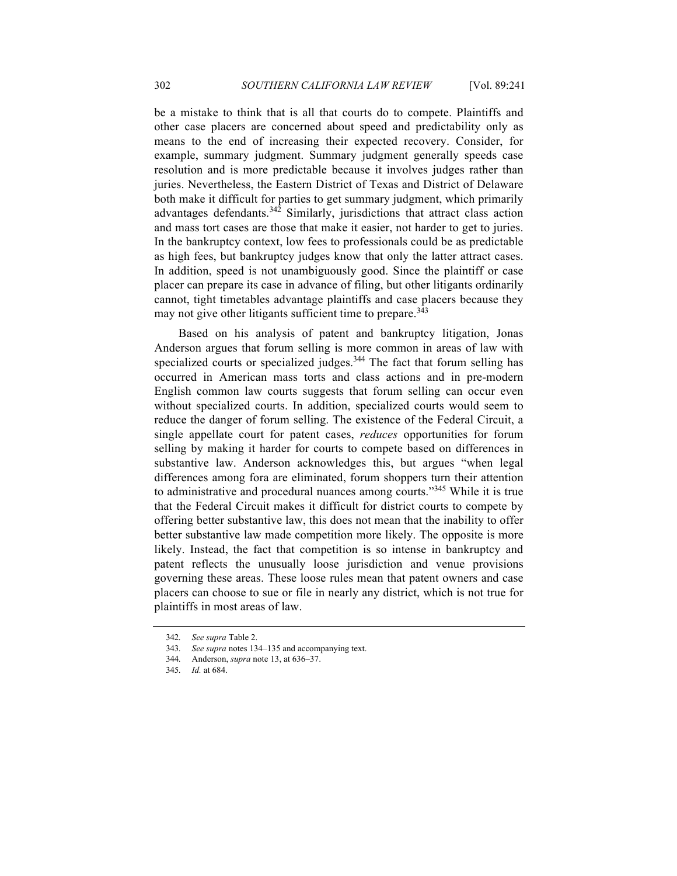be a mistake to think that is all that courts do to compete. Plaintiffs and other case placers are concerned about speed and predictability only as means to the end of increasing their expected recovery. Consider, for example, summary judgment. Summary judgment generally speeds case resolution and is more predictable because it involves judges rather than juries. Nevertheless, the Eastern District of Texas and District of Delaware both make it difficult for parties to get summary judgment, which primarily advantages defendants.<sup>342</sup> Similarly, jurisdictions that attract class action and mass tort cases are those that make it easier, not harder to get to juries. In the bankruptcy context, low fees to professionals could be as predictable as high fees, but bankruptcy judges know that only the latter attract cases. In addition, speed is not unambiguously good. Since the plaintiff or case placer can prepare its case in advance of filing, but other litigants ordinarily cannot, tight timetables advantage plaintiffs and case placers because they may not give other litigants sufficient time to prepare.<sup>343</sup>

Based on his analysis of patent and bankruptcy litigation, Jonas Anderson argues that forum selling is more common in areas of law with specialized courts or specialized judges.<sup>344</sup> The fact that forum selling has occurred in American mass torts and class actions and in pre-modern English common law courts suggests that forum selling can occur even without specialized courts. In addition, specialized courts would seem to reduce the danger of forum selling. The existence of the Federal Circuit, a single appellate court for patent cases, *reduces* opportunities for forum selling by making it harder for courts to compete based on differences in substantive law. Anderson acknowledges this, but argues "when legal differences among fora are eliminated, forum shoppers turn their attention to administrative and procedural nuances among courts."<sup>345</sup> While it is true that the Federal Circuit makes it difficult for district courts to compete by offering better substantive law, this does not mean that the inability to offer better substantive law made competition more likely. The opposite is more likely. Instead, the fact that competition is so intense in bankruptcy and patent reflects the unusually loose jurisdiction and venue provisions governing these areas. These loose rules mean that patent owners and case placers can choose to sue or file in nearly any district, which is not true for plaintiffs in most areas of law.

<sup>342.</sup> *See supra* Table 2.

<sup>343.</sup> *See supra* notes 134–135 and accompanying text.

<sup>344.</sup> Anderson, *supra* note 13, at 636–37.

<sup>345.</sup> *Id.* at 684.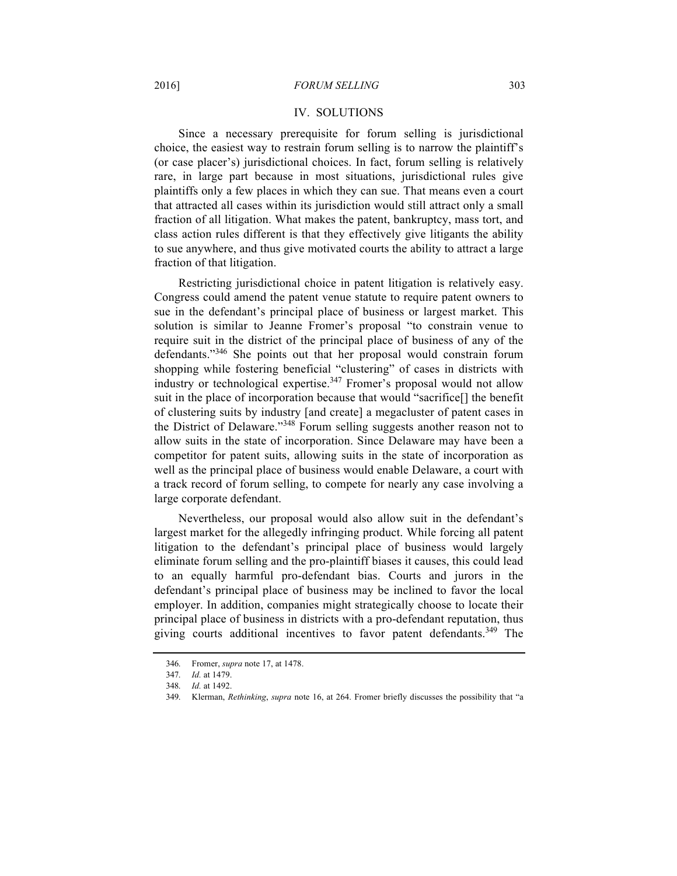### IV. SOLUTIONS

Since a necessary prerequisite for forum selling is jurisdictional choice, the easiest way to restrain forum selling is to narrow the plaintiff's (or case placer's) jurisdictional choices. In fact, forum selling is relatively rare, in large part because in most situations, jurisdictional rules give plaintiffs only a few places in which they can sue. That means even a court that attracted all cases within its jurisdiction would still attract only a small fraction of all litigation. What makes the patent, bankruptcy, mass tort, and class action rules different is that they effectively give litigants the ability to sue anywhere, and thus give motivated courts the ability to attract a large fraction of that litigation.

Restricting jurisdictional choice in patent litigation is relatively easy. Congress could amend the patent venue statute to require patent owners to sue in the defendant's principal place of business or largest market. This solution is similar to Jeanne Fromer's proposal "to constrain venue to require suit in the district of the principal place of business of any of the defendants."<sup>346</sup> She points out that her proposal would constrain forum shopping while fostering beneficial "clustering" of cases in districts with industry or technological expertise.<sup>347</sup> Fromer's proposal would not allow suit in the place of incorporation because that would "sacrifice[] the benefit of clustering suits by industry [and create] a megacluster of patent cases in the District of Delaware."<sup>348</sup> Forum selling suggests another reason not to allow suits in the state of incorporation. Since Delaware may have been a competitor for patent suits, allowing suits in the state of incorporation as well as the principal place of business would enable Delaware, a court with a track record of forum selling, to compete for nearly any case involving a large corporate defendant.

Nevertheless, our proposal would also allow suit in the defendant's largest market for the allegedly infringing product. While forcing all patent litigation to the defendant's principal place of business would largely eliminate forum selling and the pro-plaintiff biases it causes, this could lead to an equally harmful pro-defendant bias. Courts and jurors in the defendant's principal place of business may be inclined to favor the local employer. In addition, companies might strategically choose to locate their principal place of business in districts with a pro-defendant reputation, thus giving courts additional incentives to favor patent defendants.<sup>349</sup> The

<sup>346.</sup> Fromer, *supra* note 17, at 1478.

<sup>347.</sup> *Id.* at 1479.

<sup>348.</sup> *Id.* at 1492.

<sup>349.</sup> Klerman, *Rethinking*, *supra* note 16, at 264. Fromer briefly discusses the possibility that "a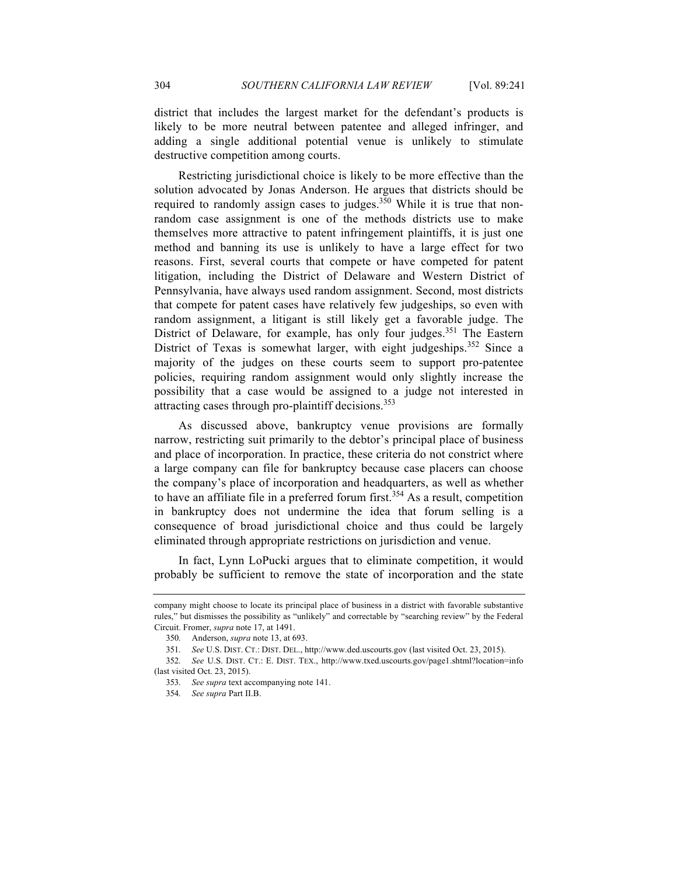district that includes the largest market for the defendant's products is likely to be more neutral between patentee and alleged infringer, and adding a single additional potential venue is unlikely to stimulate destructive competition among courts.

Restricting jurisdictional choice is likely to be more effective than the solution advocated by Jonas Anderson. He argues that districts should be required to randomly assign cases to judges.<sup>350</sup> While it is true that nonrandom case assignment is one of the methods districts use to make themselves more attractive to patent infringement plaintiffs, it is just one method and banning its use is unlikely to have a large effect for two reasons. First, several courts that compete or have competed for patent litigation, including the District of Delaware and Western District of Pennsylvania, have always used random assignment. Second, most districts that compete for patent cases have relatively few judgeships, so even with random assignment, a litigant is still likely get a favorable judge. The District of Delaware, for example, has only four judges.<sup>351</sup> The Eastern District of Texas is somewhat larger, with eight judgeships.<sup>352</sup> Since a majority of the judges on these courts seem to support pro-patentee policies, requiring random assignment would only slightly increase the possibility that a case would be assigned to a judge not interested in attracting cases through pro-plaintiff decisions.<sup>353</sup>

As discussed above, bankruptcy venue provisions are formally narrow, restricting suit primarily to the debtor's principal place of business and place of incorporation. In practice, these criteria do not constrict where a large company can file for bankruptcy because case placers can choose the company's place of incorporation and headquarters, as well as whether to have an affiliate file in a preferred forum first.<sup>354</sup> As a result, competition in bankruptcy does not undermine the idea that forum selling is a consequence of broad jurisdictional choice and thus could be largely eliminated through appropriate restrictions on jurisdiction and venue.

In fact, Lynn LoPucki argues that to eliminate competition, it would probably be sufficient to remove the state of incorporation and the state

company might choose to locate its principal place of business in a district with favorable substantive rules," but dismisses the possibility as "unlikely" and correctable by "searching review" by the Federal Circuit. Fromer, *supra* note 17, at 1491.

<sup>350.</sup> Anderson, *supra* note 13, at 693.

<sup>351.</sup> *See* U.S. DIST. CT.: DIST. DEL., http://www.ded.uscourts.gov (last visited Oct. 23, 2015).

<sup>352.</sup> *See* U.S. DIST. CT.: E. DIST. TEX., http://www.txed.uscourts.gov/page1.shtml?location=info (last visited Oct. 23, 2015).

<sup>353.</sup> *See supra* text accompanying note 141.

<sup>354.</sup> *See supra* Part II.B.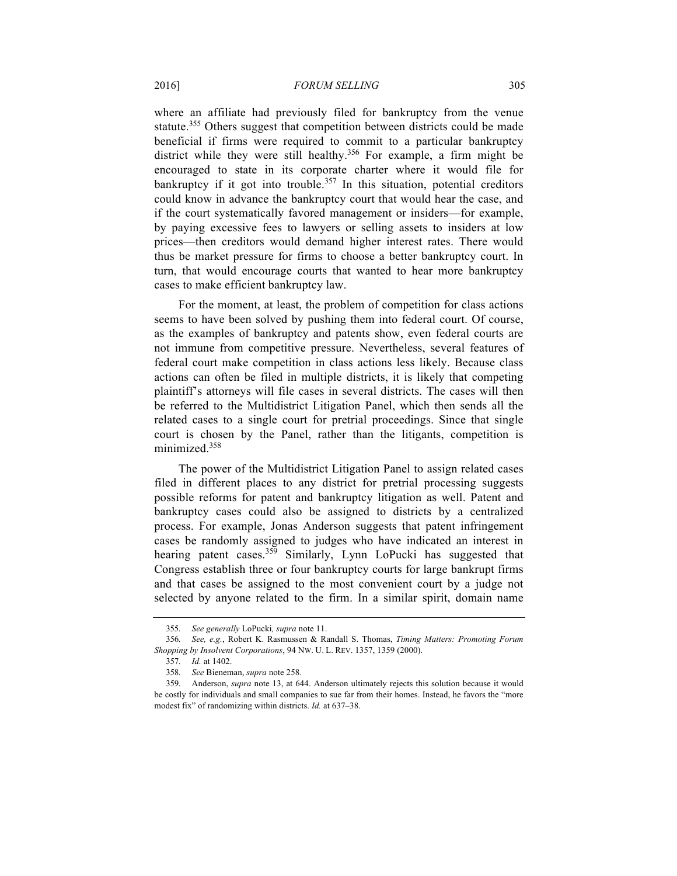where an affiliate had previously filed for bankruptcy from the venue statute.<sup>355</sup> Others suggest that competition between districts could be made beneficial if firms were required to commit to a particular bankruptcy district while they were still healthy.<sup>356</sup> For example, a firm might be encouraged to state in its corporate charter where it would file for bankruptcy if it got into trouble.<sup>357</sup> In this situation, potential creditors could know in advance the bankruptcy court that would hear the case, and if the court systematically favored management or insiders—for example, by paying excessive fees to lawyers or selling assets to insiders at low prices—then creditors would demand higher interest rates. There would thus be market pressure for firms to choose a better bankruptcy court. In turn, that would encourage courts that wanted to hear more bankruptcy cases to make efficient bankruptcy law.

For the moment, at least, the problem of competition for class actions seems to have been solved by pushing them into federal court. Of course, as the examples of bankruptcy and patents show, even federal courts are not immune from competitive pressure. Nevertheless, several features of federal court make competition in class actions less likely. Because class actions can often be filed in multiple districts, it is likely that competing plaintiff's attorneys will file cases in several districts. The cases will then be referred to the Multidistrict Litigation Panel, which then sends all the related cases to a single court for pretrial proceedings. Since that single court is chosen by the Panel, rather than the litigants, competition is minimized.358

The power of the Multidistrict Litigation Panel to assign related cases filed in different places to any district for pretrial processing suggests possible reforms for patent and bankruptcy litigation as well. Patent and bankruptcy cases could also be assigned to districts by a centralized process. For example, Jonas Anderson suggests that patent infringement cases be randomly assigned to judges who have indicated an interest in hearing patent cases.<sup>359</sup> Similarly, Lynn LoPucki has suggested that Congress establish three or four bankruptcy courts for large bankrupt firms and that cases be assigned to the most convenient court by a judge not selected by anyone related to the firm. In a similar spirit, domain name

<sup>355.</sup> *See generally* LoPucki*, supra* note 11.

<sup>356.</sup> *See, e.g.*, Robert K. Rasmussen & Randall S. Thomas, *Timing Matters: Promoting Forum Shopping by Insolvent Corporations*, 94 NW. U. L. REV. 1357, 1359 (2000).

<sup>357.</sup> *Id.* at 1402.

<sup>358.</sup> *See* Bieneman, *supra* note 258.

<sup>359.</sup> Anderson, *supra* note 13, at 644. Anderson ultimately rejects this solution because it would be costly for individuals and small companies to sue far from their homes. Instead, he favors the "more modest fix" of randomizing within districts. *Id.* at 637–38.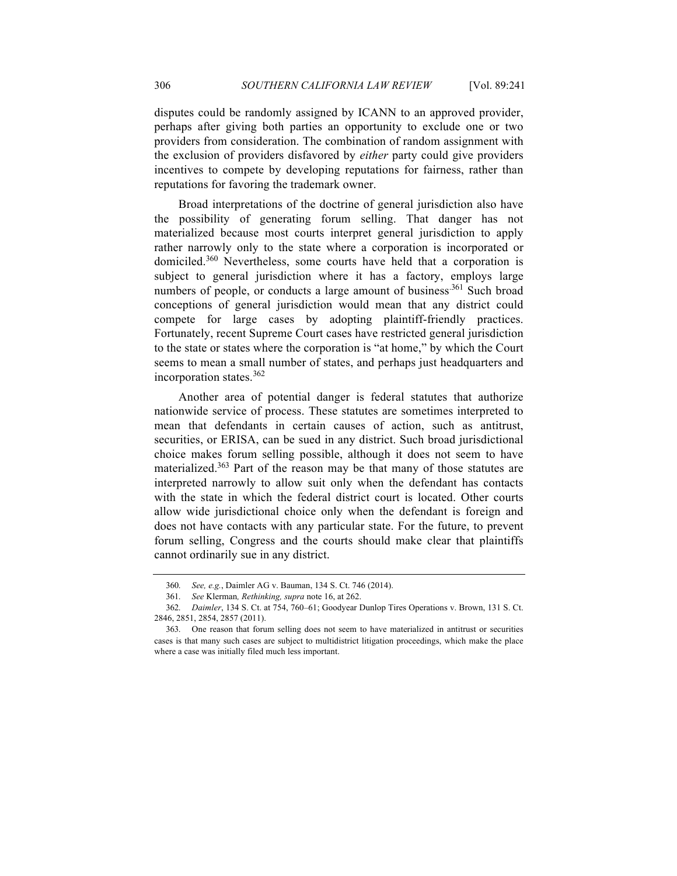disputes could be randomly assigned by ICANN to an approved provider, perhaps after giving both parties an opportunity to exclude one or two providers from consideration. The combination of random assignment with the exclusion of providers disfavored by *either* party could give providers incentives to compete by developing reputations for fairness, rather than reputations for favoring the trademark owner.

Broad interpretations of the doctrine of general jurisdiction also have the possibility of generating forum selling. That danger has not materialized because most courts interpret general jurisdiction to apply rather narrowly only to the state where a corporation is incorporated or domiciled.<sup>360</sup> Nevertheless, some courts have held that a corporation is subject to general jurisdiction where it has a factory, employs large numbers of people, or conducts a large amount of business.<sup>361</sup> Such broad conceptions of general jurisdiction would mean that any district could compete for large cases by adopting plaintiff-friendly practices. Fortunately, recent Supreme Court cases have restricted general jurisdiction to the state or states where the corporation is "at home," by which the Court seems to mean a small number of states, and perhaps just headquarters and incorporation states.<sup>362</sup>

Another area of potential danger is federal statutes that authorize nationwide service of process. These statutes are sometimes interpreted to mean that defendants in certain causes of action, such as antitrust, securities, or ERISA, can be sued in any district. Such broad jurisdictional choice makes forum selling possible, although it does not seem to have materialized.<sup>363</sup> Part of the reason may be that many of those statutes are interpreted narrowly to allow suit only when the defendant has contacts with the state in which the federal district court is located. Other courts allow wide jurisdictional choice only when the defendant is foreign and does not have contacts with any particular state. For the future, to prevent forum selling, Congress and the courts should make clear that plaintiffs cannot ordinarily sue in any district.

<sup>360.</sup> *See, e.g.*, Daimler AG v. Bauman, 134 S. Ct. 746 (2014).

<sup>361.</sup> *See* Klerman*, Rethinking, supra* note 16, at 262.

<sup>362.</sup> *Daimler*, 134 S. Ct. at 754, 760–61; Goodyear Dunlop Tires Operations v. Brown, 131 S. Ct. 2846, 2851, 2854, 2857 (2011).

<sup>363.</sup> One reason that forum selling does not seem to have materialized in antitrust or securities cases is that many such cases are subject to multidistrict litigation proceedings, which make the place where a case was initially filed much less important.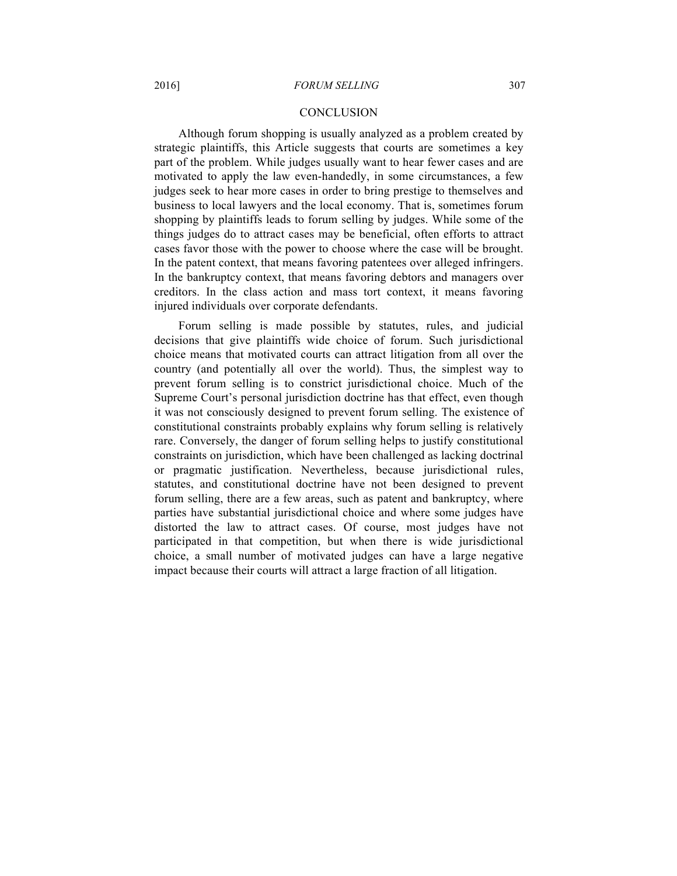### **CONCLUSION**

Although forum shopping is usually analyzed as a problem created by strategic plaintiffs, this Article suggests that courts are sometimes a key part of the problem. While judges usually want to hear fewer cases and are motivated to apply the law even-handedly, in some circumstances, a few judges seek to hear more cases in order to bring prestige to themselves and business to local lawyers and the local economy. That is, sometimes forum shopping by plaintiffs leads to forum selling by judges. While some of the things judges do to attract cases may be beneficial, often efforts to attract cases favor those with the power to choose where the case will be brought. In the patent context, that means favoring patentees over alleged infringers. In the bankruptcy context, that means favoring debtors and managers over creditors. In the class action and mass tort context, it means favoring injured individuals over corporate defendants.

Forum selling is made possible by statutes, rules, and judicial decisions that give plaintiffs wide choice of forum. Such jurisdictional choice means that motivated courts can attract litigation from all over the country (and potentially all over the world). Thus, the simplest way to prevent forum selling is to constrict jurisdictional choice. Much of the Supreme Court's personal jurisdiction doctrine has that effect, even though it was not consciously designed to prevent forum selling. The existence of constitutional constraints probably explains why forum selling is relatively rare. Conversely, the danger of forum selling helps to justify constitutional constraints on jurisdiction, which have been challenged as lacking doctrinal or pragmatic justification. Nevertheless, because jurisdictional rules, statutes, and constitutional doctrine have not been designed to prevent forum selling, there are a few areas, such as patent and bankruptcy, where parties have substantial jurisdictional choice and where some judges have distorted the law to attract cases. Of course, most judges have not participated in that competition, but when there is wide jurisdictional choice, a small number of motivated judges can have a large negative impact because their courts will attract a large fraction of all litigation.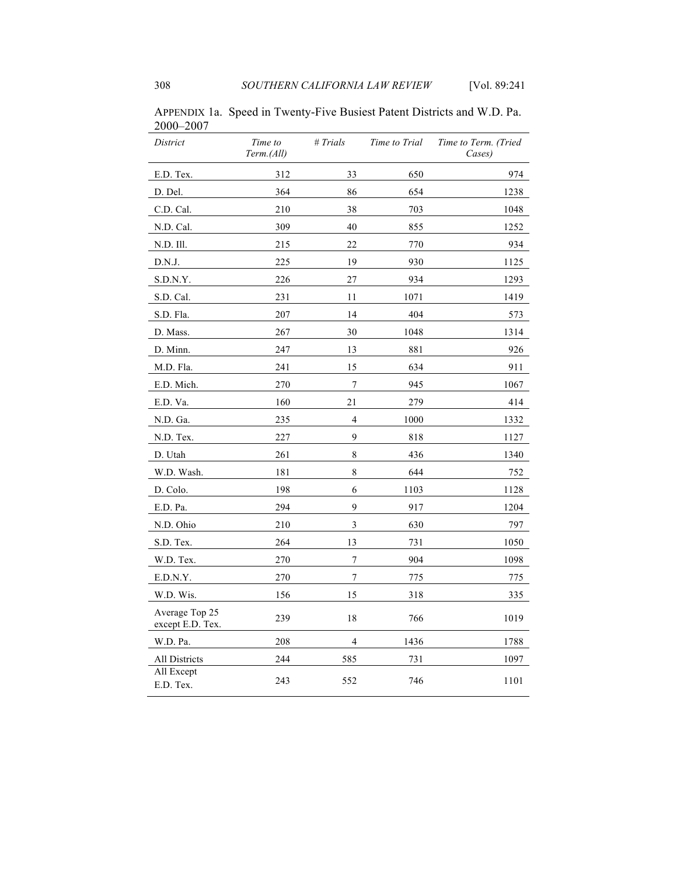| District                           | Time to<br>Term.(All) | # Trials       | Time to Trial | Time to Term. (Tried<br>Cases) |
|------------------------------------|-----------------------|----------------|---------------|--------------------------------|
| E.D. Tex.                          | 312                   | 33             | 650           | 974                            |
| D. Del.                            | 364                   | 86             | 654           | 1238                           |
| C.D. Cal.                          | 210                   | 38             | 703           | 1048                           |
| N.D. Cal.                          | 309                   | 40             | 855           | 1252                           |
| N.D. Ill.                          | 215                   | 22             | 770           | 934                            |
| D.N.J.                             | 225                   | 19             | 930           | 1125                           |
| S.D.N.Y.                           | 226                   | 27             | 934           | 1293                           |
| S.D. Cal.                          | 231                   | 11             | 1071          | 1419                           |
| S.D. Fla.                          | 207                   | 14             | 404           | 573                            |
| D. Mass.                           | 267                   | 30             | 1048          | 1314                           |
| D. Minn.                           | 247                   | 13             | 881           | 926                            |
| M.D. Fla.                          | 241                   | 15             | 634           | 911                            |
| E.D. Mich.                         | 270                   | $\sqrt{ }$     | 945           | 1067                           |
| E.D. Va.                           | 160                   | 21             | 279           | 414                            |
| N.D. Ga.                           | 235                   | $\overline{4}$ | 1000          | 1332                           |
| N.D. Tex.                          | 227                   | 9              | 818           | 1127                           |
| D. Utah                            | 261                   | 8              | 436           | 1340                           |
| W.D. Wash.                         | 181                   | $\,$ 8 $\,$    | 644           | 752                            |
| D. Colo.                           | 198                   | 6              | 1103          | 1128                           |
| E.D. Pa.                           | 294                   | 9              | 917           | 1204                           |
| N.D. Ohio                          | 210                   | 3              | 630           | 797                            |
| S.D. Tex.                          | 264                   | 13             | 731           | 1050                           |
| W.D. Tex.                          | 270                   | $\overline{7}$ | 904           | 1098                           |
| E.D.N.Y.                           | 270                   | $\overline{7}$ | 775           | 775                            |
| W.D. Wis.                          | 156                   | 15             | 318           | 335                            |
| Average Top 25<br>except E.D. Tex. | 239                   | 18             | 766           | 1019                           |
| W.D. Pa.                           | 208                   | 4              | 1436          | 1788                           |
| All Districts                      | 244                   | 585            | 731           | 1097                           |
| All Except<br>E.D. Tex.            | 243                   | 552            | 746           | 1101                           |

APPENDIX 1a. Speed in Twenty-Five Busiest Patent Districts and W.D. Pa. 2000–2007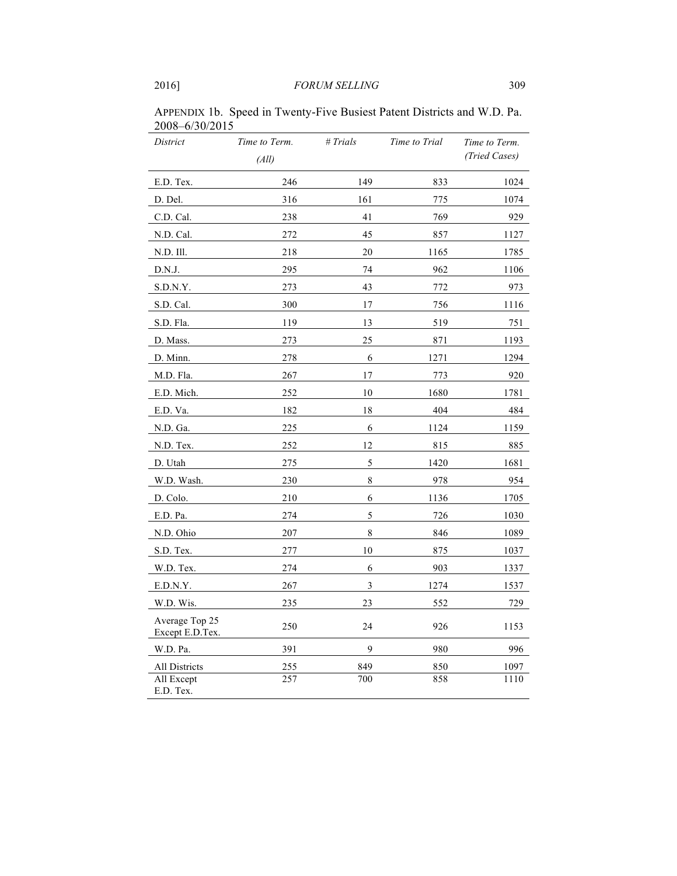| District                                 | Time to Term.<br>(All) | # Trials   | Time to Trial | Time to Term.<br>(Tried Cases) |
|------------------------------------------|------------------------|------------|---------------|--------------------------------|
| E.D. Tex.                                | 246                    | 149        | 833           | 1024                           |
| D. Del.                                  | 316                    | 161        | 775           | 1074                           |
| C.D. Cal.                                | 238                    | 41         | 769           | 929                            |
| N.D. Cal.                                | 272                    | 45         | 857           | 1127                           |
| N.D. Ill.                                | 218                    | 20         | 1165          | 1785                           |
| D.N.J.                                   | 295                    | 74         | 962           | 1106                           |
| S.D.N.Y.                                 | 273                    | 43         | 772           | 973                            |
| S.D. Cal.                                | 300                    | 17         | 756           | 1116                           |
| S.D. Fla.                                | 119                    | 13         | 519           | 751                            |
| D. Mass.                                 | 273                    | 25         | 871           | 1193                           |
| D. Minn.                                 | 278                    | 6          | 1271          | 1294                           |
| M.D. Fla.                                | 267                    | 17         | 773           | 920                            |
| E.D. Mich.                               | 252                    | 10         | 1680          | 1781                           |
| E.D. Va.                                 | 182                    | 18         | 404           | 484                            |
| N.D. Ga.                                 | 225                    | 6          | 1124          | 1159                           |
| N.D. Tex.                                | 252                    | 12         | 815           | 885                            |
| D. Utah                                  | 275                    | 5          | 1420          | 1681                           |
| W.D. Wash.                               | 230                    | 8          | 978           | 954                            |
| D. Colo.                                 | 210                    | 6          | 1136          | 1705                           |
| E.D. Pa.                                 | 274                    | 5          | 726           | 1030                           |
| N.D. Ohio                                | 207                    | $\,8\,$    | 846           | 1089                           |
| S.D. Tex.                                | 277                    | 10         | 875           | 1037                           |
| W.D. Tex.                                | 274                    | 6          | 903           | 1337                           |
| E.D.N.Y.                                 | 267                    | 3          | 1274          | 1537                           |
| W.D. Wis.                                | 235                    | 23         | 552           | 729                            |
| Average Top 25<br>Except E.D.Tex.        | 250                    | 24         | 926           | 1153                           |
| W.D. Pa.                                 | 391                    | 9          | 980           | 996                            |
| All Districts<br>All Except<br>E.D. Tex. | 255<br>257             | 849<br>700 | 850<br>858    | 1097<br>1110                   |

APPENDIX 1b. Speed in Twenty-Five Busiest Patent Districts and W.D. Pa. 2008–6/30/2015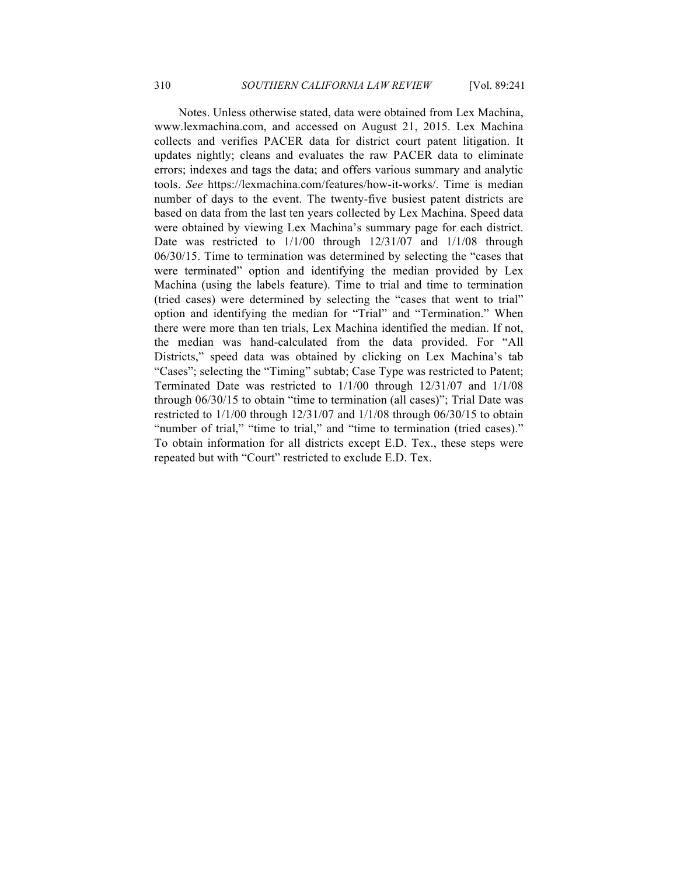Notes. Unless otherwise stated, data were obtained from Lex Machina, www.lexmachina.com, and accessed on August 21, 2015. Lex Machina collects and verifies PACER data for district court patent litigation. It updates nightly; cleans and evaluates the raw PACER data to eliminate errors; indexes and tags the data; and offers various summary and analytic tools. *See* https://lexmachina.com/features/how-it-works/. Time is median number of days to the event. The twenty-five busiest patent districts are based on data from the last ten years collected by Lex Machina. Speed data were obtained by viewing Lex Machina's summary page for each district. Date was restricted to  $1/1/00$  through  $12/31/07$  and  $1/1/08$  through 06/30/15. Time to termination was determined by selecting the "cases that were terminated" option and identifying the median provided by Lex Machina (using the labels feature). Time to trial and time to termination (tried cases) were determined by selecting the "cases that went to trial" option and identifying the median for "Trial" and "Termination." When there were more than ten trials, Lex Machina identified the median. If not, the median was hand-calculated from the data provided. For "All Districts," speed data was obtained by clicking on Lex Machina's tab "Cases"; selecting the "Timing" subtab; Case Type was restricted to Patent; Terminated Date was restricted to 1/1/00 through 12/31/07 and 1/1/08 through 06/30/15 to obtain "time to termination (all cases)"; Trial Date was restricted to 1/1/00 through 12/31/07 and 1/1/08 through 06/30/15 to obtain "number of trial," "time to trial," and "time to termination (tried cases)." To obtain information for all districts except E.D. Tex., these steps were repeated but with "Court" restricted to exclude E.D. Tex.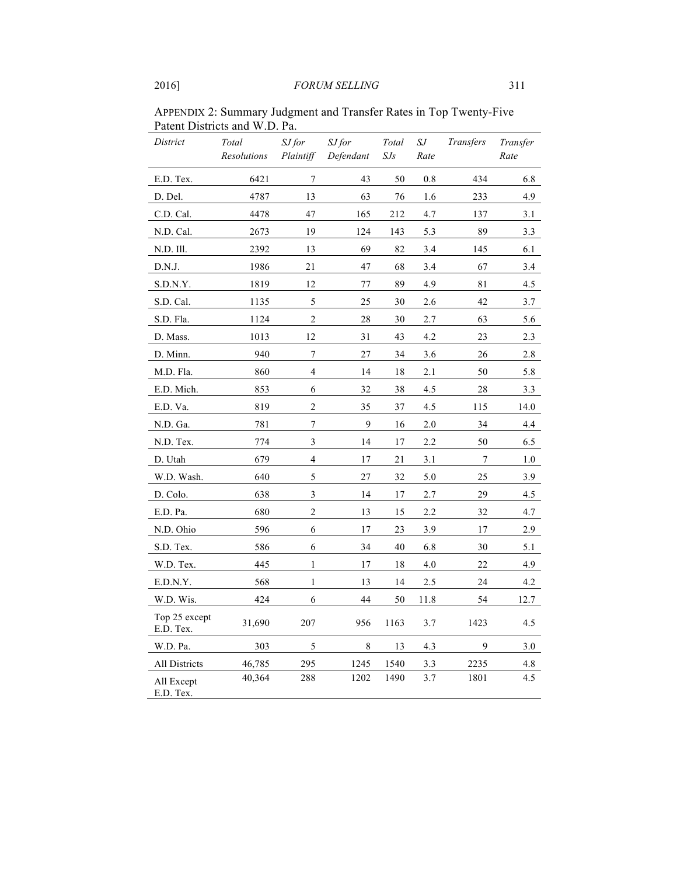| District                   | Total<br>Resolutions | $SJ$ for<br>Plaintiff    | $SJ$ for<br>Defendant | Total<br>$SJ_S$ | $\cal{S}J$<br>Rate | Transfers | Transfer<br>Rate |
|----------------------------|----------------------|--------------------------|-----------------------|-----------------|--------------------|-----------|------------------|
| E.D. Tex.                  | 6421                 | 7                        | 43                    | 50              | $0.8\,$            | 434       | 6.8              |
| D. Del.                    | 4787                 | 13                       | 63                    | 76              | 1.6                | 233       | 4.9              |
| C.D. Cal.                  | 4478                 | 47                       | 165                   | 212             | 4.7                | 137       | 3.1              |
| N.D. Cal.                  | 2673                 | 19                       | 124                   | 143             | 5.3                | 89        | 3.3              |
| N.D. Ill.                  | 2392                 | 13                       | 69                    | 82              | 3.4                | 145       | $6.1\,$          |
| D.N.J.                     | 1986                 | 21                       | 47                    | 68              | 3.4                | 67        | 3.4              |
| S.D.N.Y.                   | 1819                 | 12                       | $77 \,$               | 89              | 4.9                | 81        | 4.5              |
| S.D. Cal.                  | 1135                 | 5                        | 25                    | 30              | 2.6                | 42        | 3.7              |
| S.D. Fla.                  | 1124                 | $\overline{c}$           | 28                    | $30\,$          | 2.7                | 63        | 5.6              |
| D. Mass.                   | 1013                 | 12                       | 31                    | 43              | 4.2                | 23        | 2.3              |
| D. Minn.                   | 940                  | $\boldsymbol{7}$         | $27\,$                | 34              | 3.6                | 26        | $2.8\,$          |
| M.D. Fla.                  | 860                  | $\overline{4}$           | 14                    | 18              | 2.1                | 50        | 5.8              |
| E.D. Mich.                 | 853                  | 6                        | 32                    | $38\,$          | 4.5                | 28        | 3.3              |
| E.D. Va.                   | 819                  | $\sqrt{2}$               | 35                    | 37              | 4.5                | 115       | 14.0             |
| N.D. Ga.                   | 781                  | $\boldsymbol{7}$         | 9                     | 16              | 2.0                | 34        | 4.4              |
| N.D. Tex.                  | 774                  | 3                        | 14                    | 17              | 2.2                | 50        | 6.5              |
| D. Utah                    | 679                  | $\overline{\mathcal{L}}$ | 17                    | $21\,$          | 3.1                | 7         | 1.0              |
| W.D. Wash.                 | 640                  | 5                        | $27\,$                | 32              | 5.0                | 25        | 3.9              |
| D. Colo.                   | 638                  | $\mathfrak{Z}$           | 14                    | 17              | 2.7                | 29        | 4.5              |
| E.D. Pa.                   | 680                  | $\overline{2}$           | 13                    | 15              | 2.2                | 32        | 4.7              |
| N.D. Ohio                  | 596                  | 6                        | 17                    | 23              | 3.9                | 17        | 2.9              |
| S.D. Tex.                  | 586                  | 6                        | 34                    | $40\,$          | 6.8                | 30        | 5.1              |
| W.D. Tex.                  | 445                  | $\,1$                    | $17$                  | $18\,$          | 4.0                | 22        | 4.9              |
| E.D.N.Y.                   | 568                  | $\mathbf{1}$             | 13                    | 14              | 2.5                | 24        | 4.2              |
| W.D. Wis.                  | 424                  | 6                        | 44                    | 50              | 11.8               | 54        | 12.7             |
| Top 25 except<br>E.D. Tex. | 31,690               | 207                      | 956                   | 1163            | 3.7                | 1423      | 4.5              |
| W.D. Pa.                   | 303                  | $\sqrt{5}$               | $\,8\,$               | 13              | 4.3                | 9         | $3.0\,$          |
| All Districts              | 46,785               | 295                      | 1245                  | 1540            | 3.3                | 2235      | 4.8              |
| All Except<br>E.D. Tex.    | 40,364               | 288                      | 1202                  | 1490            | 3.7                | 1801      | 4.5              |

APPENDIX 2: Summary Judgment and Transfer Rates in Top Twenty-Five Patent Districts and W.D. Pa.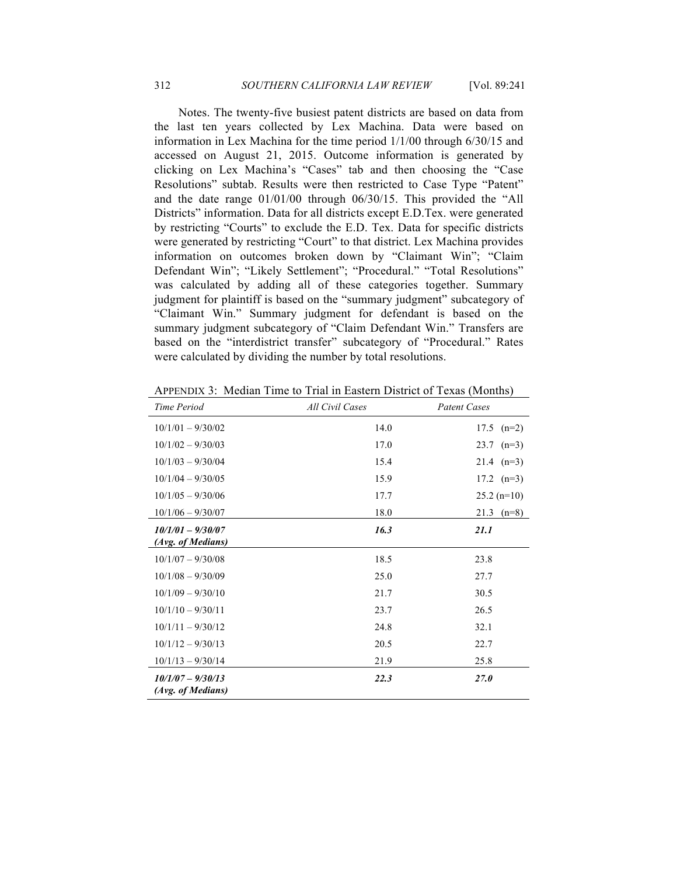Notes. The twenty-five busiest patent districts are based on data from the last ten years collected by Lex Machina. Data were based on information in Lex Machina for the time period 1/1/00 through 6/30/15 and accessed on August 21, 2015. Outcome information is generated by clicking on Lex Machina's "Cases" tab and then choosing the "Case Resolutions" subtab. Results were then restricted to Case Type "Patent" and the date range 01/01/00 through 06/30/15. This provided the "All Districts" information. Data for all districts except E.D.Tex. were generated by restricting "Courts" to exclude the E.D. Tex. Data for specific districts were generated by restricting "Court" to that district. Lex Machina provides information on outcomes broken down by "Claimant Win"; "Claim Defendant Win"; "Likely Settlement"; "Procedural." "Total Resolutions" was calculated by adding all of these categories together. Summary judgment for plaintiff is based on the "summary judgment" subcategory of "Claimant Win." Summary judgment for defendant is based on the summary judgment subcategory of "Claim Defendant Win." Transfers are based on the "interdistrict transfer" subcategory of "Procedural." Rates were calculated by dividing the number by total resolutions.

| Time Period                              | <b>All Civil Cases</b> | <b>Patent Cases</b> |
|------------------------------------------|------------------------|---------------------|
| $10/1/01 - 9/30/02$                      | 14.0                   | 17.5<br>$(n=2)$     |
| $10/1/02 - 9/30/03$                      | 17.0                   | 23.7<br>$(n=3)$     |
| $10/1/03 - 9/30/04$                      | 15.4                   | 21.4 $(n=3)$        |
| $10/1/04 - 9/30/05$                      | 15.9                   | $17.2$ $(n=3)$      |
| $10/1/05 - 9/30/06$                      | 17.7                   | $25.2(n=10)$        |
| $10/1/06 - 9/30/07$                      | 18.0                   | 21.3<br>$(n=8)$     |
| $10/1/01 - 9/30/07$<br>(Avg. of Medians) | 16.3                   | 21.1                |
| $10/1/07 - 9/30/08$                      | 18.5                   | 23.8                |
| $10/1/08 - 9/30/09$                      | 25.0                   | 27.7                |
| $10/1/09 - 9/30/10$                      | 21.7                   | 30.5                |
| $10/1/10 - 9/30/11$                      | 23.7                   | 26.5                |
| $10/1/11 - 9/30/12$                      | 24.8                   | 32.1                |
| $10/1/12 - 9/30/13$                      | 20.5                   | 22.7                |
| $10/1/13 - 9/30/14$                      | 21.9                   | 25.8                |
| $10/1/07 - 9/30/13$<br>(Avg. of Medians) | 22.3                   | <i>27.0</i>         |

APPENDIX 3: Median Time to Trial in Eastern District of Texas (Months)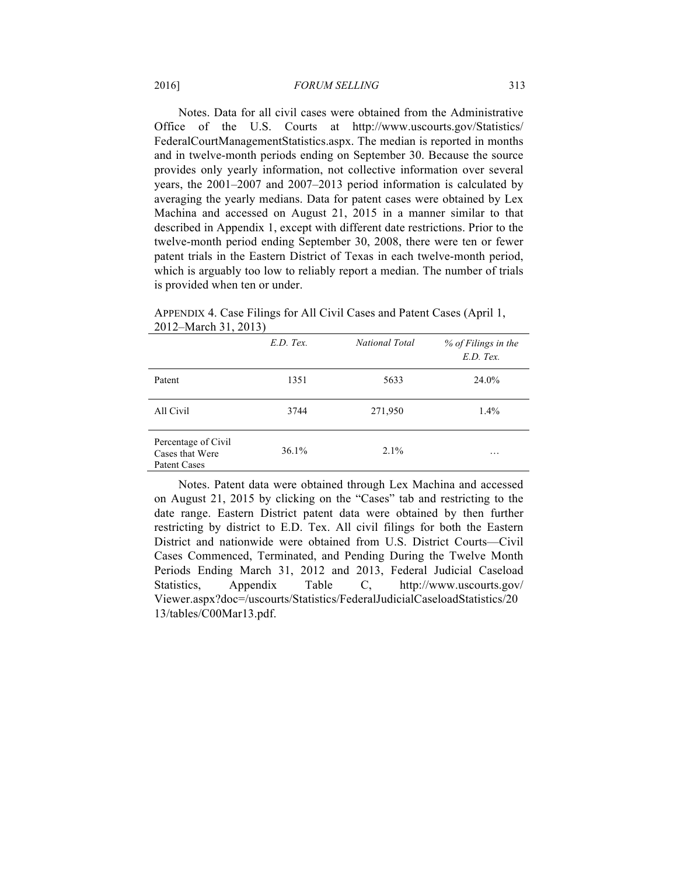Notes. Data for all civil cases were obtained from the Administrative Office of the U.S. Courts at http://www.uscourts.gov/Statistics/ FederalCourtManagementStatistics.aspx. The median is reported in months and in twelve-month periods ending on September 30. Because the source provides only yearly information, not collective information over several years, the 2001–2007 and 2007–2013 period information is calculated by averaging the yearly medians. Data for patent cases were obtained by Lex Machina and accessed on August 21, 2015 in a manner similar to that described in Appendix 1, except with different date restrictions. Prior to the twelve-month period ending September 30, 2008, there were ten or fewer patent trials in the Eastern District of Texas in each twelve-month period, which is arguably too low to reliably report a median. The number of trials is provided when ten or under.

APPENDIX 4. Case Filings for All Civil Cases and Patent Cases (April 1, 2012–March 31, 2013)

|                                                        | E.D. Tex. | <b>National Total</b> | % of Filings in the<br>E.D. Tex. |
|--------------------------------------------------------|-----------|-----------------------|----------------------------------|
| Patent                                                 | 1351      | 5633                  | 24.0%                            |
| All Civil                                              | 3744      | 271,950               | $1.4\%$                          |
| Percentage of Civil<br>Cases that Were<br>Patent Cases | $36.1\%$  | $2.1\%$               | .                                |

Notes. Patent data were obtained through Lex Machina and accessed on August 21, 2015 by clicking on the "Cases" tab and restricting to the date range. Eastern District patent data were obtained by then further restricting by district to E.D. Tex. All civil filings for both the Eastern District and nationwide were obtained from U.S. District Courts—Civil Cases Commenced, Terminated, and Pending During the Twelve Month Periods Ending March 31, 2012 and 2013, Federal Judicial Caseload Statistics, Appendix Table C, http://www.uscourts.gov/ Viewer.aspx?doc=/uscourts/Statistics/FederalJudicialCaseloadStatistics/20 13/tables/C00Mar13.pdf.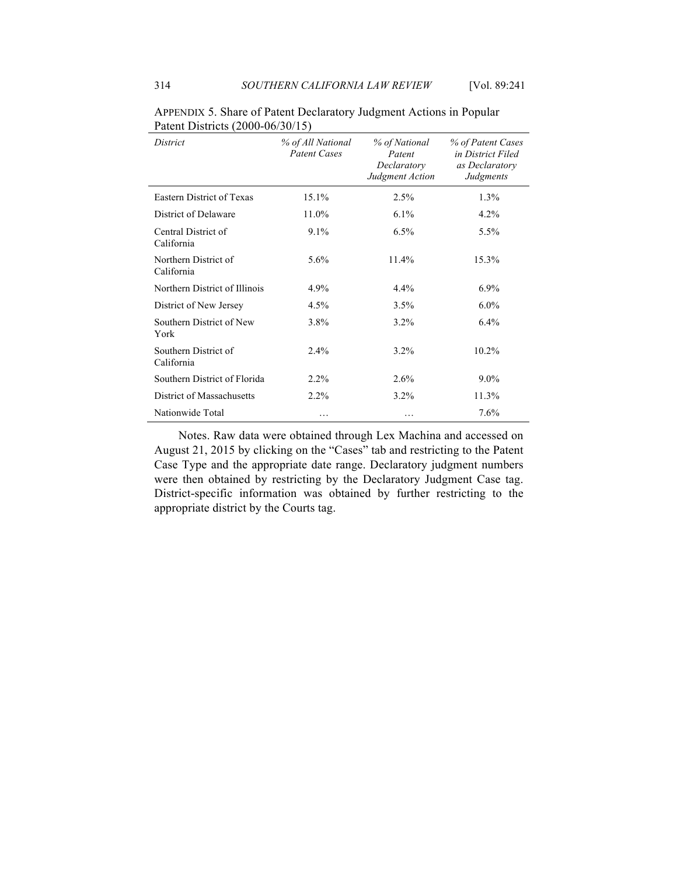| District                           | % of All National<br><b>Patent Cases</b> | % of National<br>Patent<br>Declaratory<br>Judgment Action | % of Patent Cases<br>in District Filed<br>as Declaratory<br>Judgments |
|------------------------------------|------------------------------------------|-----------------------------------------------------------|-----------------------------------------------------------------------|
| Eastern District of Texas          | 15.1%                                    | 2.5%                                                      | 1.3%                                                                  |
| District of Delaware               | 11.0%                                    | $6.1\%$                                                   | 4.2%                                                                  |
| Central District of<br>California  | 9.1%                                     | 6.5%                                                      | 5.5%                                                                  |
| Northern District of<br>California | $5.6\%$                                  | 11.4%                                                     | 15.3%                                                                 |
| Northern District of Illinois      | 4.9%                                     | 4.4%                                                      | $6.9\%$                                                               |
| District of New Jersey             | $4.5\%$                                  | 3.5%                                                      | $6.0\%$                                                               |
| Southern District of New<br>York   | 3.8%                                     | $3.2\%$                                                   | $6.4\%$                                                               |
| Southern District of<br>California | 2.4%                                     | $3.2\%$                                                   | $10.2\%$                                                              |
| Southern District of Florida       | 2.2%                                     | 2.6%                                                      | $9.0\%$                                                               |
| District of Massachusetts          | 2.2%                                     | $3.2\%$                                                   | 11.3%                                                                 |
| Nationwide Total                   | .                                        | .                                                         | 7.6%                                                                  |

APPENDIX 5. Share of Patent Declaratory Judgment Actions in Popular Patent Districts (2000-06/30/15)

Notes. Raw data were obtained through Lex Machina and accessed on August 21, 2015 by clicking on the "Cases" tab and restricting to the Patent Case Type and the appropriate date range. Declaratory judgment numbers were then obtained by restricting by the Declaratory Judgment Case tag. District-specific information was obtained by further restricting to the appropriate district by the Courts tag.